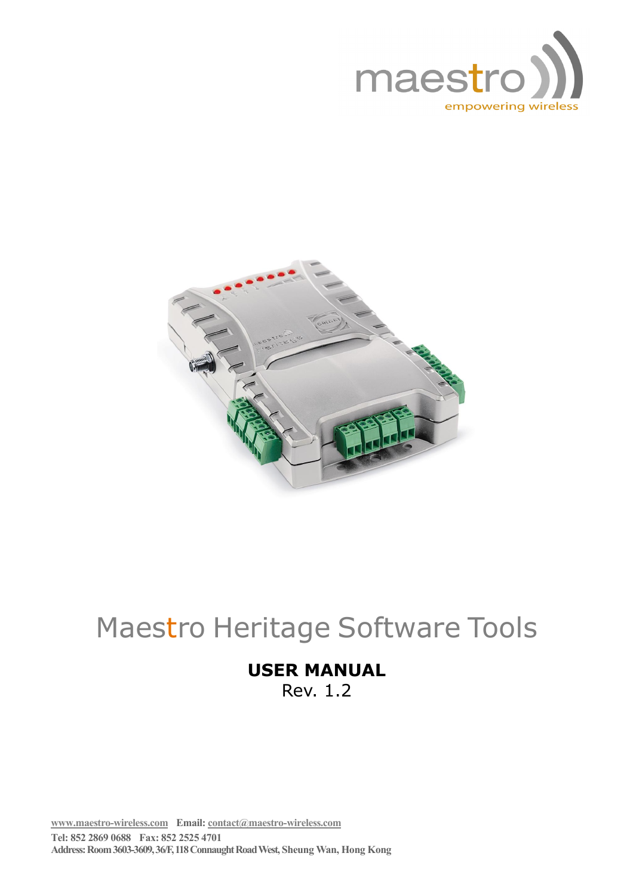



# Maestro Heritage Software Tools

# **USER MANUAL**

Rev. 1.2

**www.maestro-wireless.com Email: contact@maestro-wireless.com Tel: 852 2869 0688 Fax: 852 2525 4701 Address: Room 3603-3609, 36/F, 118 Connaught Road West, Sheung Wan, Hong Kong**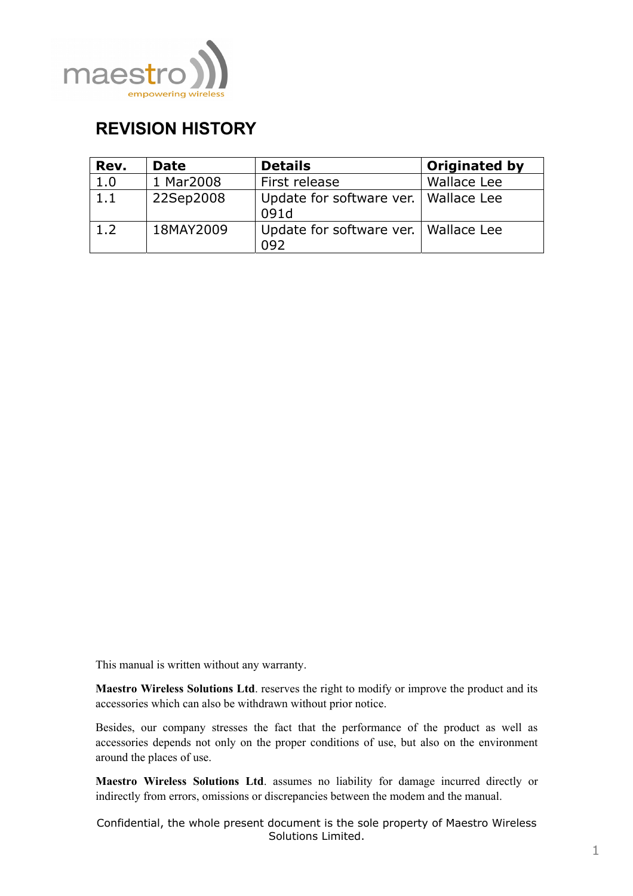

# **REVISION HISTORY**

| Rev. | <b>Date</b> | <b>Details</b>                                 | <b>Originated by</b> |
|------|-------------|------------------------------------------------|----------------------|
| 1.0  | 1 Mar2008   | First release                                  | <b>Wallace Lee</b>   |
| 1.1  | 22Sep2008   | Update for software ver.   Wallace Lee<br>091d |                      |
| 1.2  | 18MAY2009   | Update for software ver.   Wallace Lee<br>092  |                      |

This manual is written without any warranty.

**Maestro Wireless Solutions Ltd**. reserves the right to modify or improve the product and its accessories which can also be withdrawn without prior notice.

Besides, our company stresses the fact that the performance of the product as well as accessories depends not only on the proper conditions of use, but also on the environment around the places of use.

**Maestro Wireless Solutions Ltd**. assumes no liability for damage incurred directly or indirectly from errors, omissions or discrepancies between the modem and the manual.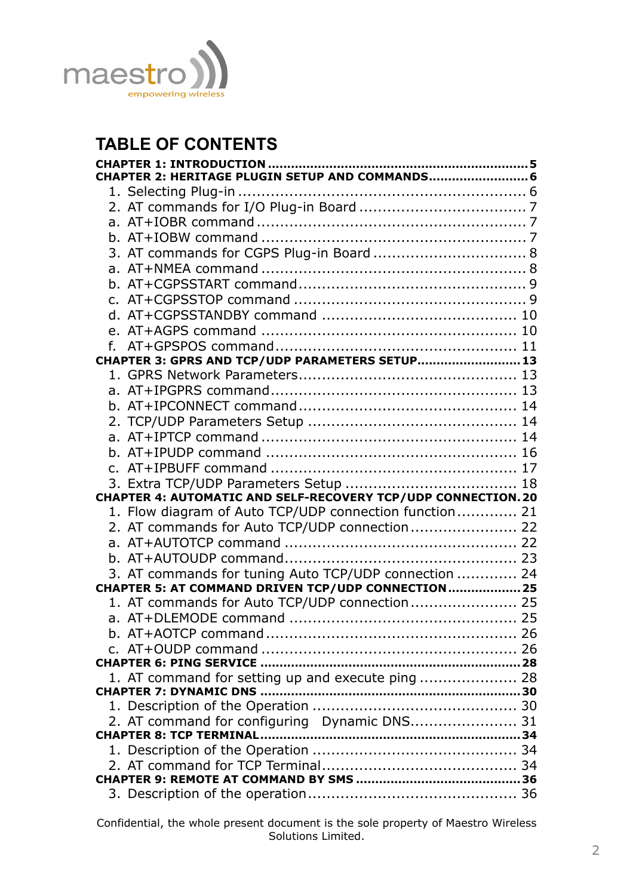

# **TABLE OF CONTENTS**

| CHAPTER 2: HERITAGE PLUGIN SETUP AND COMMANDS                        |  |
|----------------------------------------------------------------------|--|
|                                                                      |  |
|                                                                      |  |
|                                                                      |  |
|                                                                      |  |
|                                                                      |  |
|                                                                      |  |
|                                                                      |  |
|                                                                      |  |
|                                                                      |  |
|                                                                      |  |
|                                                                      |  |
| CHAPTER 3: GPRS AND TCP/UDP PARAMETERS SETUP 13                      |  |
|                                                                      |  |
|                                                                      |  |
|                                                                      |  |
|                                                                      |  |
|                                                                      |  |
|                                                                      |  |
|                                                                      |  |
|                                                                      |  |
|                                                                      |  |
| <b>CHAPTER 4: AUTOMATIC AND SELF-RECOVERY TCP/UDP CONNECTION. 20</b> |  |
| 1. Flow diagram of Auto TCP/UDP connection function 21               |  |
| 2. AT commands for Auto TCP/UDP connection 22                        |  |
|                                                                      |  |
|                                                                      |  |
| 3. AT commands for tuning Auto TCP/UDP connection  24                |  |
| CHAPTER 5: AT COMMAND DRIVEN TCP/UDP CONNECTION 25                   |  |
| 1. AT commands for Auto TCP/UDP connection 25                        |  |
|                                                                      |  |
|                                                                      |  |
|                                                                      |  |
|                                                                      |  |
| 1. AT command for setting up and execute ping  28                    |  |
|                                                                      |  |
| 2. AT command for configuring Dynamic DNS 31                         |  |
|                                                                      |  |
|                                                                      |  |
|                                                                      |  |
|                                                                      |  |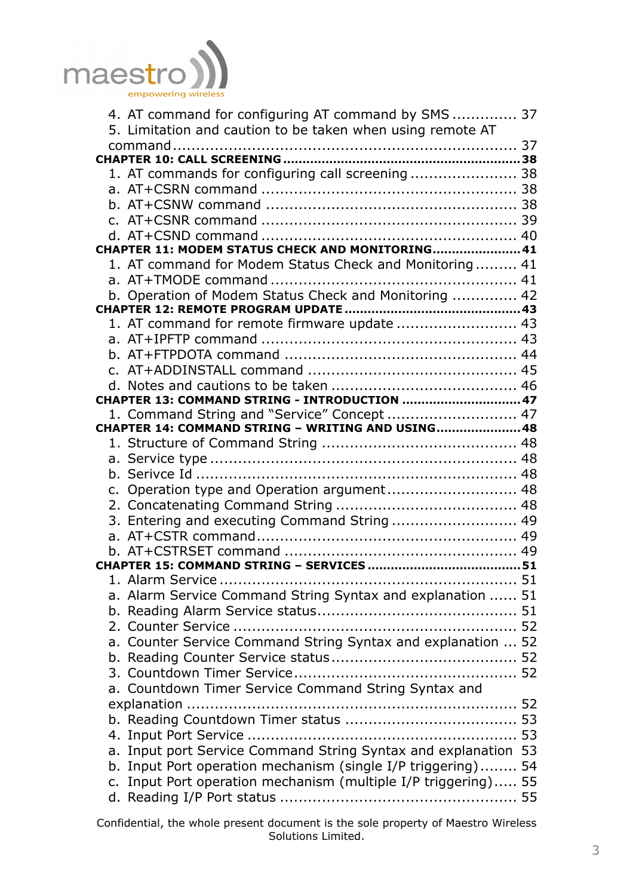

| 4. AT command for configuring AT command by SMS  37            |  |
|----------------------------------------------------------------|--|
| 5. Limitation and caution to be taken when using remote AT     |  |
|                                                                |  |
|                                                                |  |
| 1. AT commands for configuring call screening  38              |  |
|                                                                |  |
|                                                                |  |
|                                                                |  |
|                                                                |  |
| CHAPTER 11: MODEM STATUS CHECK AND MONITORING41                |  |
| 1. AT command for Modem Status Check and Monitoring 41         |  |
|                                                                |  |
| b. Operation of Modem Status Check and Monitoring  42          |  |
|                                                                |  |
| 1. AT command for remote firmware update  43                   |  |
|                                                                |  |
|                                                                |  |
|                                                                |  |
| CHAPTER 13: COMMAND STRING - INTRODUCTION  47                  |  |
| 1. Command String and "Service" Concept  47                    |  |
| CHAPTER 14: COMMAND STRING - WRITING AND USING 48              |  |
|                                                                |  |
|                                                                |  |
|                                                                |  |
| c. Operation type and Operation argument 48                    |  |
|                                                                |  |
| 3. Entering and executing Command String  49                   |  |
|                                                                |  |
|                                                                |  |
|                                                                |  |
|                                                                |  |
| a. Alarm Service Command String Syntax and explanation  51     |  |
|                                                                |  |
|                                                                |  |
| a. Counter Service Command String Syntax and explanation  52   |  |
|                                                                |  |
|                                                                |  |
| a. Countdown Timer Service Command String Syntax and           |  |
|                                                                |  |
|                                                                |  |
|                                                                |  |
| a. Input port Service Command String Syntax and explanation 53 |  |
| b. Input Port operation mechanism (single I/P triggering) 54   |  |
| c. Input Port operation mechanism (multiple I/P triggering) 55 |  |
|                                                                |  |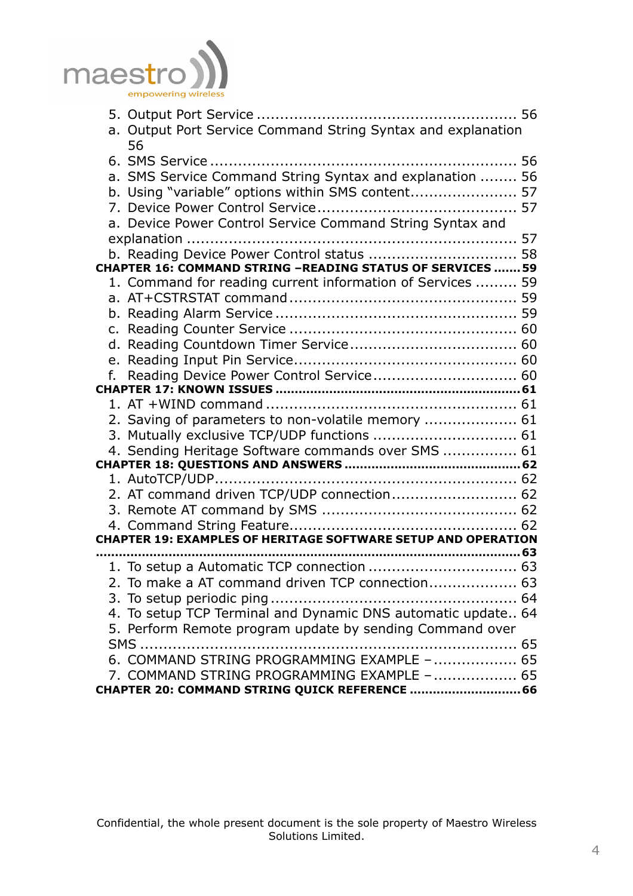

| a. Output Port Service Command String Syntax and explanation         |  |
|----------------------------------------------------------------------|--|
| 56                                                                   |  |
|                                                                      |  |
| a. SMS Service Command String Syntax and explanation  56             |  |
| b. Using "variable" options within SMS content 57                    |  |
|                                                                      |  |
| a. Device Power Control Service Command String Syntax and            |  |
|                                                                      |  |
| b. Reading Device Power Control status  58                           |  |
| <b>CHAPTER 16: COMMAND STRING -READING STATUS OF SERVICES 59</b>     |  |
| 1. Command for reading current information of Services  59           |  |
|                                                                      |  |
|                                                                      |  |
|                                                                      |  |
|                                                                      |  |
|                                                                      |  |
| f. Reading Device Power Control Service 60                           |  |
|                                                                      |  |
|                                                                      |  |
| 2. Saving of parameters to non-volatile memory  61                   |  |
| 3. Mutually exclusive TCP/UDP functions  61                          |  |
| 4. Sending Heritage Software commands over SMS  61                   |  |
|                                                                      |  |
|                                                                      |  |
| 2. AT command driven TCP/UDP connection 62                           |  |
|                                                                      |  |
|                                                                      |  |
| <b>CHAPTER 19: EXAMPLES OF HERITAGE SOFTWARE SETUP AND OPERATION</b> |  |
|                                                                      |  |
|                                                                      |  |
| 2. To make a AT command driven TCP connection 63                     |  |
|                                                                      |  |
| 4. To setup TCP Terminal and Dynamic DNS automatic update 64         |  |
| 5. Perform Remote program update by sending Command over             |  |
|                                                                      |  |
| 6. COMMAND STRING PROGRAMMING EXAMPLE -  65                          |  |
| 7. COMMAND STRING PROGRAMMING EXAMPLE -  65                          |  |
| CHAPTER 20: COMMAND STRING QUICK REFERENCE  66                       |  |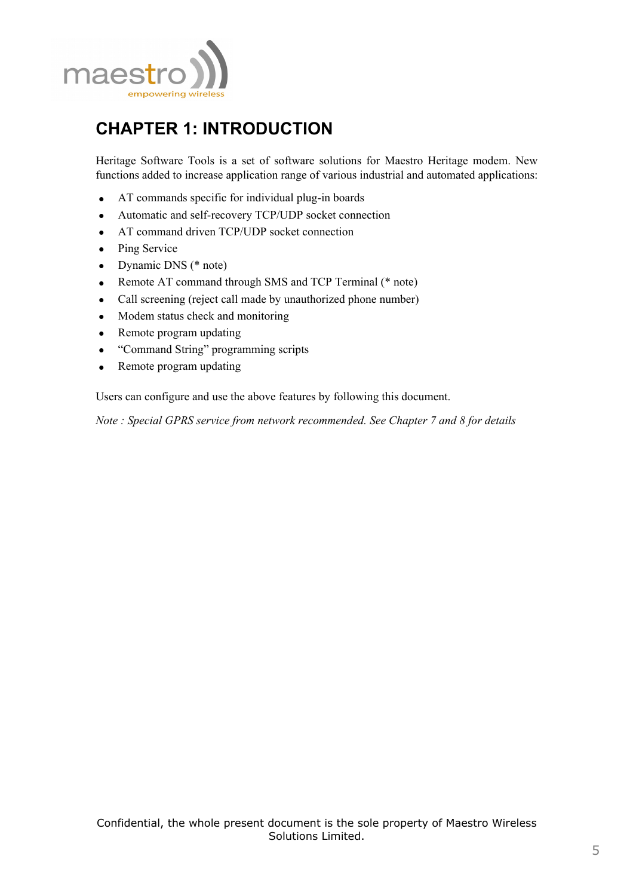

# **CHAPTER 1: INTRODUCTION**

Heritage Software Tools is a set of software solutions for Maestro Heritage modem. New functions added to increase application range of various industrial and automated applications:

- AT commands specific for individual plug-in boards
- Automatic and self-recovery TCP/UDP socket connection
- AT command driven TCP/UDP socket connection
- Ping Service
- Dynamic DNS (\* note)
- Remote AT command through SMS and TCP Terminal (\* note)
- Call screening (reject call made by unauthorized phone number)
- Modem status check and monitoring
- Remote program updating
- "Command String" programming scripts
- Remote program updating

Users can configure and use the above features by following this document.

*Note : Special GPRS service from network recommended. See Chapter 7 and 8 for details*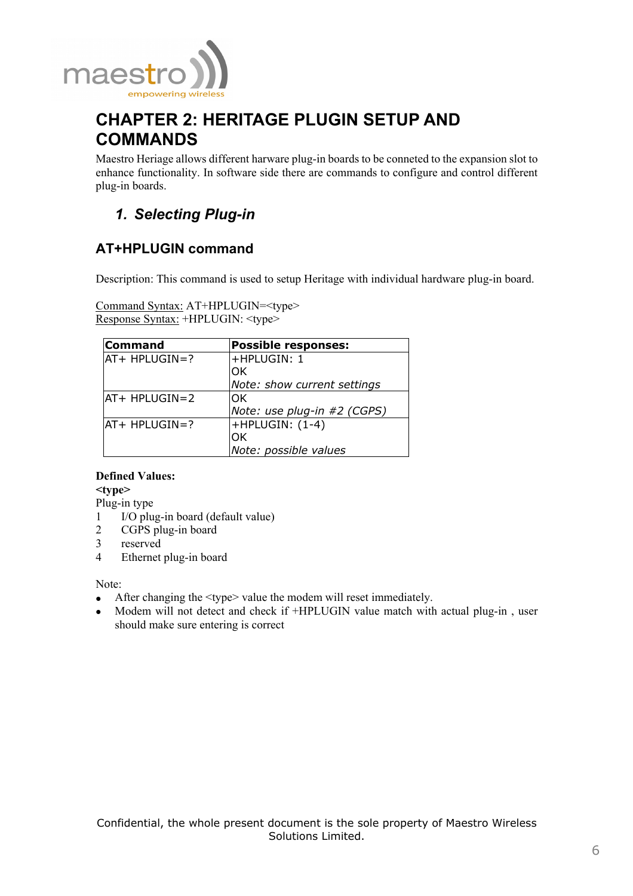

# **CHAPTER 2: HERITAGE PLUGIN SETUP AND COMMANDS**

Maestro Heriage allows different harware plug-in boards to be conneted to the expansion slot to enhance functionality. In software side there are commands to configure and control different plug-in boards.

# *1. Selecting Plug-in*

# **AT+HPLUGIN command**

Description: This command is used to setup Heritage with individual hardware plug-in board.

Command Syntax: AT+HPLUGIN=<type> Response Syntax: +HPLUGIN: <type>

| <b>Command</b> | <b>Possible responses:</b>  |
|----------------|-----------------------------|
| lat+ HPLUGIN=? | +HPLUGIN: 1                 |
|                | OK                          |
|                | Note: show current settings |
| IAT+ HPLUGIN=2 | OK                          |
|                | Note: use plug-in #2 (CGPS) |
| AT+ HPLUGIN=?  | $+$ HPLUGIN: $(1-4)$        |
|                | OK                          |
|                | Note: possible values       |

## **Defined Values:**

**<type>** 

Plug-in type

- 1 I/O plug-in board (default value)<br>2 CGPS plug-in board
- 2 CGPS plug-in board<br>3 reserved
- reserved
- 4 Ethernet plug-in board

Note:

- After changing the  $ltype$  value the modem will reset immediately.
- Modem will not detect and check if +HPLUGIN value match with actual plug-in, user should make sure entering is correct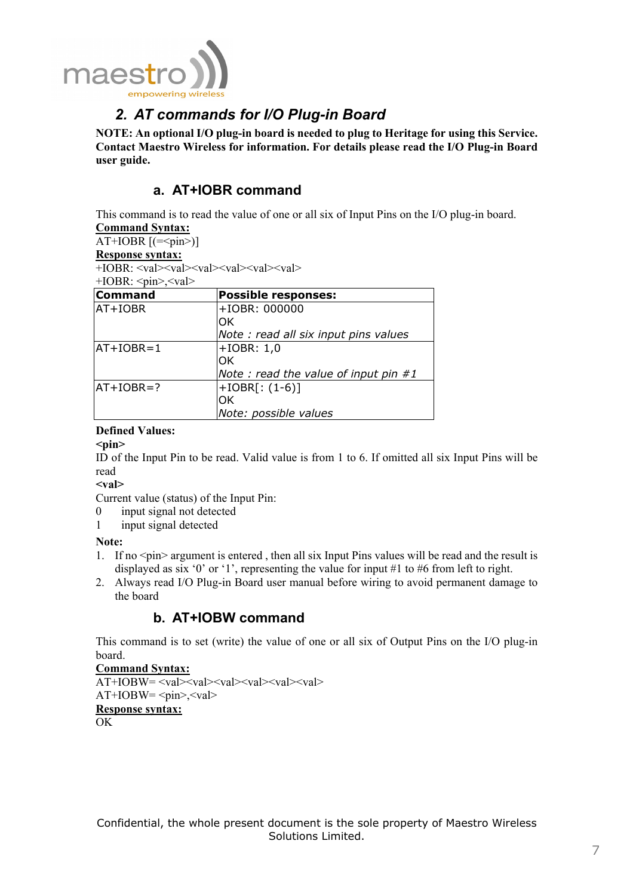

# *2. AT commands for I/O Plug-in Board*

**NOTE: An optional I/O plug-in board is needed to plug to Heritage for using this Service. Contact Maestro Wireless for information. For details please read the I/O Plug-in Board user guide.** 

## **a. AT+IOBR command**

This command is to read the value of one or all six of Input Pins on the I/O plug-in board. **Command Syntax:**

#### AT+IOBR  $[$ (= $\le$ pin $>$ )]

**Response syntax:**

 $+IOBR: <$ val $>$ val $>$ val $>$ val $>$ val $>$ val $>$ val $>$ 

+IOBR: <pin>,<val>

| <b>Command</b> | <b>Possible responses:</b>              |
|----------------|-----------------------------------------|
| AT+IOBR        | +IOBR: 000000                           |
|                | OK                                      |
|                | Note: read all six input pins values    |
| $AT+IOBR=1$    | $+IOBR: 1,0$                            |
|                | OK                                      |
|                | Note : read the value of input pin $#1$ |
| $AT+IOBR=?$    | $+IOBR[:(1-6)]$                         |
|                | OK                                      |
|                | Note: possible values                   |

## **Defined Values:**

 $<$ pin $>$ 

ID of the Input Pin to be read. Valid value is from 1 to 6. If omitted all six Input Pins will be read

**<val>** 

Current value (status) of the Input Pin:

- 0 input signal not detected
- 1 input signal detected

**Note:** 

- 1. If no  $\langle \text{pin} \rangle$  argument is entered, then all six Input Pins values will be read and the result is displayed as six '0' or '1', representing the value for input #1 to #6 from left to right.
- 2. Always read I/O Plug-in Board user manual before wiring to avoid permanent damage to the board

## **b. AT+IOBW command**

This command is to set (write) the value of one or all six of Output Pins on the I/O plug-in board.

**Command Syntax:**  $\overline{AT+IOBW}$ =<val><val><val><val><val><val>  $AT+IOBW=<sup>pin</sup>$ ,  $\langle val \rangle$ **Response syntax:** OK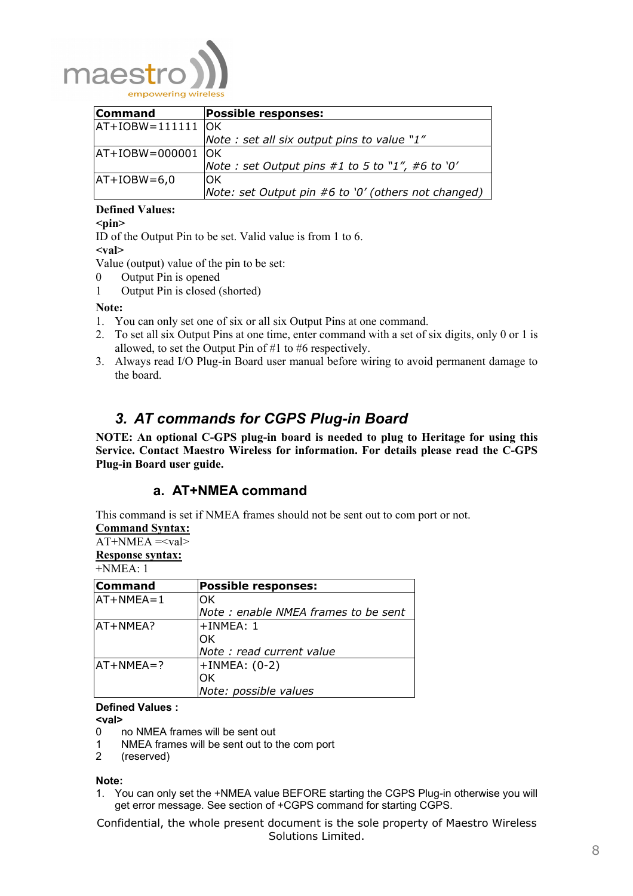

| <b>Command</b>      | <b>Possible responses:</b>                          |
|---------------------|-----------------------------------------------------|
| $AT+IOBW=111111$ OK |                                                     |
|                     | Note : set all six output pins to value "1"         |
| $AT+IOBW=000001$ OK |                                                     |
|                     | Note : set Output pins #1 to 5 to "1", #6 to '0'    |
| $ AT+IOBW=6,0$      | IOK.                                                |
|                     | Note: set Output pin #6 to '0' (others not changed) |

## **Defined Values:**

#### **<pin>**

ID of the Output Pin to be set. Valid value is from 1 to 6.

**<val>** 

Value (output) value of the pin to be set:

- 0 Output Pin is opened
- 1 Output Pin is closed (shorted)

#### **Note:**

- 1. You can only set one of six or all six Output Pins at one command.
- 2. To set all six Output Pins at one time, enter command with a set of six digits, only 0 or 1 is allowed, to set the Output Pin of #1 to #6 respectively.
- 3. Always read I/O Plug-in Board user manual before wiring to avoid permanent damage to the board.

# *3. AT commands for CGPS Plug-in Board*

**NOTE: An optional C-GPS plug-in board is needed to plug to Heritage for using this Service. Contact Maestro Wireless for information. For details please read the C-GPS Plug-in Board user guide.** 

## **a. AT+NMEA command**

This command is set if NMEA frames should not be sent out to com port or not.

#### **Command Syntax:**

AT+NMEA =<val> **Response syntax:**  $+NIMFA+1$ 

| $\sqcup$ NIVIL $\forall$ A. I |                                     |
|-------------------------------|-------------------------------------|
| <b>Command</b>                | <b>Possible responses:</b>          |
| $AT+NMEA=1$                   | OK                                  |
|                               | Note: enable NMEA frames to be sent |
| AT+NMEA?                      | $+IMMEA: 1$                         |
|                               | OK                                  |
|                               | Note : read current value           |
| $A + NMEA = ?$                | $+IMMEA: (0-2)$                     |
|                               | ЮK                                  |
|                               | Note: possible values               |

**Defined Values :** 

- **<val>**
- 0 no NMEA frames will be sent out
- 1 NMEA frames will be sent out to the com port

2 (reserved)

**Note:** 

1. You can only set the +NMEA value BEFORE starting the CGPS Plug-in otherwise you will get error message. See section of +CGPS command for starting CGPS.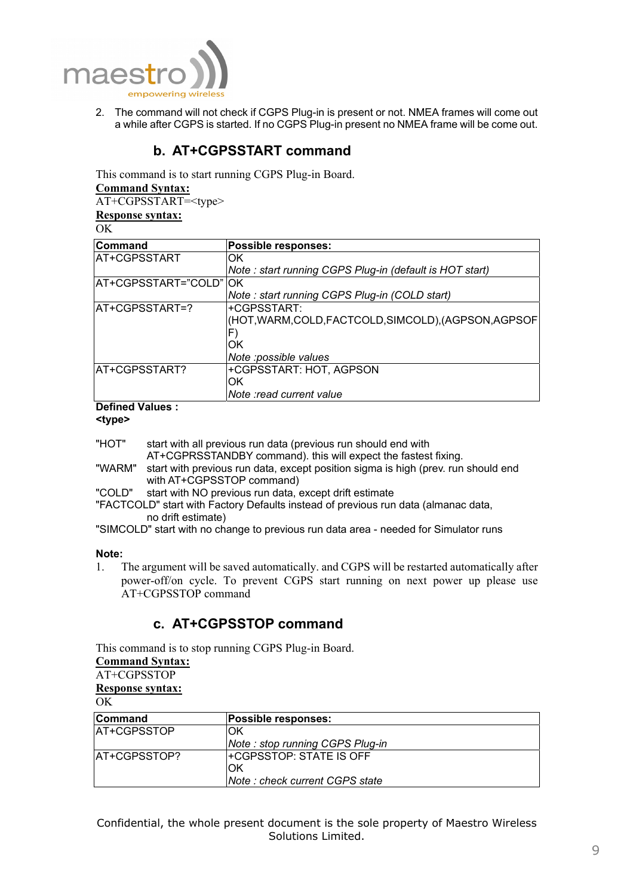

2. The command will not check if CGPS Plug-in is present or not. NMEA frames will come out a while after CGPS is started. If no CGPS Plug-in present no NMEA frame will be come out.

## **b. AT+CGPSSTART command**

This command is to start running CGPS Plug-in Board.

#### **Command Syntax:**

AT+CGPSSTART=<type> **Response syntax:**

OK

| <b>Command</b>         | <b>Possible responses:</b>                              |
|------------------------|---------------------------------------------------------|
| AT+CGPSSTART           | OK                                                      |
|                        | Note: start running CGPS Plug-in (default is HOT start) |
| AT+CGPSSTART="COLD" OK |                                                         |
|                        | Note: start running CGPS Plug-in (COLD start)           |
| AT+CGPSSTART=?         | +CGPSSTART:                                             |
|                        | (HOT,WARM,COLD,FACTCOLD,SIMCOLD),(AGPSON,AGPSOF         |
|                        |                                                         |
|                        | OK                                                      |
|                        | Note : possible values                                  |
| AT+CGPSSTART?          | +CGPSSTART: HOT, AGPSON                                 |
|                        | ЮK                                                      |
|                        | Note : read current value                               |
| .                      |                                                         |

#### **Defined Values :**

**<type>** 

"HOT" start with all previous run data (previous run should end with

AT+CGPRSSTANDBY command). this will expect the fastest fixing.

- "WARM" start with previous run data, except position sigma is high (prev. run should end with AT+CGPSSTOP command)
- "COLD" start with NO previous run data, except drift estimate

"FACTCOLD" start with Factory Defaults instead of previous run data (almanac data, no drift estimate)

"SIMCOLD" start with no change to previous run data area - needed for Simulator runs

#### **Note:**

1. The argument will be saved automatically. and CGPS will be restarted automatically after power-off/on cycle. To prevent CGPS start running on next power up please use AT+CGPSSTOP command

## **c. AT+CGPSSTOP command**

This command is to stop running CGPS Plug-in Board.

### **Command Syntax:**

# AT+CGPSSTOP

## **Response syntax:**

OK

| Command       | <b>Possible responses:</b>             |
|---------------|----------------------------------------|
| AT+CGPSSTOP   | OK                                     |
|               | Note: stop running CGPS Plug-in        |
| lAT+CGPSSTOP? | <b>I+CGPSSTOP: STATE IS OFF</b>        |
|               | IOK                                    |
|               | <b>Note : check current CGPS state</b> |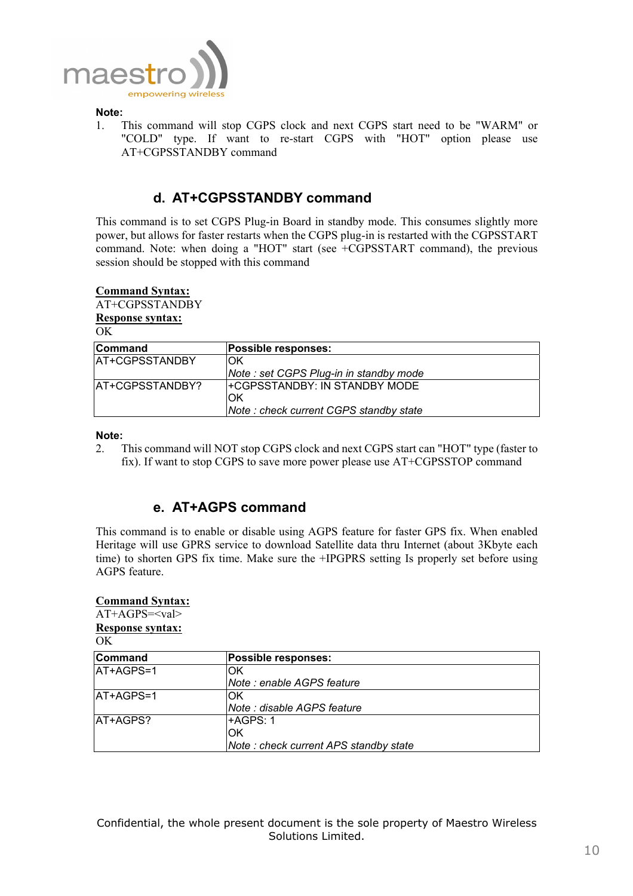

#### **Note:**

1. This command will stop CGPS clock and next CGPS start need to be "WARM" or "COLD" type. If want to re-start CGPS with "HOT" option please use AT+CGPSSTANDBY command

## **d. AT+CGPSSTANDBY command**

This command is to set CGPS Plug-in Board in standby mode. This consumes slightly more power, but allows for faster restarts when the CGPS plug-in is restarted with the CGPSSTART command. Note: when doing a "HOT" start (see +CGPSSTART command), the previous session should be stopped with this command

#### **Command Syntax:**

## AT+CGPSSTANDBY **Response syntax:**

OK

| Command          | <b>Possible responses:</b>              |
|------------------|-----------------------------------------|
| IAT+CGPSSTANDBY  | ЮK                                      |
|                  | Note : set CGPS Plug-in in standby mode |
| lAT+CGPSSTANDBY? | <b>I+CGPSSTANDBY: IN STANDBY MODE</b>   |
|                  | ЮK                                      |
|                  | Note: check current CGPS standby state  |

#### **Note:**

2. This command will NOT stop CGPS clock and next CGPS start can "HOT" type (faster to fix). If want to stop CGPS to save more power please use AT+CGPSSTOP command

## **e. AT+AGPS command**

This command is to enable or disable using AGPS feature for faster GPS fix. When enabled Heritage will use GPRS service to download Satellite data thru Internet (about 3Kbyte each time) to shorten GPS fix time. Make sure the +IPGPRS setting Is properly set before using AGPS feature.

| <b>Command Syntax:</b><br>$AT+AGPS=$ |                                       |
|--------------------------------------|---------------------------------------|
| <b>Response syntax:</b><br>OK        |                                       |
| Command                              | Possible responses:                   |
| AT+AGPS=1                            | OK                                    |
|                                      | Note : enable AGPS feature            |
| AT+AGPS=1                            | OK                                    |
|                                      | Note : disable AGPS feature           |
| AT+AGPS?                             | +AGPS: 1                              |
|                                      | ЮK                                    |
|                                      | Note: check current APS standby state |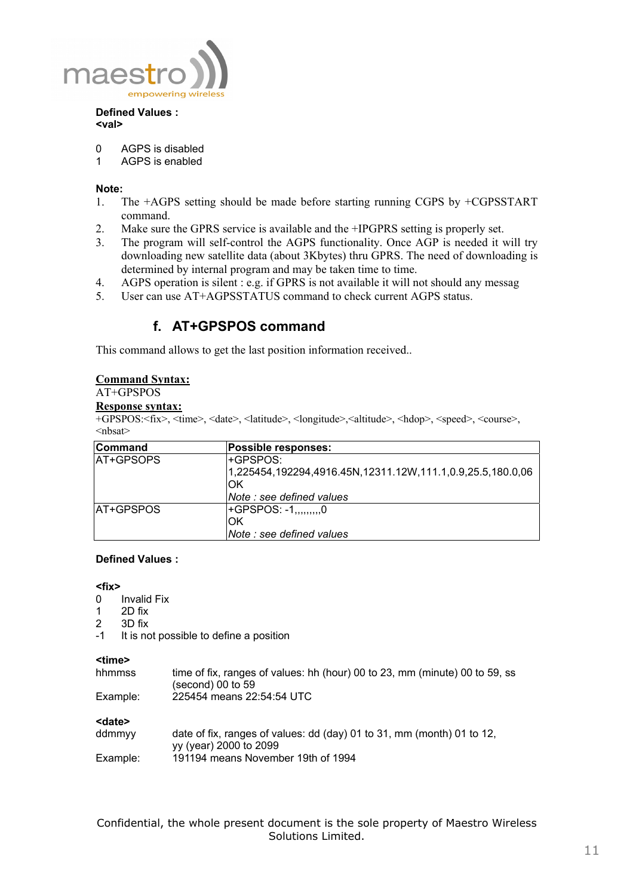

#### **Defined Values : <val>**

- 0 AGPS is disabled
- 1 AGPS is enabled

#### **Note:**

- 1. The +AGPS setting should be made before starting running CGPS by +CGPSSTART command.
- 2. Make sure the GPRS service is available and the +IPGPRS setting is properly set.
- 3. The program will self-control the AGPS functionality. Once AGP is needed it will try downloading new satellite data (about 3Kbytes) thru GPRS. The need of downloading is determined by internal program and may be taken time to time.
- 4. AGPS operation is silent : e.g. if GPRS is not available it will not should any messag
- 5. User can use AT+AGPSSTATUS command to check current AGPS status.

## **f. AT+GPSPOS command**

This command allows to get the last position information received..

#### **Command Syntax:**

## AT+GPSPOS

## **Response syntax:**

+GPSPOS:<fix>, <time>, <date>, <latitude>, <longitude>,<altitude>, <hdop>, <speed>, <course>,  $\langle nhsat \rangle$ 

| <b>Command</b>    | <b>Possible responses:</b>                                 |
|-------------------|------------------------------------------------------------|
| <b>IAT+GPSOPS</b> | l+GPSPOS:                                                  |
|                   | 1,225454,192294,4916.45N,12311.12W,111.1,0.9,25.5,180.0,06 |
|                   | IOK                                                        |
|                   | <i>Note : see defined values</i>                           |
| <b>IAT+GPSPOS</b> | $H$ -GPSPOS: -1,,,,,,,,,0                                  |
|                   | IOK                                                        |
|                   | Note : see defined values                                  |

#### **Defined Values :**

#### **<fix>**

- 0 Invalid Fix
- 1 2D fix<br>2 3D fix
- 3D fix
- -1 It is not possible to define a position

#### **<time>**

| hhmmss   | time of fix, ranges of values: hh (hour) 00 to 23, mm (minute) 00 to 59, ss |
|----------|-----------------------------------------------------------------------------|
|          | $(second)$ 00 to 59                                                         |
| Example: | 225454 means 22:54:54 UTC                                                   |

**<date>**

| ddmmyy   | date of fix, ranges of values: dd (day) 01 to 31, mm (month) 01 to 12, |
|----------|------------------------------------------------------------------------|
|          | vy (year) 2000 to 2099                                                 |
| Example: | 191194 means November 19th of 1994                                     |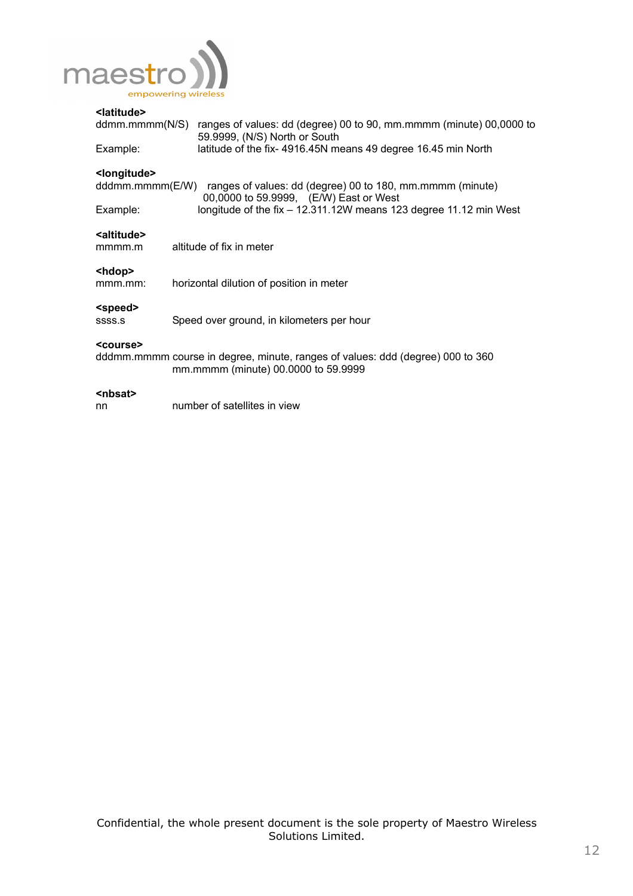

## **<latitude>**

| ddmm.mmmm(N/S)<br>Example:                  | ranges of values: dd (degree) 00 to 90, mm.mmmm (minute) 00,0000 to<br>59.9999, (N/S) North or South<br>latitude of the fix- 4916.45N means 49 degree 16.45 min North |
|---------------------------------------------|-----------------------------------------------------------------------------------------------------------------------------------------------------------------------|
| <longitude><br/>dddmm.mmmm(E/W)</longitude> | ranges of values: dd (degree) 00 to 180, mm.mmmm (minute)<br>00,0000 to 59.9999, (E/W) East or West                                                                   |
| Example:                                    | longitude of the fix $-$ 12.311.12W means 123 degree 11.12 min West                                                                                                   |
| <altitude><br/>mmmm.m</altitude>            | altitude of fix in meter                                                                                                                                              |
| <hdop><br/>mmm.mm:</hdop>                   | horizontal dilution of position in meter                                                                                                                              |
| <speed><br/>SSSS.S</speed>                  | Speed over ground, in kilometers per hour                                                                                                                             |
| <course></course>                           | dddmm.mmmm course in degree, minute, ranges of values: ddd (degree) 000 to 360<br>mm.mmmm (minute) 00.0000 to 59.9999                                                 |
| <nbsat><br/>nn</nbsat>                      | number of satellites in view                                                                                                                                          |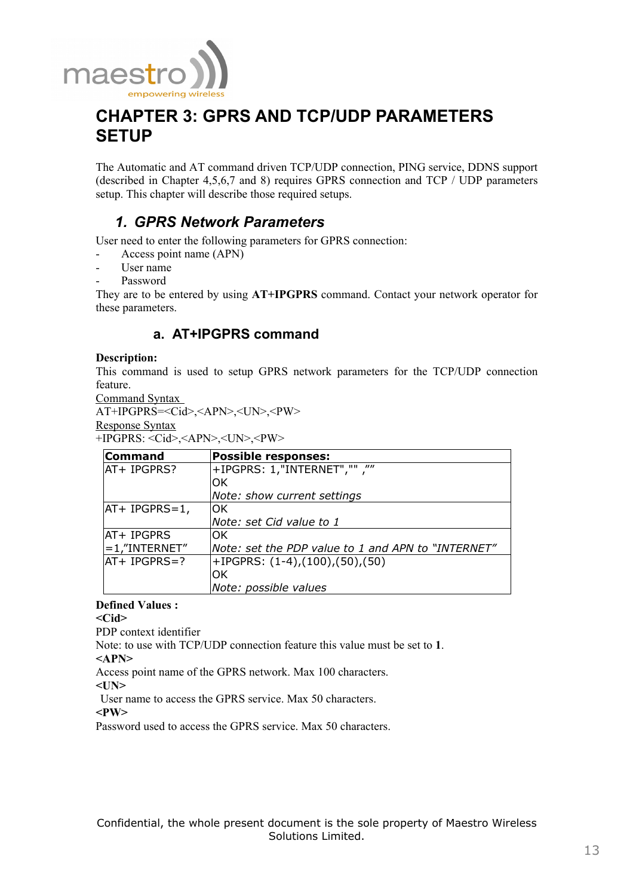

# **CHAPTER 3: GPRS AND TCP/UDP PARAMETERS SETUP**

The Automatic and AT command driven TCP/UDP connection, PING service, DDNS support (described in Chapter 4,5,6,7 and 8) requires GPRS connection and TCP / UDP parameters setup. This chapter will describe those required setups.

# *1. GPRS Network Parameters*

User need to enter the following parameters for GPRS connection:

- Access point name (APN)
- User name
- Password

They are to be entered by using **AT+IPGPRS** command. Contact your network operator for these parameters.

## **a. AT+IPGPRS command**

#### **Description:**

This command is used to setup GPRS network parameters for the TCP/UDP connection feature.

Command Syntax

```
AT+IPGPRS=<Cid>,<APN>,<UN>,<PW> 
Response Syntax
```
+IPGPRS: <Cid>,<APN>,<UN>,<PW>

| <b>Command</b>   | <b>Possible responses:</b>                         |
|------------------|----------------------------------------------------|
| AT+ IPGPRS?      | "", ""INTERNET", "" F                              |
|                  | ЮK                                                 |
|                  | Note: show current settings                        |
| $AT+ IPGPRS=1,$  | OK                                                 |
|                  | Note: set Cid value to 1                           |
| IAT+ IPGPRS      | ЮK                                                 |
| $=1$ ,"INTERNET" | Note: set the PDP value to 1 and APN to "INTERNET" |
| lat+ IPGPRS=?    | $+IPGPRS: (1-4)$ , $(100)$ , $(50)$ , $(50)$       |
|                  | OK                                                 |
|                  | Note: possible values                              |

### **Defined Values :**

**<Cid>** 

PDP context identifier

Note: to use with TCP/UDP connection feature this value must be set to **1**.

**<APN>** 

Access point name of the GPRS network. Max 100 characters.

**<UN>** 

User name to access the GPRS service. Max 50 characters.

**<PW>** 

Password used to access the GPRS service. Max 50 characters.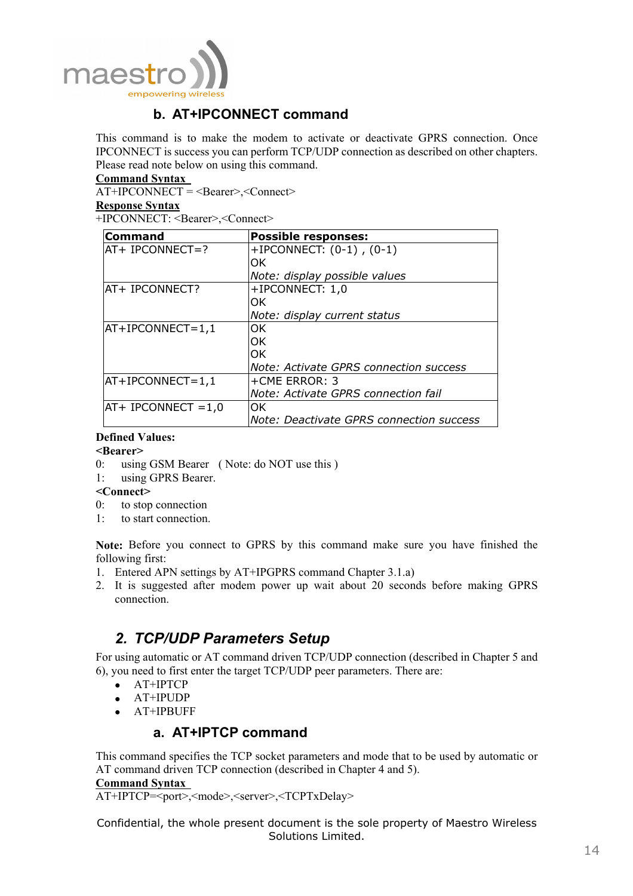

# **b. AT+IPCONNECT command**

This command is to make the modem to activate or deactivate GPRS connection. Once IPCONNECT is success you can perform TCP/UDP connection as described on other chapters. Please read note below on using this command.

#### **Command Syntax**

 $\overline{AT+IPCONNECT}$  = <Bearer>,<Connect>

#### **Response Syntax**

+IPCONNECT: <Bearer>,<Connect>

| Command               | <b>Possible responses:</b>               |
|-----------------------|------------------------------------------|
| $AT+ IPCONNECT=?$     | +IPCONNECT: $(0-1)$ , $(0-1)$            |
|                       | lOK.                                     |
|                       | Note: display possible values            |
| AT+ IPCONNECT?        | +IPCONNECT: 1,0                          |
|                       | IOK.                                     |
|                       | Note: display current status             |
| $AT+IPCONNECT=1,1$    | lOK.                                     |
|                       | lOK.                                     |
|                       | lOK.                                     |
|                       | Note: Activate GPRS connection success   |
| $AT+IPCONNECT=1,1$    | +CME ERROR: 3                            |
|                       | Note: Activate GPRS connection fail      |
| $AT+ IPCONNECT = 1,0$ | lOK.                                     |
|                       | Note: Deactivate GPRS connection success |

#### **Defined Values:**

#### **<Bearer>**

- 0: using GSM Bearer ( Note: do NOT use this )
- 1: using GPRS Bearer.

### **<Connect>**

- 0: to stop connection
- 1: to start connection.

**Note:** Before you connect to GPRS by this command make sure you have finished the following first:

- 1. Entered APN settings by AT+IPGPRS command Chapter 3.1.a)
- 2. It is suggested after modem power up wait about 20 seconds before making GPRS connection.

## *2. TCP/UDP Parameters Setup*

For using automatic or AT command driven TCP/UDP connection (described in Chapter 5 and 6), you need to first enter the target TCP/UDP peer parameters. There are:

- AT+IPTCP
- AT+IPUDP
- AT+IPBUFF

## **a. AT+IPTCP command**

This command specifies the TCP socket parameters and mode that to be used by automatic or AT command driven TCP connection (described in Chapter 4 and 5).

**Command Syntax** 

AT+IPTCP=<port>,<mode>,<server>,<TCPTxDelay>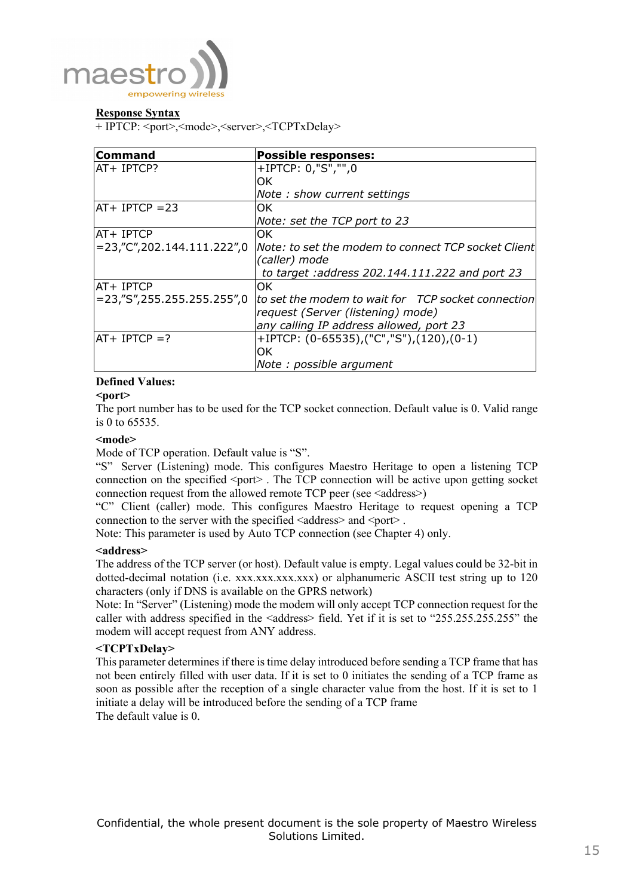

#### **Response Syntax**

+ IPTCP: <port>,<mode>,<server>,<TCPTxDelay>

| <b>Command</b>                   | <b>Possible responses:</b>                             |
|----------------------------------|--------------------------------------------------------|
| AT+ IPTCP?                       | +IPTCP: 0,"S","",0                                     |
|                                  | OK.                                                    |
|                                  | Note: show current settings                            |
| $AT+ IPTCP = 23$                 | OK.                                                    |
|                                  | Note: set the TCP port to 23                           |
| <b>AT+ IPTCP</b>                 | OK.                                                    |
| $= 23$ ,"C", 202.144.111.222", 0 | Note: to set the modem to connect TCP socket Client    |
|                                  | (caller) mode                                          |
|                                  | to target : address 202.144.111.222 and port 23        |
| AT+ IPTCP                        | OK.                                                    |
| $= 23$ ,"S",255.255.255.255",0   | to set the modem to wait for TCP socket connection     |
|                                  | request (Server (listening) mode)                      |
|                                  | any calling IP address allowed, port 23                |
| $AT+ IPTCP = ?$                  | +IPTCP: $(0-65535)$ , $("C", "S")$ , $(120)$ , $(0-1)$ |
|                                  | OK.                                                    |
|                                  | Note: possible argument                                |

## **Defined Values:**

#### **<port>**

The port number has to be used for the TCP socket connection. Default value is 0. Valid range is 0 to 65535.

#### **<mode>**

Mode of TCP operation. Default value is "S".

"S" Server (Listening) mode. This configures Maestro Heritage to open a listening TCP connection on the specified  $\leq$  port $\geq$ . The TCP connection will be active upon getting socket connection request from the allowed remote TCP peer (see <address>)

"C" Client (caller) mode. This configures Maestro Heritage to request opening a TCP connection to the server with the specified  $\leq$  address $\geq$  and  $\leq$  port $\geq$ .

Note: This parameter is used by Auto TCP connection (see Chapter 4) only.

#### **<address>**

The address of the TCP server (or host). Default value is empty. Legal values could be 32-bit in dotted-decimal notation (i.e. xxx.xxx.xxx.xxx) or alphanumeric ASCII test string up to 120 characters (only if DNS is available on the GPRS network)

Note: In "Server" (Listening) mode the modem will only accept TCP connection request for the caller with address specified in the <address>field. Yet if it is set to "255.255.255.255" the modem will accept request from ANY address.

### **<TCPTxDelay>**

This parameter determines if there is time delay introduced before sending a TCP frame that has not been entirely filled with user data. If it is set to 0 initiates the sending of a TCP frame as soon as possible after the reception of a single character value from the host. If it is set to 1 initiate a delay will be introduced before the sending of a TCP frame The default value is 0.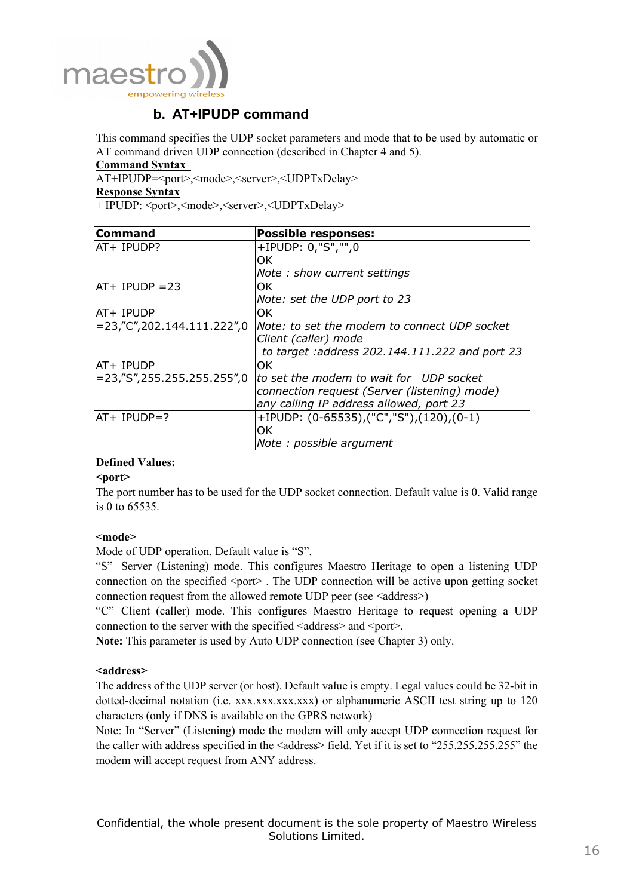

## **b. AT+IPUDP command**

This command specifies the UDP socket parameters and mode that to be used by automatic or AT command driven UDP connection (described in Chapter 4 and 5).

#### **Command Syntax**

AT+IPUDP=<port>,<mode>,<server>,<UDPTxDelay>

#### **Response Syntax**

+ IPUDP: <port>,<mode>,<server>,<UDPTxDelay>

| Command                        | <b>Possible responses:</b>                          |
|--------------------------------|-----------------------------------------------------|
| AT+ IPUDP?                     | +IPUDP: 0,"S","",0                                  |
|                                | OK.                                                 |
|                                | Note: show current settings                         |
| $AT+ IPUDP = 23$               | OK.                                                 |
|                                | Note: set the UDP port to 23                        |
| AT+ IPUDP                      | OK.                                                 |
| $= 23$ ,"C",202.144.111.222",0 | Note: to set the modem to connect UDP socket        |
|                                | Client (caller) mode                                |
|                                | to target : address 202.144.111.222 and port 23     |
| AT+ IPUDP                      | OK.                                                 |
| =23,"S",255.255.255.255",0     | to set the modem to wait for UDP socket             |
|                                | connection request (Server (listening) mode)        |
|                                | any calling IP address allowed, port 23             |
| $AT+ IPUDP=?$                  | +IPUDP: $(0-65535)$ , $("C", "S"), (120)$ , $(0-1)$ |
|                                | OK.                                                 |
|                                | Note: possible argument                             |

### **Defined Values:**

#### **<port>**

The port number has to be used for the UDP socket connection. Default value is 0. Valid range is 0 to 65535.

### **<mode>**

Mode of UDP operation. Default value is "S".

"S" Server (Listening) mode. This configures Maestro Heritage to open a listening UDP connection on the specified  $\leq$  port $\geq$ . The UDP connection will be active upon getting socket connection request from the allowed remote UDP peer (see <address>)

"C" Client (caller) mode. This configures Maestro Heritage to request opening a UDP connection to the server with the specified  $\leq$  address $>$  and  $\leq$  port $>$ .

**Note:** This parameter is used by Auto UDP connection (see Chapter 3) only.

### **<address>**

The address of the UDP server (or host). Default value is empty. Legal values could be 32-bit in dotted-decimal notation (i.e. xxx.xxx.xxx.xxx) or alphanumeric ASCII test string up to 120 characters (only if DNS is available on the GPRS network)

Note: In "Server" (Listening) mode the modem will only accept UDP connection request for the caller with address specified in the <address>field. Yet if it is set to "255.255.255.255" the modem will accept request from ANY address.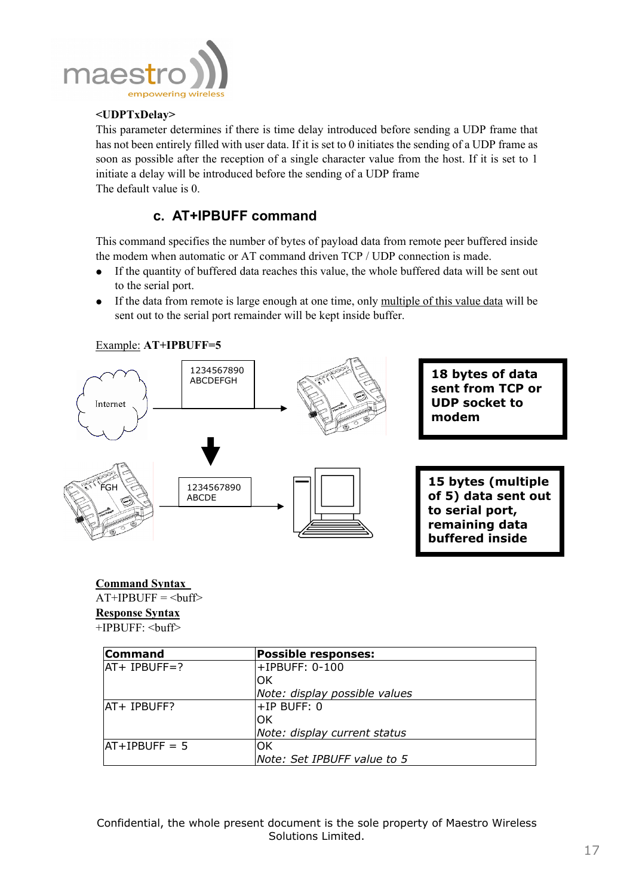

## **<UDPTxDelay>**

This parameter determines if there is time delay introduced before sending a UDP frame that has not been entirely filled with user data. If it is set to 0 initiates the sending of a UDP frame as soon as possible after the reception of a single character value from the host. If it is set to 1 initiate a delay will be introduced before the sending of a UDP frame The default value is 0.

## **c. AT+IPBUFF command**

This command specifies the number of bytes of payload data from remote peer buffered inside the modem when automatic or AT command driven TCP / UDP connection is made.

- If the quantity of buffered data reaches this value, the whole buffered data will be sent out to the serial port.
- If the data from remote is large enough at one time, only multiple of this value data will be sent out to the serial port remainder will be kept inside buffer.



## **Command Syntax**

 $AT+IPBUFF = **buffer**$ **Response Syntax** +IPBUFF: <buff>

| <b>Command</b>     | <b>Possible responses:</b>    |
|--------------------|-------------------------------|
| $ AT + IPBUFF = ?$ | +IPBUFF: 0-100                |
|                    | IOK                           |
|                    | Note: display possible values |
| IAT+ IPBUFF?       | $+IP$ BUFF: 0                 |
|                    | lOK                           |
|                    | Note: display current status  |
| $ AT+IPBUFF = 5$   | IOK                           |
|                    | Note: Set IPBUFF value to 5   |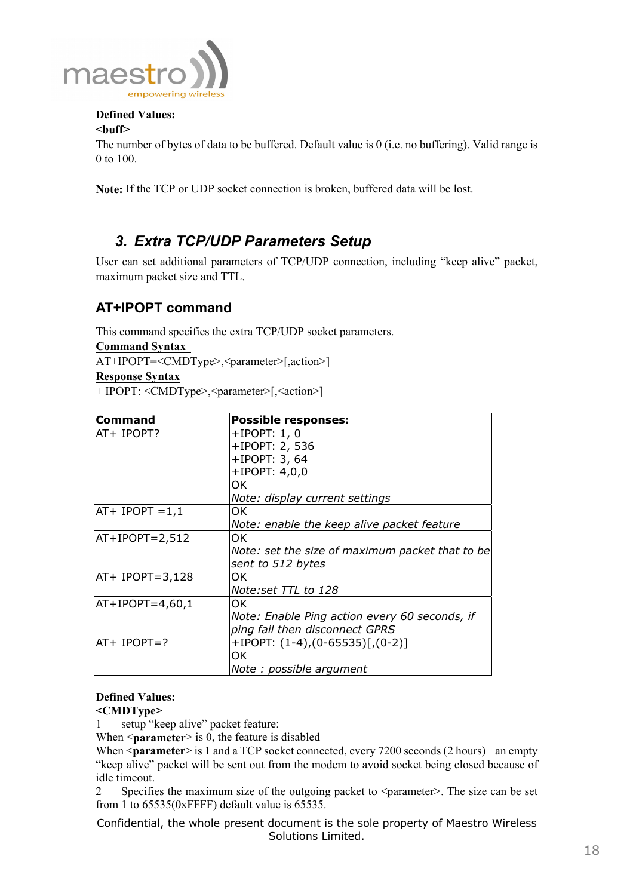

## **Defined Values:**

## **<buff>**

The number of bytes of data to be buffered. Default value is 0 (i.e. no buffering). Valid range is 0 to 100.

**Note:** If the TCP or UDP socket connection is broken, buffered data will be lost.

# *3. Extra TCP/UDP Parameters Setup*

User can set additional parameters of TCP/UDP connection, including "keep alive" packet, maximum packet size and TTL.

# **AT+IPOPT command**

This command specifies the extra TCP/UDP socket parameters.

**Command Syntax** 

AT+IPOPT=<CMDType>,<parameter>[,action>]

**Response Syntax**

+ IPOPT: <CMDType>,<parameter>[,<action>]

| <b>Command</b>    | <b>Possible responses:</b>                      |
|-------------------|-------------------------------------------------|
| AT+ IPOPT?        | $+$ IPOPT: 1, 0                                 |
|                   | +IPOPT: 2, 536                                  |
|                   | +IPOPT: 3, 64                                   |
|                   | $+$ IPOPT: 4,0,0                                |
|                   | ΩK                                              |
|                   | Note: display current settings                  |
| $AT+ IPOPT = 1,1$ | OK                                              |
|                   | Note: enable the keep alive packet feature      |
| AT+IPOPT=2,512    | OK.                                             |
|                   | Note: set the size of maximum packet that to be |
|                   | sent to 512 bytes                               |
| $AT+ IPOPT=3,128$ | OK.                                             |
|                   | Note:set TTL to 128                             |
| $AT+IPOPT=4,60,1$ | OK.                                             |
|                   | Note: Enable Ping action every 60 seconds, if   |
|                   | ping fail then disconnect GPRS                  |
| $AT+ IPOPT=?$     | $+$ IPOPT: $(1-4)$ , $(0-65535)$ [, $(0-2)$ ]   |
|                   | OK.                                             |
|                   | Note: possible argument                         |

## **Defined Values:**

#### **<CMDType>**

1 setup "keep alive" packet feature:

When  $\leq$ **parameter** $\geq$  is 0, the feature is disabled

When <**parameter**> is 1 and a TCP socket connected, every 7200 seconds (2 hours) an empty "keep alive" packet will be sent out from the modem to avoid socket being closed because of idle timeout.

2 Specifies the maximum size of the outgoing packet to  $\epsilon$  arameter >. The size can be set from 1 to 65535(0xFFFF) default value is 65535.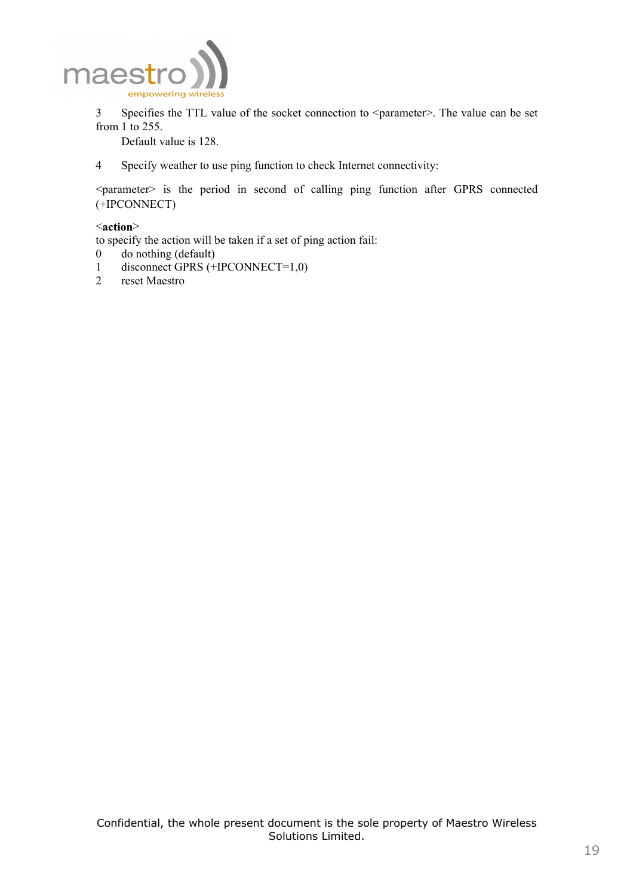

3 Specifies the TTL value of the socket connection to <parameter>. The value can be set from  $1$  to 255.

Default value is 128.

4 Specify weather to use ping function to check Internet connectivity:

<parameter> is the period in second of calling ping function after GPRS connected (+IPCONNECT)

#### <**action**>

to specify the action will be taken if a set of ping action fail:

- 0 do nothing (default)
- 1 disconnect GPRS (+IPCONNECT=1,0)<br>2 reset Maestro
- reset Maestro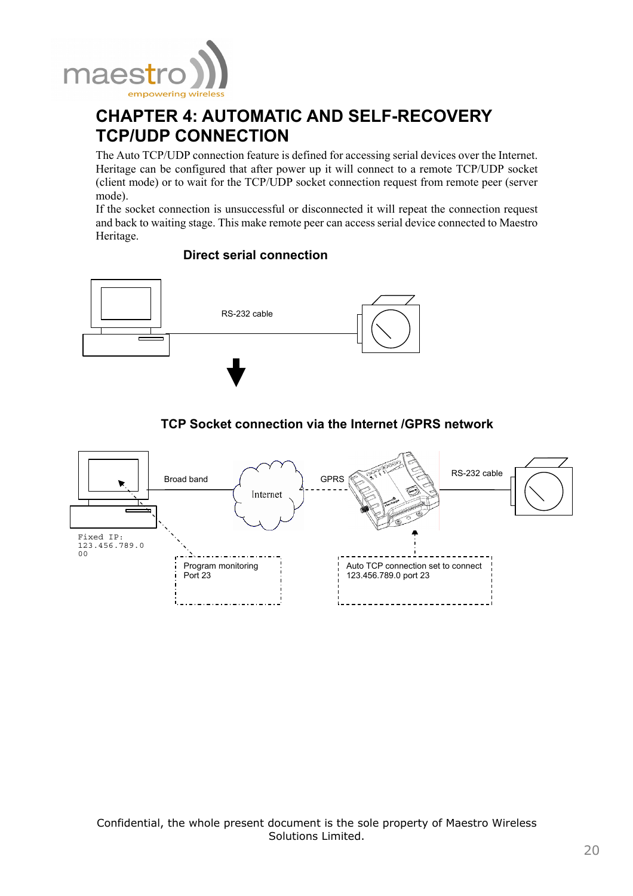

# **CHAPTER 4: AUTOMATIC AND SELF-RECOVERY TCP/UDP CONNECTION**

The Auto TCP/UDP connection feature is defined for accessing serial devices over the Internet. Heritage can be configured that after power up it will connect to a remote TCP/UDP socket (client mode) or to wait for the TCP/UDP socket connection request from remote peer (server mode).

If the socket connection is unsuccessful or disconnected it will repeat the connection request and back to waiting stage. This make remote peer can access serial device connected to Maestro Heritage.

## **Direct serial connection**



## **TCP Socket connection via the Internet /GPRS network**

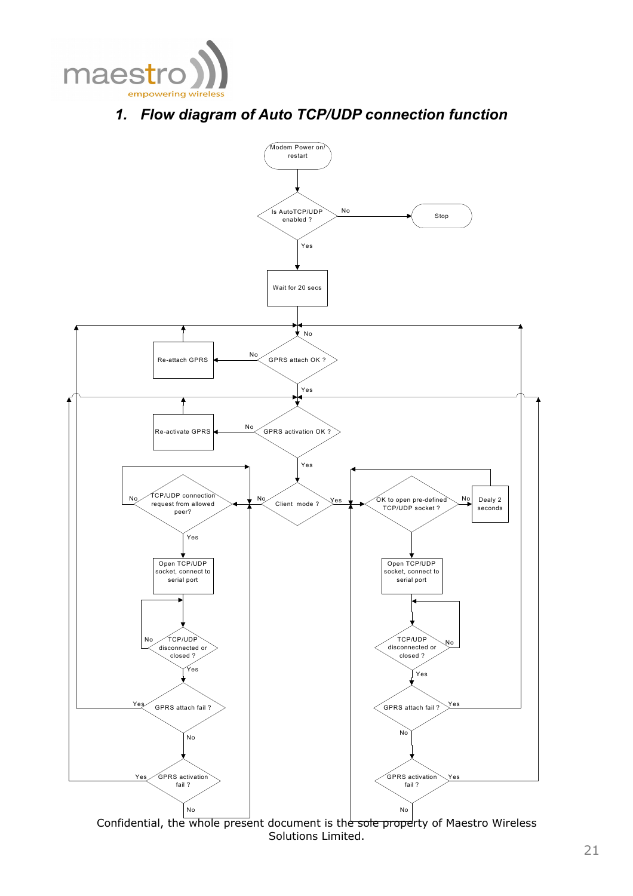

# *1. Flow diagram of Auto TCP/UDP connection function*



Confidential, the whole present document is the sole property of Maestro Wireless Solutions Limited.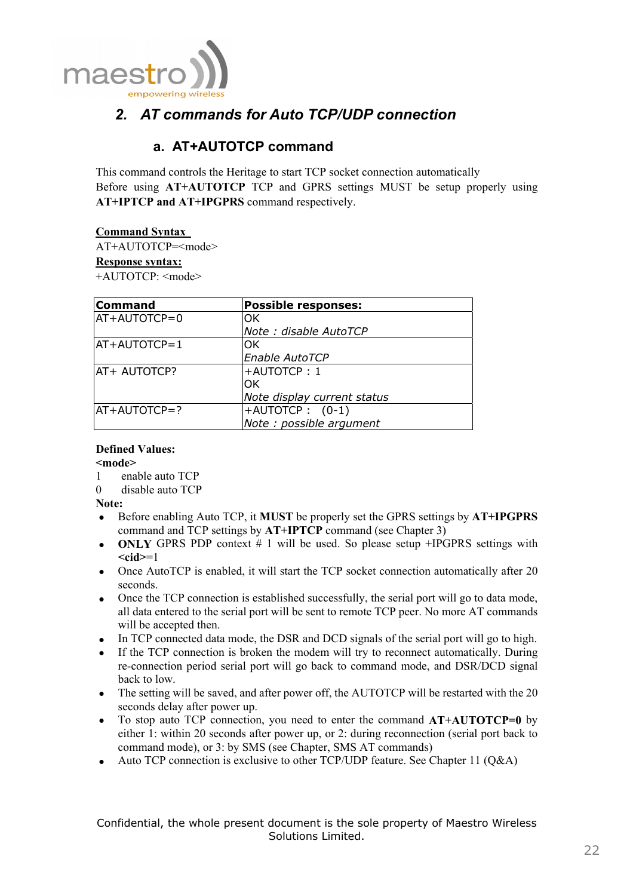

# *2. AT commands for Auto TCP/UDP connection*

# **a. AT+AUTOTCP command**

This command controls the Heritage to start TCP socket connection automatically Before using **AT+AUTOTCP** TCP and GPRS settings MUST be setup properly using **AT+IPTCP and AT+IPGPRS** command respectively.

### **Command Syntax**

AT+AUTOTCP=<mode>

#### **Response syntax:**

+AUTOTCP: <mode>

| <b>Command</b> | <b>Possible responses:</b>  |
|----------------|-----------------------------|
| $AT+AUTOTCP=0$ | ΩK                          |
|                | Note: disable AutoTCP       |
| $AT+AUTOTCP=1$ | OK                          |
|                | Enable AutoTCP              |
| AT+ AUTOTCP?   | +AUTOTCP: 1                 |
|                | OK.                         |
|                | Note display current status |
| $AT+AUTOTCP=?$ | $+$ AUTOTCP: $(0-1)$        |
|                | Note : possible argument    |

#### **Defined Values: <mode>**

- 1 enable auto TCP
- 0 disable auto TCP

**Note:** 

- Before enabling Auto TCP, it **MUST** be properly set the GPRS settings by **AT+IPGPRS** command and TCP settings by **AT+IPTCP** command (see Chapter 3)
- **ONLY** GPRS PDP context # 1 will be used. So please setup +IPGPRS settings with **<cid>**=1
- Once AutoTCP is enabled, it will start the TCP socket connection automatically after 20 seconds.
- Once the TCP connection is established successfully, the serial port will go to data mode, all data entered to the serial port will be sent to remote TCP peer. No more AT commands will be accepted then.
- In TCP connected data mode, the DSR and DCD signals of the serial port will go to high.
- If the TCP connection is broken the modem will try to reconnect automatically. During re-connection period serial port will go back to command mode, and DSR/DCD signal back to low.
- The setting will be saved, and after power off, the AUTOTCP will be restarted with the 20 seconds delay after power up.
- To stop auto TCP connection, you need to enter the command **AT+AUTOTCP=0** by either 1: within 20 seconds after power up, or 2: during reconnection (serial port back to command mode), or 3: by SMS (see Chapter, SMS AT commands)
- Auto TCP connection is exclusive to other TCP/UDP feature. See Chapter 11 (Q&A)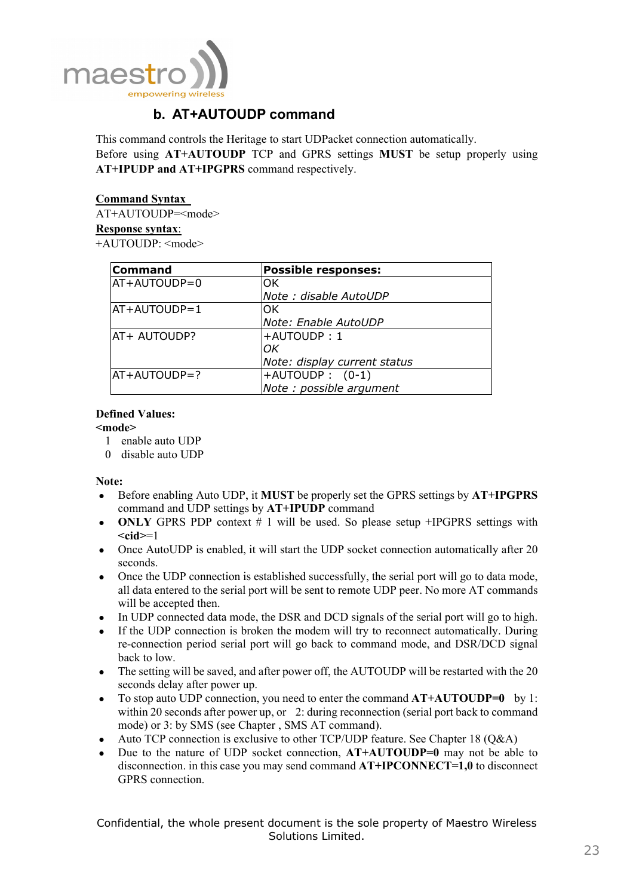

# **b. AT+AUTOUDP command**

This command controls the Heritage to start UDPacket connection automatically. Before using **AT+AUTOUDP** TCP and GPRS settings **MUST** be setup properly using **AT+IPUDP and AT+IPGPRS** command respectively.

**Command Syntax** 

AT+AUTOUDP=<mode> **Response syntax**: +AUTOUDP: <mode>

| <b>Command</b> | <b>Possible responses:</b>   |
|----------------|------------------------------|
| AT+AUTOUDP=0   | lOK.                         |
|                | Note: disable AutoUDP        |
| AT+AUTOUDP=1   | OK                           |
|                | Note: Enable AutoUDP         |
| AT+ AUTOUDP?   | +AUTOUDP:1                   |
|                | ЮK                           |
|                | Note: display current status |
| AT+AUTOUDP=?   | $\text{+AUTOUDP}: (0-1)$     |
|                | Note : possible argument     |

### **Defined Values:**

#### **<mode>**

- 1 enable auto UDP
- 0 disable auto UDP

**Note:** 

- Before enabling Auto UDP, it **MUST** be properly set the GPRS settings by **AT+IPGPRS** command and UDP settings by **AT+IPUDP** command
- **ONLY** GPRS PDP context # 1 will be used. So please setup +IPGPRS settings with **<cid>**=1
- Once AutoUDP is enabled, it will start the UDP socket connection automatically after 20 seconds.
- Once the UDP connection is established successfully, the serial port will go to data mode, all data entered to the serial port will be sent to remote UDP peer. No more AT commands will be accepted then.
- In UDP connected data mode, the DSR and DCD signals of the serial port will go to high.
- If the UDP connection is broken the modem will try to reconnect automatically. During re-connection period serial port will go back to command mode, and DSR/DCD signal back to low.
- The setting will be saved, and after power off, the AUTOUDP will be restarted with the 20 seconds delay after power up.
- To stop auto UDP connection, you need to enter the command  $AT+AUTOUDP=0$  by 1: within 20 seconds after power up, or 2: during reconnection (serial port back to command mode) or 3: by SMS (see Chapter , SMS AT command).
- Auto TCP connection is exclusive to other TCP/UDP feature. See Chapter 18 (Q&A)
- Due to the nature of UDP socket connection, **AT+AUTOUDP=0** may not be able to disconnection. in this case you may send command **AT+IPCONNECT=1,0** to disconnect GPRS connection.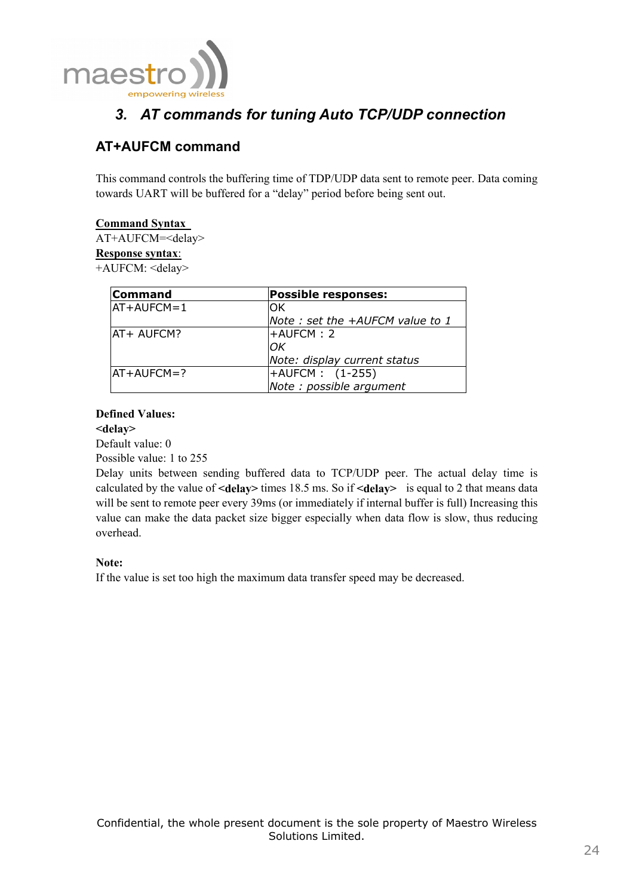

# *3. AT commands for tuning Auto TCP/UDP connection*

# **AT+AUFCM command**

This command controls the buffering time of TDP/UDP data sent to remote peer. Data coming towards UART will be buffered for a "delay" period before being sent out.

## **Command Syntax**

AT+AUFCM=<delay>

#### **Response syntax**:

+AUFCM: <delay>

| <b>Command</b> | <b>Possible responses:</b>       |
|----------------|----------------------------------|
| $AT+AUFCM=1$   | OK                               |
|                | Note : set the +AUFCM value to 1 |
| IAT+ AUFCM?    | +AUFCM: 2                        |
|                | OK                               |
|                | Note: display current status     |
| $AT+AUFCM=?$   | $\text{+AUFCM}: (1-255)$         |
|                | Note : possible argument         |

### **Defined Values:**

**<delay>** 

Default value: 0

Possible value: 1 to 255

Delay units between sending buffered data to TCP/UDP peer. The actual delay time is calculated by the value of **<delay>** times 18.5 ms. So if **<delay>** is equal to 2 that means data will be sent to remote peer every 39ms (or immediately if internal buffer is full) Increasing this value can make the data packet size bigger especially when data flow is slow, thus reducing overhead.

## **Note:**

If the value is set too high the maximum data transfer speed may be decreased.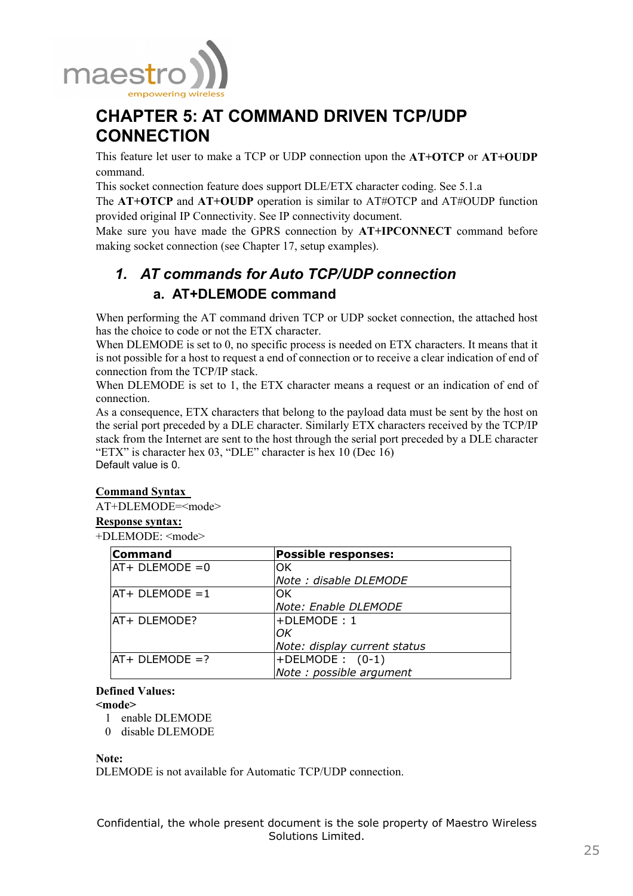

# **CHAPTER 5: AT COMMAND DRIVEN TCP/UDP CONNECTION**

This feature let user to make a TCP or UDP connection upon the **AT+OTCP** or **AT+OUDP** command.

This socket connection feature does support DLE/ETX character coding. See 5.1.a

The **AT+OTCP** and **AT+OUDP** operation is similar to AT#OTCP and AT#OUDP function provided original IP Connectivity. See IP connectivity document.

Make sure you have made the GPRS connection by **AT+IPCONNECT** command before making socket connection (see Chapter 17, setup examples).

# *1. AT commands for Auto TCP/UDP connection*  **a. AT+DLEMODE command**

When performing the AT command driven TCP or UDP socket connection, the attached host has the choice to code or not the ETX character.

When DLEMODE is set to 0, no specific process is needed on ETX characters. It means that it is not possible for a host to request a end of connection or to receive a clear indication of end of connection from the TCP/IP stack.

When DLEMODE is set to 1, the ETX character means a request or an indication of end of connection.

As a consequence, ETX characters that belong to the payload data must be sent by the host on the serial port preceded by a DLE character. Similarly ETX characters received by the TCP/IP stack from the Internet are sent to the host through the serial port preceded by a DLE character "ETX" is character hex 03, "DLE" character is hex 10 (Dec 16) Default value is 0.

## **Command Syntax**

AT+DLEMODE=<mode>

### **Response syntax:**

+DLEMODE: <mode>

| <b>Command</b>      | <b>Possible responses:</b>   |
|---------------------|------------------------------|
| $AT+ DLEMODE = 0$   | lОK                          |
|                     | Note : disable DLEMODE       |
| $AT+ DLEMODE = 1$   | IOK                          |
|                     | Note: Enable DLEMODE         |
| <b>AT+ DLEMODE?</b> | +DLEMODE: 1                  |
|                     | lОK                          |
|                     | Note: display current status |
| $ AT + DLEMODE = ?$ | $+$ DELMODE : $(0-1)$        |
|                     | Note : possible argument     |

### **Defined Values:**

**<mode>** 

- 1 enable DLEMODE
- 0 disable DLEMODE

#### **Note:**

DLEMODE is not available for Automatic TCP/UDP connection.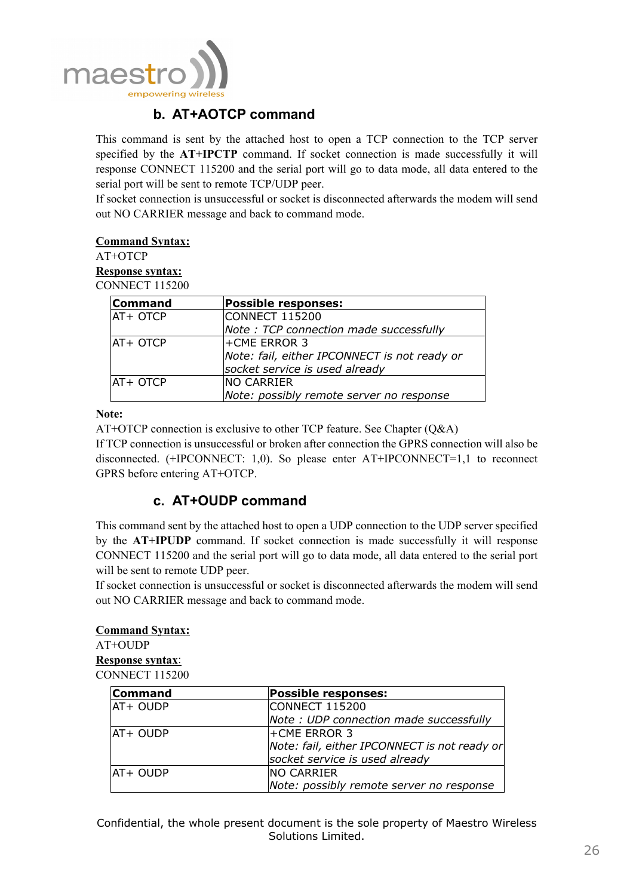

## **b. AT+AOTCP command**

This command is sent by the attached host to open a TCP connection to the TCP server specified by the **AT+IPCTP** command. If socket connection is made successfully it will response CONNECT 115200 and the serial port will go to data mode, all data entered to the serial port will be sent to remote TCP/UDP peer.

If socket connection is unsuccessful or socket is disconnected afterwards the modem will send out NO CARRIER message and back to command mode.

# **Command Syntax:**

AT+OTCP

**Response syntax:** CONNECT 115200

| <b>Command</b> | <b>Possible responses:</b>                   |
|----------------|----------------------------------------------|
| AT+ OTCP       | <b>CONNECT 115200</b>                        |
|                | Note: TCP connection made successfully       |
| $AT+$ OTCP     | <b>+CME ERROR 3</b>                          |
|                | Note: fail, either IPCONNECT is not ready or |
|                | socket service is used already               |
| AT+ OTCP       | <b>NO CARRIER</b>                            |
|                | Note: possibly remote server no response     |

### **Note:**

AT+OTCP connection is exclusive to other TCP feature. See Chapter (Q&A)

If TCP connection is unsuccessful or broken after connection the GPRS connection will also be disconnected. (+IPCONNECT: 1,0). So please enter AT+IPCONNECT=1,1 to reconnect GPRS before entering AT+OTCP.

## **c. AT+OUDP command**

This command sent by the attached host to open a UDP connection to the UDP server specified by the **AT+IPUDP** command. If socket connection is made successfully it will response CONNECT 115200 and the serial port will go to data mode, all data entered to the serial port will be sent to remote UDP peer.

If socket connection is unsuccessful or socket is disconnected afterwards the modem will send out NO CARRIER message and back to command mode.

#### **Command Syntax:**

AT+OUDP **Response syntax**: CONNECT 115200

| <b>Command</b> | <b>Possible responses:</b>                   |
|----------------|----------------------------------------------|
| AT+ OUDP       | <b>CONNECT 115200</b>                        |
|                | Note : UDP connection made successfully      |
| AT+ OUDP       | <b>+CME ERROR 3</b>                          |
|                | Note: fail, either IPCONNECT is not ready or |
|                | socket service is used already               |
| AT+ OUDP       | <b>NO CARRIER</b>                            |
|                | Note: possibly remote server no response     |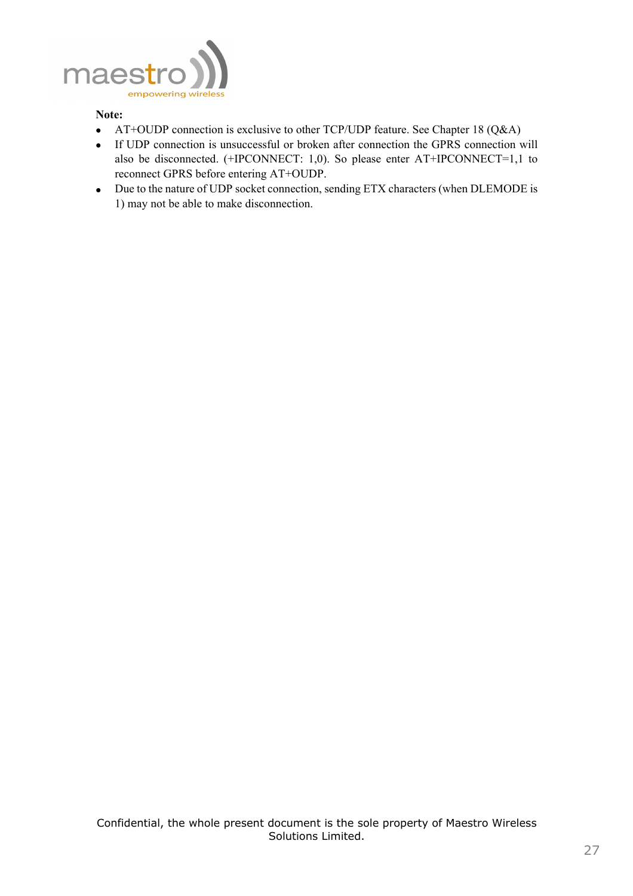

#### **Note:**

- AT+OUDP connection is exclusive to other TCP/UDP feature. See Chapter 18 (Q&A)
- If UDP connection is unsuccessful or broken after connection the GPRS connection will also be disconnected. (+IPCONNECT: 1,0). So please enter AT+IPCONNECT=1,1 to reconnect GPRS before entering AT+OUDP.
- Due to the nature of UDP socket connection, sending ETX characters (when DLEMODE is 1) may not be able to make disconnection.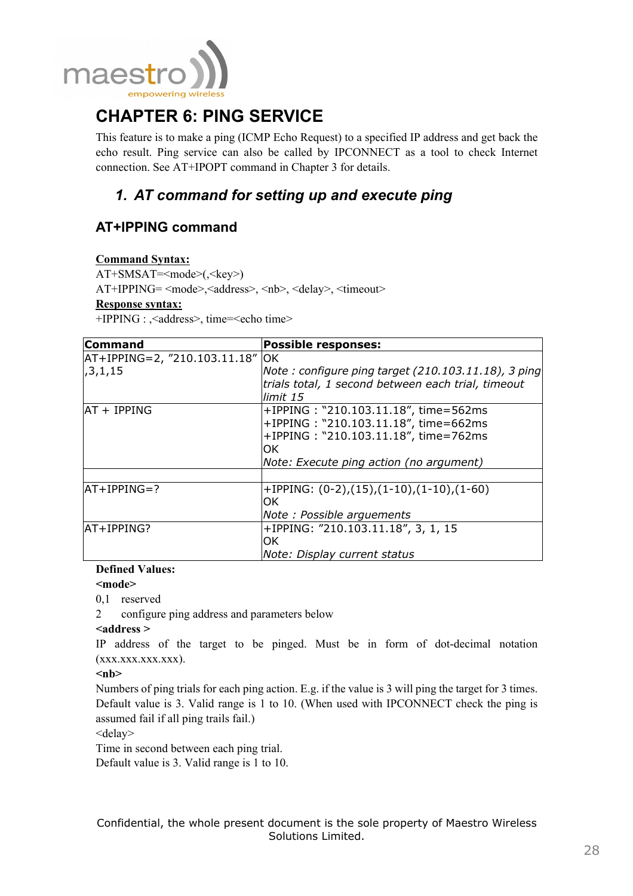

# **CHAPTER 6: PING SERVICE**

This feature is to make a ping (ICMP Echo Request) to a specified IP address and get back the echo result. Ping service can also be called by IPCONNECT as a tool to check Internet connection. See AT+IPOPT command in Chapter 3 for details.

# *1. AT command for setting up and execute ping*

# **AT+IPPING command**

### **Command Syntax:**

 $AT+SMSAT=\{mode>(\langle key \rangle)\}$ 

AT+IPPING= <mode>,<address>, <nb>, <delay>, <timeout>

### **Response syntax:**

+IPPING : , <address>, time=<echo time>

| Command                           | <b>Possible responses:</b>                                                                                                                                            |
|-----------------------------------|-----------------------------------------------------------------------------------------------------------------------------------------------------------------------|
| $AT+IPPING=2,$ "210.103.11.18" OK |                                                                                                                                                                       |
| ,3,1,15                           | Note: configure ping target $(210.103.11.18)$ , 3 ping<br>trials total, 1 second between each trial, timeout<br>limit 15                                              |
| AT + IPPING                       | +IPPING: "210.103.11.18", time=562ms<br>+IPPING: "210.103.11.18", time=662ms<br>+IPPING: "210.103.11.18", time=762ms<br>OK<br>Note: Execute ping action (no argument) |
|                                   |                                                                                                                                                                       |
| $AT+IPPING=?$                     | $+IPPING: (0-2), (15), (1-10), (1-10), (1-60)$<br>OK<br>Note: Possible arguements                                                                                     |
| AT+IPPING?                        | +IPPING: "210.103.11.18", 3, 1, 15<br>OK<br>Note: Display current status                                                                                              |

## **Defined Values:**

**<mode>** 

0,1 reserved

2 configure ping address and parameters below

**<address >** 

IP address of the target to be pinged. Must be in form of dot-decimal notation  $(xxxxxxxxxxxxxx).$ 

**<nb>** 

Numbers of ping trials for each ping action. E.g. if the value is 3 will ping the target for 3 times. Default value is 3. Valid range is 1 to 10. (When used with IPCONNECT check the ping is assumed fail if all ping trails fail.)

<delay>

Time in second between each ping trial.

Default value is 3. Valid range is 1 to 10.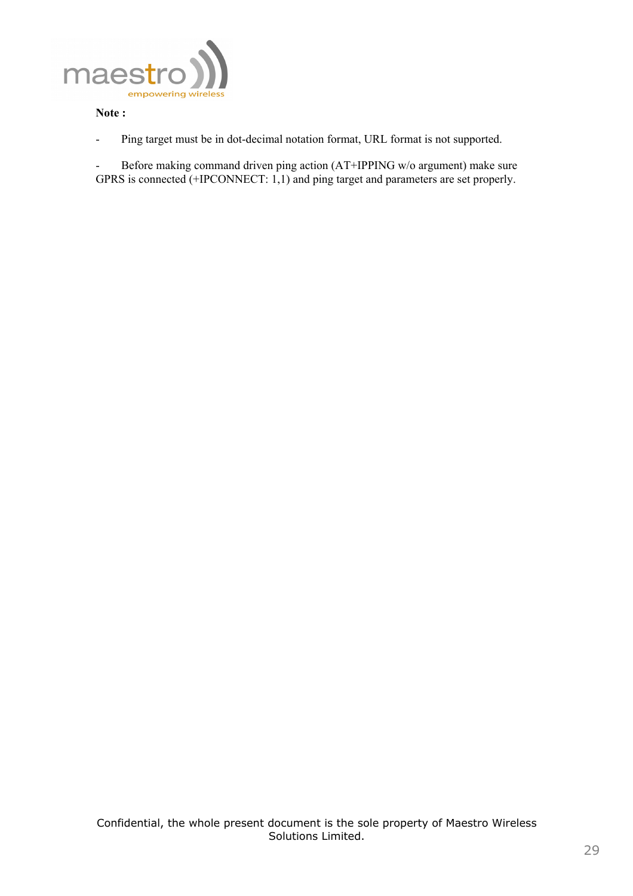

#### **Note :**

- Ping target must be in dot-decimal notation format, URL format is not supported.

- Before making command driven ping action (AT+IPPING w/o argument) make sure GPRS is connected (+IPCONNECT: 1,1) and ping target and parameters are set properly.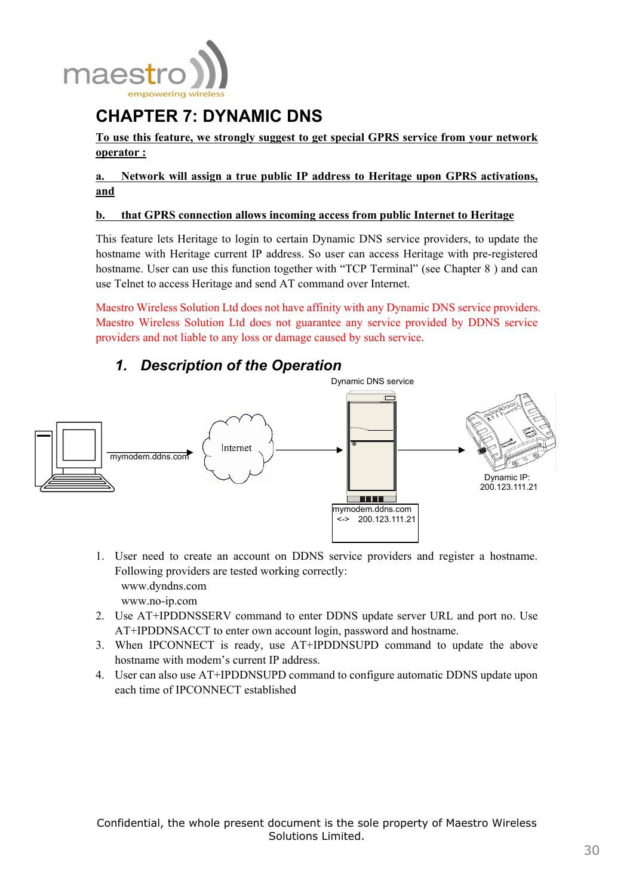

# **CHAPTER 7: DYNAMIC DNS**

**To use this feature, we strongly suggest to get special GPRS service from your network operator :**

**a. Network will assign a true public IP address to Heritage upon GPRS activations, and**

### **b. that GPRS connection allows incoming access from public Internet to Heritage**

This feature lets Heritage to login to certain Dynamic DNS service providers, to update the hostname with Heritage current IP address. So user can access Heritage with pre-registered hostname. User can use this function together with "TCP Terminal" (see Chapter 8) and can use Telnet to access Heritage and send AT command over Internet.

Maestro Wireless Solution Ltd does not have affinity with any Dynamic DNS service providers. Maestro Wireless Solution Ltd does not guarantee any service provided by DDNS service providers and not liable to any loss or damage caused by such service.

# *1. Description of the Operation*



- 1. User need to create an account on DDNS service providers and register a hostname. Following providers are tested working correctly: www.dyndns.com www.no-ip.com
- 2. Use AT+IPDDNSSERV command to enter DDNS update server URL and port no. Use AT+IPDDNSACCT to enter own account login, password and hostname.
- 3. When IPCONNECT is ready, use AT+IPDDNSUPD command to update the above hostname with modem's current IP address.
- 4. User can also use AT+IPDDNSUPD command to configure automatic DDNS update upon each time of IPCONNECT established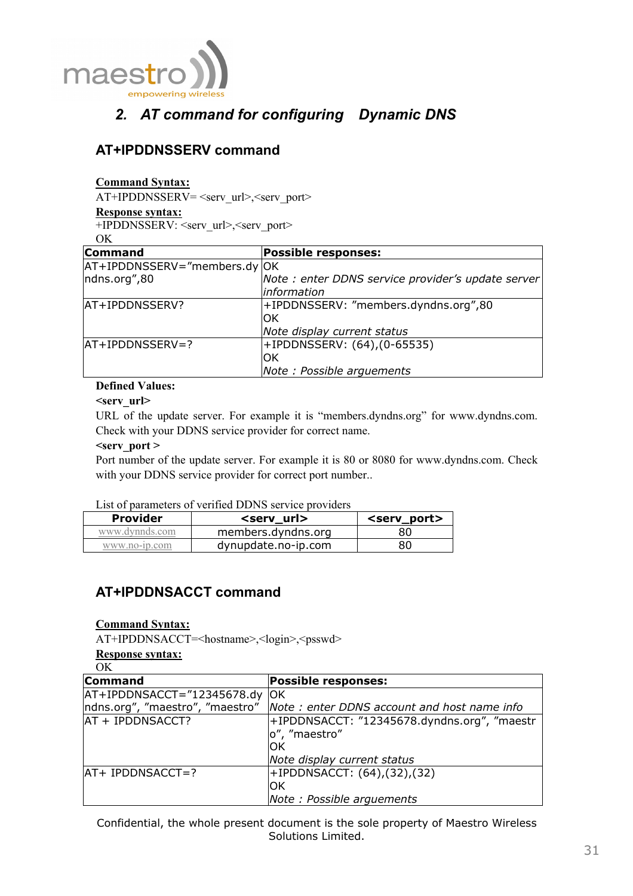

# *2. AT command for configuring Dynamic DNS*

## **AT+IPDDNSSERV command**

#### **Command Syntax:**

AT+IPDDNSSERV= <serv\_url>,<serv\_port>

#### **Response syntax:**

+IPDDNSSERV: <serv\_url>,<serv\_port>

OK

| <b>Command</b>               | <b>Possible responses:</b>                        |
|------------------------------|---------------------------------------------------|
| AT+IPDDNSSERV="members.dy OK |                                                   |
| ndns.org",80                 | Note: enter DDNS service provider's update server |
|                              | information                                       |
| AT+IPDDNSSERV?               | +IPDDNSSERV: "members.dyndns.org",80              |
|                              | lOK                                               |
|                              | Note display current status                       |
| AT+IPDDNSSERV=?              | +IPDDNSSERV: (64),(0-65535)                       |
|                              | ЮK                                                |
|                              | Note: Possible arguements                         |

#### **Defined Values:**

#### **<serv\_url>**

URL of the update server. For example it is "members.dyndns.org" for www.dyndns.com. Check with your DDNS service provider for correct name.

#### **<serv\_port >**

Port number of the update server. For example it is 80 or 8080 for www.dyndns.com. Check with your DDNS service provider for correct port number...

#### List of parameters of verified DDNS service providers

| <b>Provider</b> | <serv url=""></serv> | <serv port=""></serv> |
|-----------------|----------------------|-----------------------|
| www.dynnds.com  | members.dyndns.org   | 80                    |
| www.no-ip.com   | dynupdate.no-ip.com  | 80                    |

## **AT+IPDDNSACCT command**

#### **Command Syntax:**

AT+IPDDNSACCT=<hostname>,<login>,<psswd>

#### **Response syntax:**

 $\overline{OK}$ 

| <b>Command</b>                   | <b>Possible responses:</b>                  |
|----------------------------------|---------------------------------------------|
| $AT+IPDDNSACCT="12345678.dy$     | <b>IOK</b>                                  |
| Indns.org", "maestro", "maestro" | Note: enter DDNS account and host name info |
| AT + IPDDNSACCT?                 | +IPDDNSACCT: "12345678.dyndns.org", "maestr |
|                                  | lo", "maestro"                              |
|                                  | ЮK                                          |
|                                  | Note display current status                 |
| AT+ IPDDNSACCT=?                 | +IPDDNSACCT: (64),(32),(32)                 |
|                                  | ЮK                                          |
|                                  | Note: Possible arguements                   |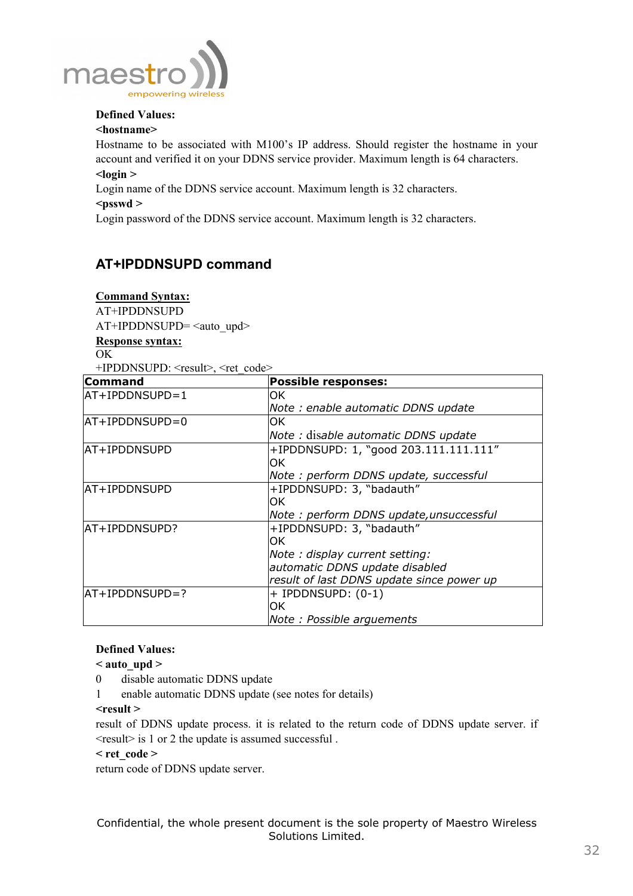

### **Defined Values:**

#### **<hostname>**

Hostname to be associated with M100's IP address. Should register the hostname in your account and verified it on your DDNS service provider. Maximum length is 64 characters.  $\langle$ login  $\rangle$ 

Login name of the DDNS service account. Maximum length is 32 characters.

#### **<psswd >**

Login password of the DDNS service account. Maximum length is 32 characters.

## **AT+IPDDNSUPD command**

#### **Command Syntax:**

AT+IPDDNSUPD

AT+IPDDNSUPD= <auto\_upd>

**Response syntax:**

#### OK

+IPDDNSUPD: <result>, <ret\_code>

| Command        | <b>Possible responses:</b>                |
|----------------|-------------------------------------------|
| AT+IPDDNSUPD=1 | OK.                                       |
|                | Note: enable automatic DDNS update        |
| AT+IPDDNSUPD=0 | OK.                                       |
|                | Note: disable automatic DDNS update       |
| lAT+IPDDNSUPD  | +IPDDNSUPD: 1, "good 203.111.111.111"     |
|                | OK.                                       |
|                | Note: perform DDNS update, successful     |
| lAT+IPDDNSUPD  | +IPDDNSUPD: 3, "badauth"                  |
|                | OK.                                       |
|                | Note: perform DDNS update, unsuccessful   |
| AT+IPDDNSUPD?  | +IPDDNSUPD: 3, "badauth"                  |
|                | OK.                                       |
|                | Note: display current setting:            |
|                | automatic DDNS update disabled            |
|                | result of last DDNS update since power up |
| AT+IPDDNSUPD=? | $+$ IPDDNSUPD: $(0-1)$                    |
|                | OK.                                       |
|                | Note: Possible arguements                 |

### **Defined Values:**

 $\leq$  auto upd  $\geq$ 

- 0 disable automatic DDNS update
- 1 enable automatic DDNS update (see notes for details)

### **<result >**

result of DDNS update process. it is related to the return code of DDNS update server. if <result> is 1 or 2 the update is assumed successful .

#### **< ret\_code >**

return code of DDNS update server.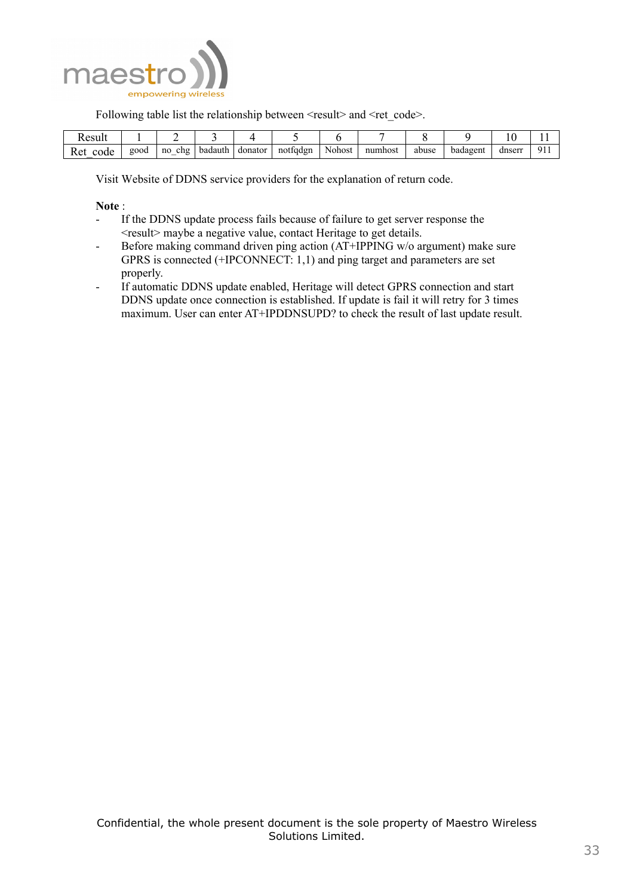

Following table list the relationship between  $\le$ result $\ge$  and  $\le$ ret code $\ge$ .

| Result      |      |                |         |         |                        |        |         |       |          |        |             |
|-------------|------|----------------|---------|---------|------------------------|--------|---------|-------|----------|--------|-------------|
| Ret<br>code | good | chg<br>no<br>– | badauth | donator | $\epsilon$<br>nottgdgn | Nohost | numhost | abuse | badagent | dnserr | Q1<br>' 1 1 |

Visit Website of DDNS service providers for the explanation of return code.

#### **Note** :

- If the DDNS update process fails because of failure to get server response the <result> maybe a negative value, contact Heritage to get details.
- Before making command driven ping action (AT+IPPING w/o argument) make sure GPRS is connected (+IPCONNECT: 1,1) and ping target and parameters are set properly.
- If automatic DDNS update enabled, Heritage will detect GPRS connection and start DDNS update once connection is established. If update is fail it will retry for 3 times maximum. User can enter AT+IPDDNSUPD? to check the result of last update result.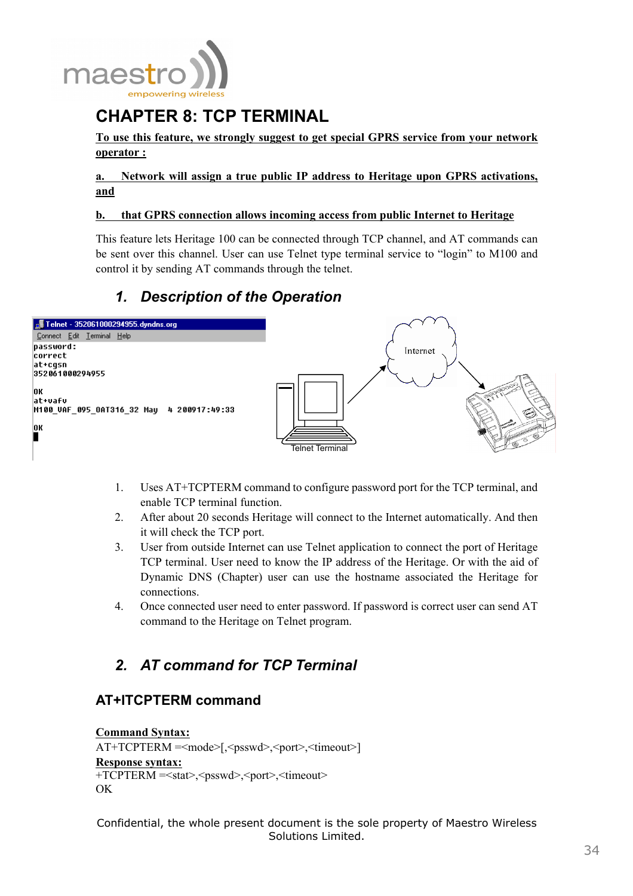

# **CHAPTER 8: TCP TERMINAL**

**To use this feature, we strongly suggest to get special GPRS service from your network operator :**

**a. Network will assign a true public IP address to Heritage upon GPRS activations, and**

#### **b. that GPRS connection allows incoming access from public Internet to Heritage**

This feature lets Heritage 100 can be connected through TCP channel, and AT commands can be sent over this channel. User can use Telnet type terminal service to "login" to M100 and control it by sending AT commands through the telnet.

# *1. Description of the Operation*



- 1. Uses AT+TCPTERM command to configure password port for the TCP terminal, and enable TCP terminal function.
- 2. After about 20 seconds Heritage will connect to the Internet automatically. And then it will check the TCP port.
- 3. User from outside Internet can use Telnet application to connect the port of Heritage TCP terminal. User need to know the IP address of the Heritage. Or with the aid of Dynamic DNS (Chapter) user can use the hostname associated the Heritage for connections.
- 4. Once connected user need to enter password. If password is correct user can send AT command to the Heritage on Telnet program.

# *2. AT command for TCP Terminal*

## **AT+ITCPTERM command**

```
Command Syntax:
AT+TCPTERM =<mode>[,<psswd>,<port>,<timeout>] 
Response syntax:
+TCPTERM =<stat>,<psswd>,<port>,<timeout> 
OK
```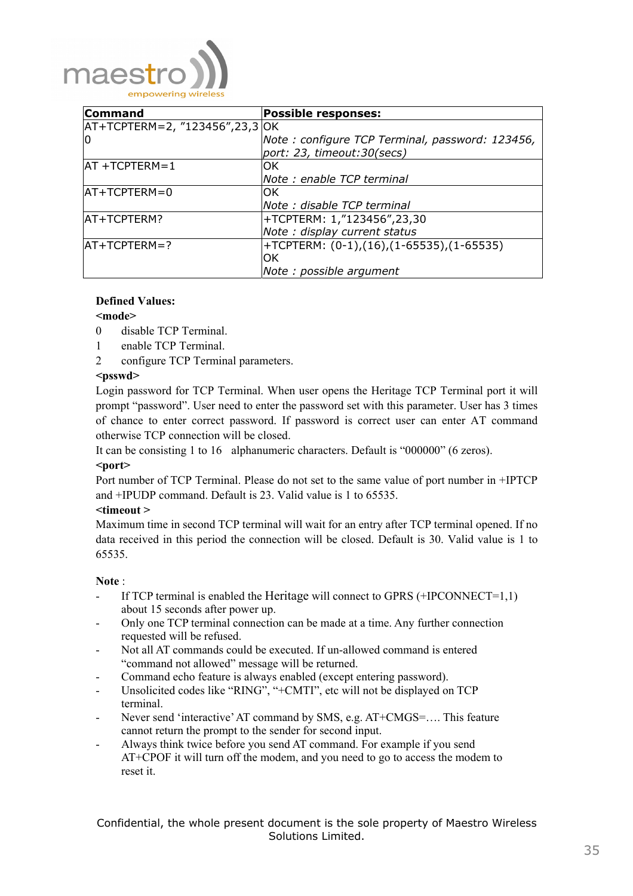

| <b>Command</b>                     | <b>Possible responses:</b>                      |
|------------------------------------|-------------------------------------------------|
| $AT+TCPTERM=2, "123456", 23, 3'OK$ |                                                 |
| ١O                                 | Note: configure TCP Terminal, password: 123456, |
|                                    | port: 23, timeout:30(secs)                      |
| $AT + TCPTERM = 1$                 | OK                                              |
|                                    | Note: enable TCP terminal                       |
| $AT+TCPTERM=0$                     | OK.                                             |
|                                    | Note : disable TCP terminal                     |
| AT+TCPTERM?                        | +TCPTERM: 1,"123456",23,30                      |
|                                    | Note : display current status                   |
| $IAT+TCPTERM=?$                    | +TCPTERM: (0-1),(16),(1-65535),(1-65535)        |
|                                    | OK                                              |
|                                    | Note : possible argument                        |

### **Defined Values:**

#### **<mode>**

- 0 disable TCP Terminal.
- 1 enable TCP Terminal.
- 2 configure TCP Terminal parameters.

#### **<psswd>**

Login password for TCP Terminal. When user opens the Heritage TCP Terminal port it will prompt "password". User need to enter the password set with this parameter. User has 3 times of chance to enter correct password. If password is correct user can enter AT command otherwise TCP connection will be closed.

It can be consisting 1 to 16 alphanumeric characters. Default is "000000" (6 zeros).

### **<port>**

Port number of TCP Terminal. Please do not set to the same value of port number in +IPTCP and +IPUDP command. Default is 23. Valid value is 1 to 65535.

#### **<timeout >**

Maximum time in second TCP terminal will wait for an entry after TCP terminal opened. If no data received in this period the connection will be closed. Default is 30. Valid value is 1 to 65535.

#### **Note** :

- If TCP terminal is enabled the Heritage will connect to GPRS  $(+IPCONNECT=1,1)$ about 15 seconds after power up.
- Only one TCP terminal connection can be made at a time. Any further connection requested will be refused.
- Not all AT commands could be executed. If un-allowed command is entered "command not allowed" message will be returned.
- Command echo feature is always enabled (except entering password).
- Unsolicited codes like "RING", "+CMTI", etc will not be displayed on TCP terminal.
- Never send 'interactive' AT command by SMS, e.g. AT+CMGS=.... This feature cannot return the prompt to the sender for second input.
- Always think twice before you send AT command. For example if you send AT+CPOF it will turn off the modem, and you need to go to access the modem to reset it.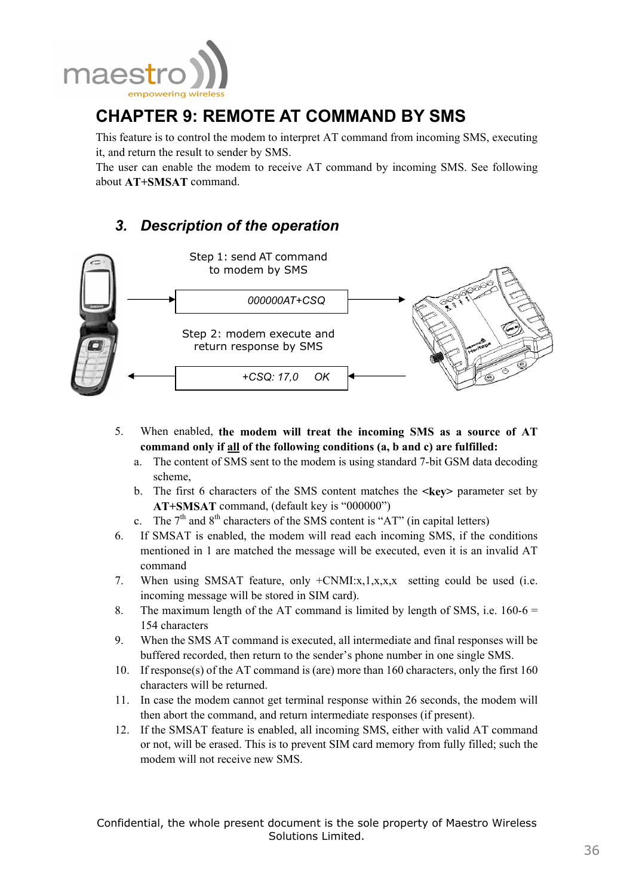

# **CHAPTER 9: REMOTE AT COMMAND BY SMS**

This feature is to control the modem to interpret AT command from incoming SMS, executing it, and return the result to sender by SMS.

The user can enable the modem to receive AT command by incoming SMS. See following about **AT+SMSAT** command.

# *3. Description of the operation*



- 5. When enabled, **the modem will treat the incoming SMS as a source of AT command only if all of the following conditions (a, b and c) are fulfilled:**
	- a. The content of SMS sent to the modem is using standard 7-bit GSM data decoding scheme,
	- b. The first 6 characters of the SMS content matches the **<key>** parameter set by **AT+SMSAT** command, (default key is "000000")
	- c. The  $7<sup>th</sup>$  and  $8<sup>th</sup>$  characters of the SMS content is "AT" (in capital letters)
- 6. If SMSAT is enabled, the modem will read each incoming SMS, if the conditions mentioned in 1 are matched the message will be executed, even it is an invalid AT command
- 7. When using SMSAT feature, only +CNMI:x,1,x,x,x setting could be used (i.e. incoming message will be stored in SIM card).
- 8. The maximum length of the AT command is limited by length of SMS, i.e.  $160-6 =$ 154 characters
- 9. When the SMS AT command is executed, all intermediate and final responses will be buffered recorded, then return to the sender's phone number in one single SMS.
- 10. If response(s) of the AT command is (are) more than 160 characters, only the first 160 characters will be returned.
- 11. In case the modem cannot get terminal response within 26 seconds, the modem will then abort the command, and return intermediate responses (if present).
- 12. If the SMSAT feature is enabled, all incoming SMS, either with valid AT command or not, will be erased. This is to prevent SIM card memory from fully filled; such the modem will not receive new SMS.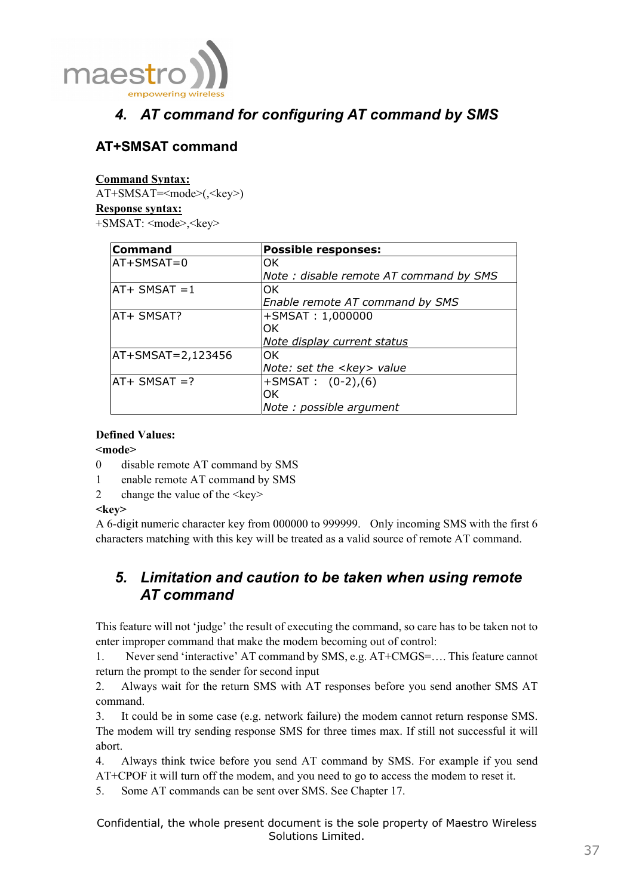

# *4. AT command for configuring AT command by SMS*

# **AT+SMSAT command**

## **Command Syntax:**

AT+SMSAT=<mode>(,<key>) **Response syntax:** +SMSAT: <mode>,<key>

| <b>Command</b>      | <b>Possible responses:</b>             |
|---------------------|----------------------------------------|
| $AT+SMSAT=0$        | lOK.                                   |
|                     | Note: disable remote AT command by SMS |
| $IAT+$ SMSAT = 1    | lOK.                                   |
|                     | Enable remote AT command by SMS        |
| AT+ SMSAT?          | +SMSAT: 1,000000                       |
|                     | IOK.                                   |
|                     | Note display current status            |
| $AT+SMSAT=2,123456$ | lOK.                                   |
|                     | Note: set the <key> value</key>        |
| $AT+$ SMSAT =?      | $+$ SMSAT : $(0-2)$ , $(6)$            |
|                     | lOK.                                   |
|                     | Note : possible argument               |

## **Defined Values:**

## **<mode>**

- 0 disable remote AT command by SMS
- 1 enable remote AT command by SMS
- 2 change the value of the  $\langle key \rangle$

## <key>

A 6-digit numeric character key from 000000 to 999999. Only incoming SMS with the first 6 characters matching with this key will be treated as a valid source of remote AT command.

# *5. Limitation and caution to be taken when using remote AT command*

This feature will not 'judge' the result of executing the command, so care has to be taken not to enter improper command that make the modem becoming out of control:

1. Never send 'interactive' AT command by SMS, e.g. AT+CMGS=…. This feature cannot return the prompt to the sender for second input

2. Always wait for the return SMS with AT responses before you send another SMS AT command.

3. It could be in some case (e.g. network failure) the modem cannot return response SMS. The modem will try sending response SMS for three times max. If still not successful it will abort.

4. Always think twice before you send AT command by SMS. For example if you send AT+CPOF it will turn off the modem, and you need to go to access the modem to reset it.

5. Some AT commands can be sent over SMS. See Chapter 17.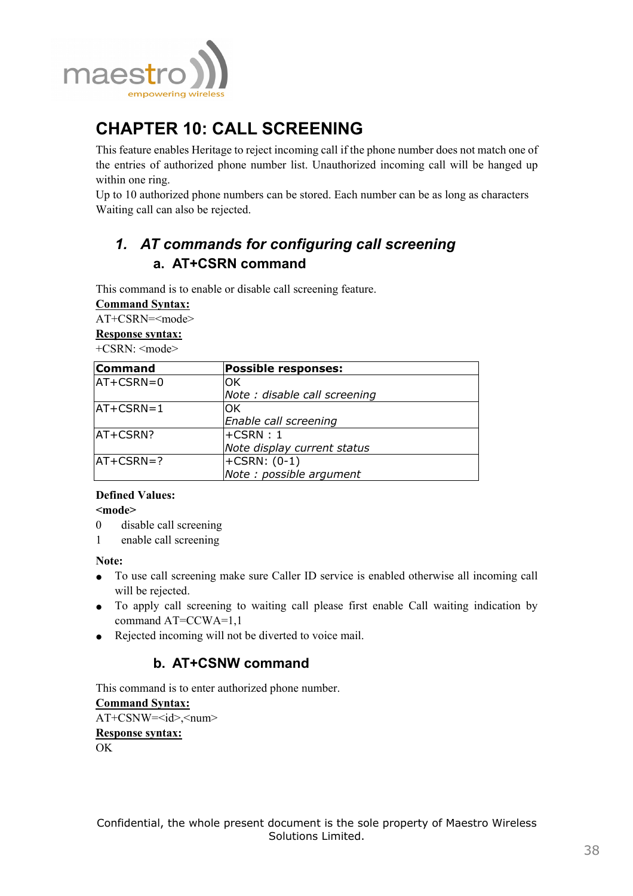

# **CHAPTER 10: CALL SCREENING**

This feature enables Heritage to reject incoming call if the phone number does not match one of the entries of authorized phone number list. Unauthorized incoming call will be hanged up within one ring.

Up to 10 authorized phone numbers can be stored. Each number can be as long as characters Waiting call can also be rejected.

# *1. AT commands for configuring call screening*  **a. AT+CSRN command**

This command is to enable or disable call screening feature.

| <b>Command Syntax:</b>                                      |
|-------------------------------------------------------------|
| $\lambda$ T $\lambda$ COD $\lambda$ T $\lambda$ T $\lambda$ |

AT+CSRN=<mode>

## **Response syntax:**

+CSRN: <mode>

| <b>Command</b>                 | <b>Possible responses:</b>    |  |
|--------------------------------|-------------------------------|--|
| $AT+CSRN=0$                    | OK.                           |  |
|                                | Note : disable call screening |  |
| $AT+CSRN=1$                    | OK.                           |  |
|                                | Enable call screening         |  |
| AT+CSRN?                       | $+CSRN:1$                     |  |
|                                | Note display current status   |  |
| $+CSRN: (0-1)$<br>$IAT+CSRN=?$ |                               |  |
|                                | Note : possible argument      |  |

## **Defined Values:**

## **<mode>**

- 0 disable call screening
- 1 enable call screening

**Note:** 

- To use call screening make sure Caller ID service is enabled otherwise all incoming call will be rejected.
- To apply call screening to waiting call please first enable Call waiting indication by command AT=CCWA=1,1
- Rejected incoming will not be diverted to voice mail.

# **b. AT+CSNW command**

This command is to enter authorized phone number. **Command Syntax:**  $AT+CSNW=< id>$ **Response syntax:**  $\overline{OK}$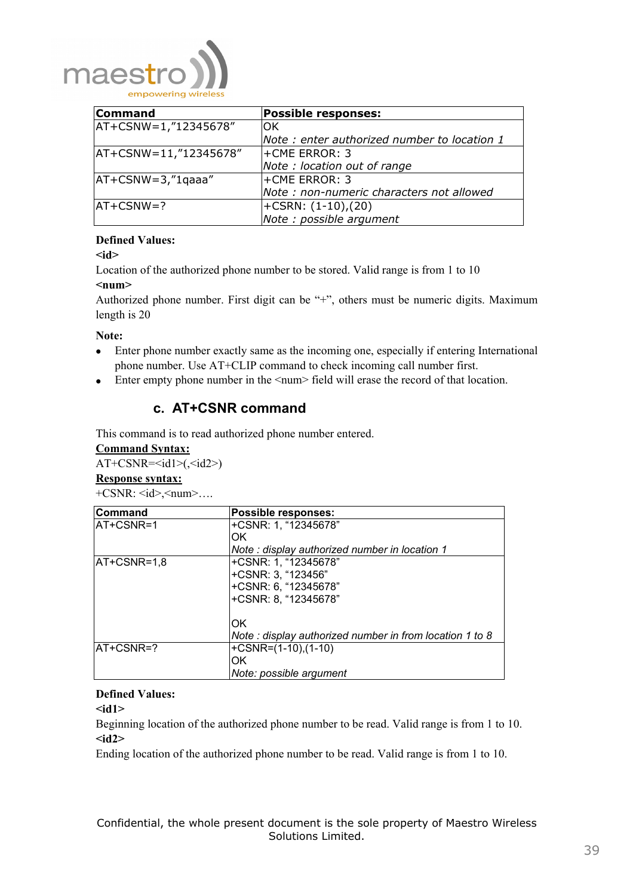

| <b>Command</b>           | <b>Possible responses:</b>                  |
|--------------------------|---------------------------------------------|
| $ AT+CSNW=1,"12345678"$  | lОK                                         |
|                          | Note: enter authorized number to location 1 |
| $ AT+CSNW=11,"12345678"$ | <b>+CME ERROR: 3</b>                        |
|                          | Note: location out of range                 |
| $AT+CSNW=3,"1qaaa"$      | l+CME ERROR: 3                              |
|                          | Note: non-numeric characters not allowed    |
| $IAT+CSNW=?$             | $ \text{+CSRN}: (1-10), (20)$               |
|                          | Note : possible argument                    |

## **Defined Values:**

**<id>** 

Location of the authorized phone number to be stored. Valid range is from 1 to 10 **<num>** 

Authorized phone number. First digit can be "+", others must be numeric digits. Maximum length is 20

### **Note:**

- Enter phone number exactly same as the incoming one, especially if entering International phone number. Use AT+CLIP command to check incoming call number first.
- Enter empty phone number in the  $\langle \text{num} \rangle$  field will erase the record of that location.

## **c. AT+CSNR command**

This command is to read authorized phone number entered.

#### **Command Syntax:**

 $AT+CSNR=*d1*>(*d2*)$ 

#### **Response syntax:**  $+CSNR: \langle id \rangle, \langle num \rangle \dots$

| Command          | Possible responses:                                     |
|------------------|---------------------------------------------------------|
| <b>AT+CSNR=1</b> | +CSNR: 1, "12345678"                                    |
|                  | OK                                                      |
|                  | Note: display authorized number in location 1           |
| $AT+CSNR=1,8$    | +CSNR: 1, "12345678"                                    |
|                  | +CSNR: 3, "123456"                                      |
|                  | +CSNR: 6, "12345678"                                    |
|                  | +CSNR: 8, "12345678"                                    |
|                  | OK                                                      |
|                  | Note: display authorized number in from location 1 to 8 |
| AT+CSNR=?        | $+CSNR=(1-10),(1-10)$                                   |
|                  | ЮK                                                      |
|                  | Note: possible argument                                 |

## **Defined Values:**

**<id1>** 

Beginning location of the authorized phone number to be read. Valid range is from 1 to 10. **<id2>** 

Ending location of the authorized phone number to be read. Valid range is from 1 to 10.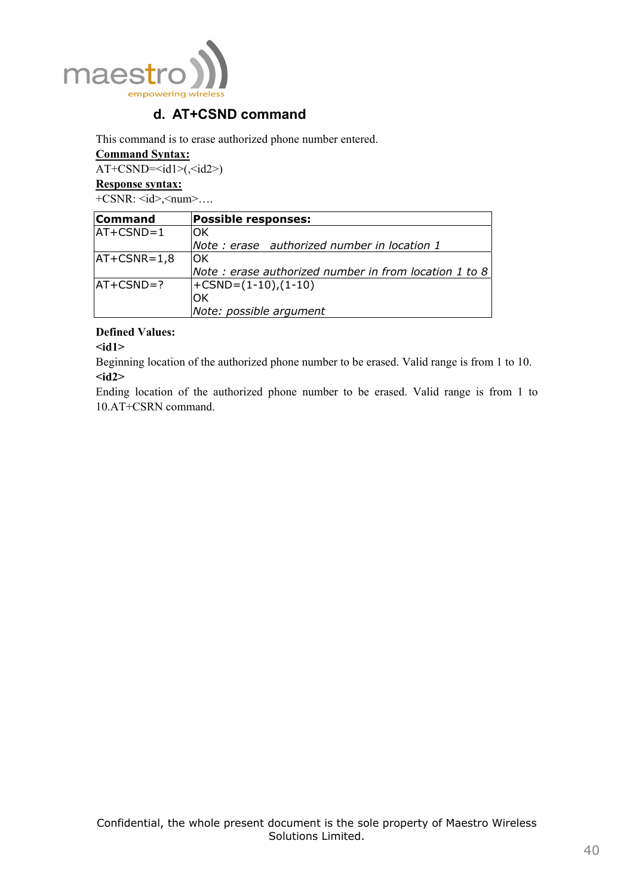

# **d. AT+CSND command**

This command is to erase authorized phone number entered.

### **Command Syntax:**

 $AT+CSND=*d1>(*d2>*)*$ 

### **Response syntax:**

 $+CSNR: \langle id \rangle, \langle num \rangle \dots$ 

| <b>Command</b> | <b>Possible responses:</b>                            |  |
|----------------|-------------------------------------------------------|--|
| $AT+CSND=1$    | ЮK                                                    |  |
|                | Note: erase authorized number in location 1           |  |
| $ AT+CSNR=1,8$ | IOK                                                   |  |
|                | Note: erase authorized number in from location 1 to 8 |  |
| $IAT+CSND=?$   | $ \text{+CSND}=(1-10),(1-10) $                        |  |
|                | ΟK                                                    |  |
|                | Note: possible argument                               |  |

## **Defined Values:**

**<id1>** 

Beginning location of the authorized phone number to be erased. Valid range is from 1 to 10. **<id2>** 

Ending location of the authorized phone number to be erased. Valid range is from 1 to 10.AT+CSRN command.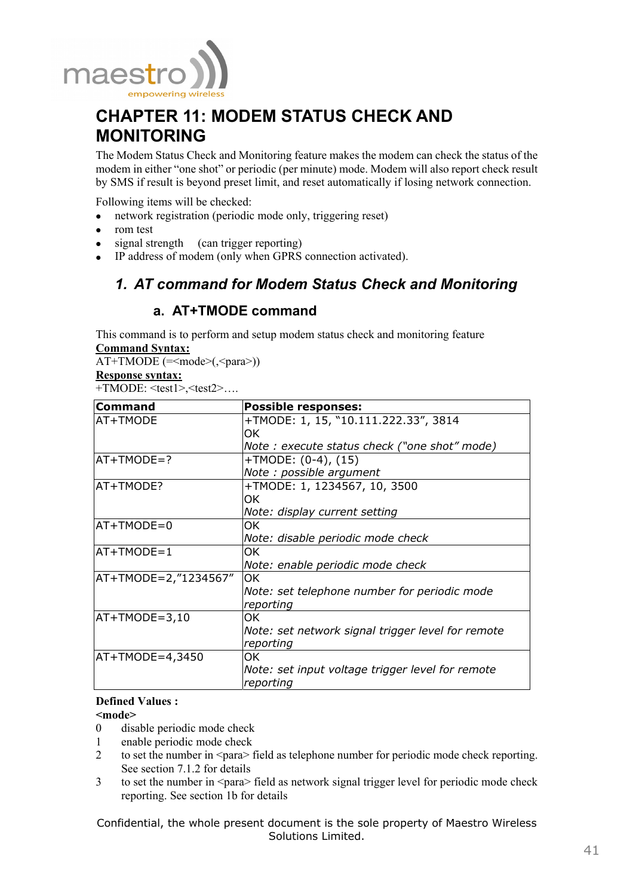

# **CHAPTER 11: MODEM STATUS CHECK AND MONITORING**

The Modem Status Check and Monitoring feature makes the modem can check the status of the modem in either "one shot" or periodic (per minute) mode. Modem will also report check result by SMS if result is beyond preset limit, and reset automatically if losing network connection.

Following items will be checked:

- network registration (periodic mode only, triggering reset)
- rom test
- signal strength (can trigger reporting)
- IP address of modem (only when GPRS connection activated).

# *1. AT command for Modem Status Check and Monitoring*

## **a. AT+TMODE command**

This command is to perform and setup modem status check and monitoring feature **Command Syntax:**

 $AT+TMODE$  (= $\leq$ mode $>(\leq$ para $>$ ))

### **Response syntax:**

+TMODE: <test1>,<test2>….

| Command              | <b>Possible responses:</b>                        |
|----------------------|---------------------------------------------------|
| AT+TMODE             | +TMODE: 1, 15, "10.111.222.33", 3814              |
|                      | OK.                                               |
|                      | Note: execute status check ("one shot" mode)      |
| $AT+TMODE=?$         | +TMODE: (0-4), (15)                               |
|                      | Note: possible argument                           |
| AT+TMODE?            | +TMODE: 1, 1234567, 10, 3500                      |
|                      | OK.                                               |
|                      | Note: display current setting                     |
| $AT+TMODE=0$         | OK.                                               |
|                      | Note: disable periodic mode check                 |
| $AT+TMODE=1$         | 0K                                                |
|                      | Note: enable periodic mode check                  |
| AT+TMODE=2,"1234567" | OK.                                               |
|                      | Note: set telephone number for periodic mode      |
|                      | reporting                                         |
| $AT+TMODE=3,10$      | OK.                                               |
|                      | Note: set network signal trigger level for remote |
|                      | reporting                                         |
| $AT+TMODE=4,3450$    | OK.                                               |
|                      | Note: set input voltage trigger level for remote  |
|                      | reporting                                         |

### **Defined Values :**

## **<mode>**

- 0 disable periodic mode check
- 1 enable periodic mode check
- 2 to set the number in  $\langle$ para $\rangle$  field as telephone number for periodic mode check reporting. See section 7.1.2 for details
- 3 to set the number in <para> field as network signal trigger level for periodic mode check reporting. See section 1b for details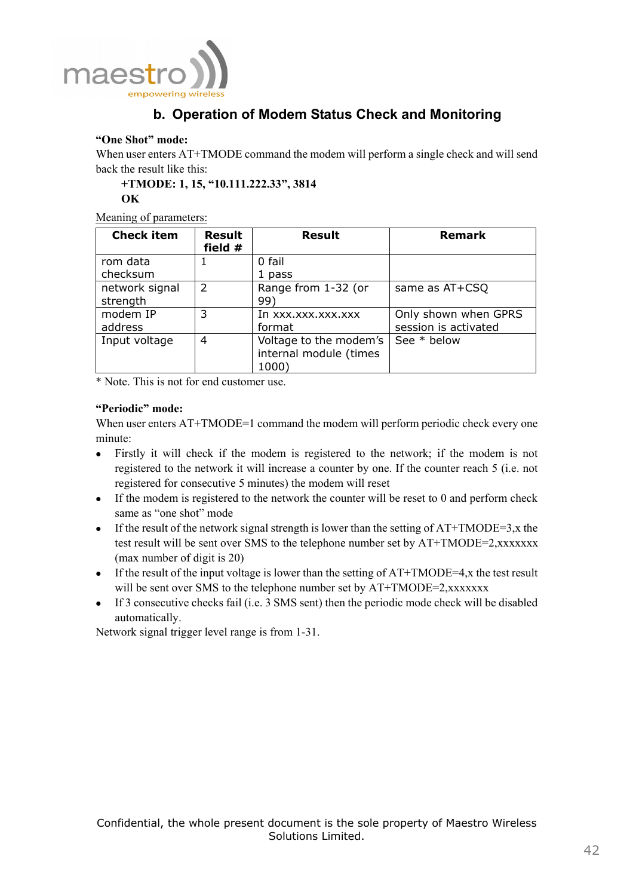

# **b. Operation of Modem Status Check and Monitoring**

## **"One Shot" mode:**

When user enters AT+TMODE command the modem will perform a single check and will send back the result like this:

**+TMODE: 1, 15, "10.111.222.33", 3814** 

# **OK**

## Meaning of parameters:

| <b>Check item</b>          | <b>Result</b><br>field # | <b>Result</b>                                             | <b>Remark</b>                                |
|----------------------------|--------------------------|-----------------------------------------------------------|----------------------------------------------|
| rom data<br>checksum       |                          | 0 fail<br>1 pass                                          |                                              |
| network signal<br>strength | $\mathcal{P}$            | Range from 1-32 (or<br>99)                                | same as AT+CSQ                               |
| modem IP<br>address        | 3                        | In xxx.xxx.xxx.xxx<br>format                              | Only shown when GPRS<br>session is activated |
| Input voltage              | 4                        | Voltage to the modem's<br>internal module (times<br>1000) | See * below                                  |

\* Note. This is not for end customer use.

## **"Periodic" mode:**

When user enters  $AT+TMODE=1$  command the modem will perform periodic check every one minute:

- Firstly it will check if the modem is registered to the network; if the modem is not registered to the network it will increase a counter by one. If the counter reach 5 (i.e. not registered for consecutive 5 minutes) the modem will reset
- $\bullet$  If the modem is registered to the network the counter will be reset to 0 and perform check same as "one shot" mode
- If the result of the network signal strength is lower than the setting of  $AT+TMODE=3$ , x the test result will be sent over SMS to the telephone number set by AT+TMODE=2,xxxxxxx (max number of digit is 20)
- If the result of the input voltage is lower than the setting of  $AT+TMODE=4$ , x the test result will be sent over SMS to the telephone number set by AT+TMODE=2,xxxxxxx
- If 3 consecutive checks fail (i.e. 3 SMS sent) then the periodic mode check will be disabled automatically.

Network signal trigger level range is from 1-31.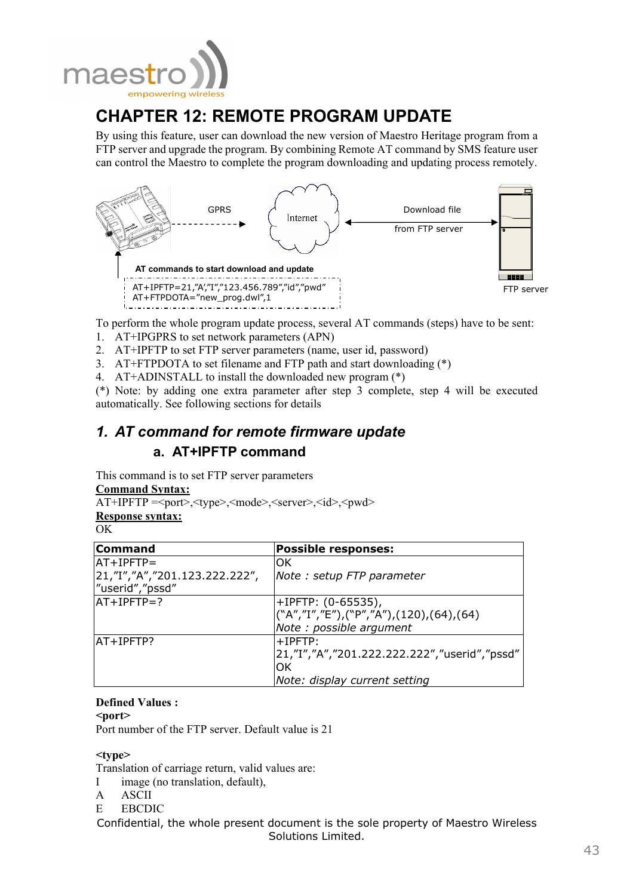

# **CHAPTER 12: REMOTE PROGRAM UPDATE**

By using this feature, user can download the new version of Maestro Heritage program from a FTP server and upgrade the program. By combining Remote AT command by SMS feature user can control the Maestro to complete the program downloading and updating process remotely.



To perform the whole program update process, several AT commands (steps) have to be sent:

- 1. AT+IPGPRS to set network parameters (APN)
- 2. AT+IPFTP to set FTP server parameters (name, user id, password)
- 3. AT+FTPDOTA to set filename and FTP path and start downloading (\*)
- 4. AT+ADINSTALL to install the downloaded new program (\*)

(\*) Note: by adding one extra parameter after step 3 complete, step 4 will be executed automatically. See following sections for details

# *1. AT command for remote firmware update*  **a. AT+IPFTP command**

This command is to set FTP server parameters

## **Command Syntax:**

AT+IPFTP =<port>,<type>,<mode>,<server>,<id>,<pwd>

**Response syntax:**

| I<br>w<br>۰. |
|--------------|
|--------------|

| <b>Command</b>                | <b>Possible responses:</b>                    |
|-------------------------------|-----------------------------------------------|
| $AT+IPFTP=$                   | lОK                                           |
| 21,"I","A","201.123.222.222", | Note : setup FTP parameter                    |
| "userid","pssd"               |                                               |
| $AT+IPFTP=?$                  | +IPFTP: (0-65535),                            |
|                               | ("A","I","E"),("P","A"),(120),(64),(64)       |
|                               | Note : possible argument                      |
| AT+IPFTP?                     | $+$ IPFTP:                                    |
|                               | /21,"I","A","201.222.222.222","userid","pssd" |
|                               | ЮK                                            |
|                               | Note: display current setting                 |

## **Defined Values :**

**<port>** 

Port number of the FTP server. Default value is 21

### **<type>**

Translation of carriage return, valid values are:

- I image (no translation, default),
- A ASCII
- E EBCDIC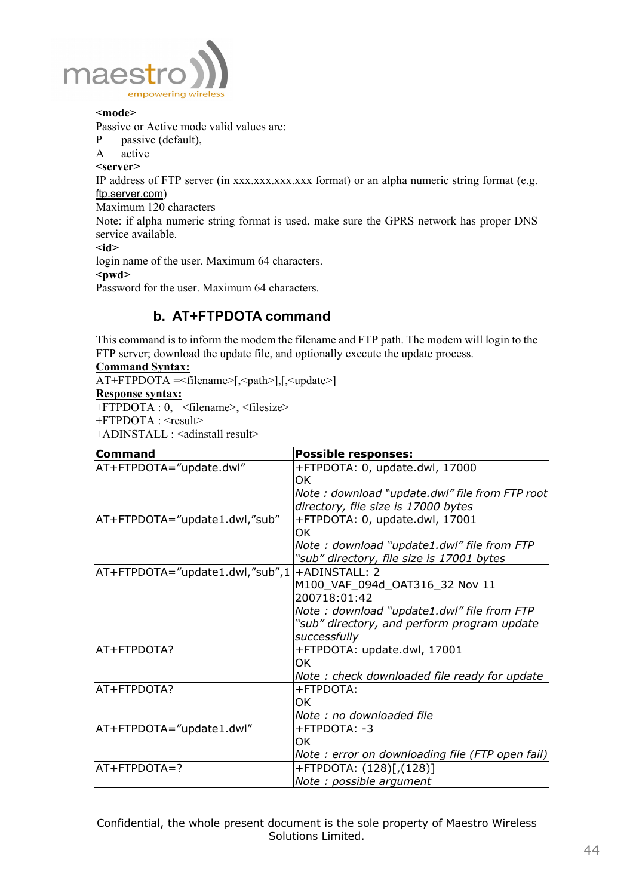

#### **<mode>**

Passive or Active mode valid values are:

- P passive (default),
- A active

#### **<server>**

IP address of FTP server (in xxx.xxx.xxx.xxx.xxx format) or an alpha numeric string format (e.g. ftp.server.com)

Maximum 120 characters

Note: if alpha numeric string format is used, make sure the GPRS network has proper DNS service available.

**<id>** 

login name of the user. Maximum 64 characters.

#### **<pwd>**

Password for the user. Maximum 64 characters.

## **b. AT+FTPDOTA command**

This command is to inform the modem the filename and FTP path. The modem will login to the FTP server; download the update file, and optionally execute the update process.

### **Command Syntax:**

AT+FTPDOTA =<filename>[,<path>],[,<update>] **Response syntax:**

+FTPDOTA : 0, <filename>, <filesize>

+FTPDOTA : <result>

+ADINSTALL : <adinstall result>

| <b>Command</b>                  | <b>Possible responses:</b>                      |
|---------------------------------|-------------------------------------------------|
| AT+FTPDOTA="update.dwl"         | +FTPDOTA: 0, update.dwl, 17000                  |
|                                 | 0K                                              |
|                                 | Note: download "update.dwl" file from FTP root  |
|                                 | directory, file size is 17000 bytes             |
| AT+FTPDOTA="update1.dwl,"sub"   | +FTPDOTA: 0, update.dwl, 17001                  |
|                                 | ΟK                                              |
|                                 | Note: download "update1.dwl" file from FTP      |
|                                 | "sub" directory, file size is 17001 bytes       |
| AT+FTPDOTA="update1.dwl,"sub",1 | $+ADINSTAIL: 2$                                 |
|                                 | M100_VAF_094d_OAT316_32 Nov 11                  |
|                                 | 200718:01:42                                    |
|                                 | Note: download "update1.dwl" file from FTP      |
|                                 | "sub" directory, and perform program update     |
|                                 | successfully                                    |
| AT+FTPDOTA?                     | +FTPDOTA: update.dwl, 17001                     |
|                                 | OK.                                             |
|                                 | Note: check downloaded file ready for update    |
| AT+FTPDOTA?                     | +FTPDOTA:                                       |
|                                 | ΟK                                              |
|                                 | Note : no downloaded file                       |
| AT+FTPDOTA="update1.dwl"        | +FTPDOTA: -3                                    |
|                                 | OK.                                             |
|                                 | Note: error on downloading file (FTP open fail) |
| $AT + FTPDOTA = ?$              | +FTPDOTA: (128)[,(128)]                         |
|                                 | Note: possible argument                         |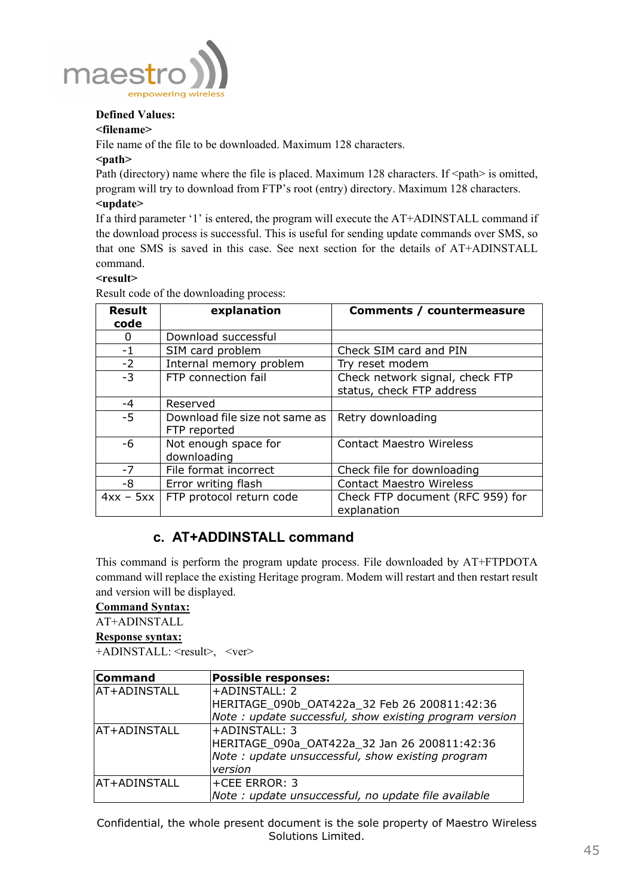

## **Defined Values:**

#### **<filename>**

File name of the file to be downloaded. Maximum 128 characters.

#### **<path>**

Path (directory) name where the file is placed. Maximum 128 characters. If  $\leq$  path $\geq$  is omitted, program will try to download from FTP's root (entry) directory. Maximum 128 characters. **<update>** 

If a third parameter '1' is entered, the program will execute the AT+ADINSTALL command if the download process is successful. This is useful for sending update commands over SMS, so that one SMS is saved in this case. See next section for the details of AT+ADINSTALL command.

### **<result>**

Result code of the downloading process:

| <b>Result</b><br>code | explanation                                    | Comments / countermeasure                       |
|-----------------------|------------------------------------------------|-------------------------------------------------|
| 0                     | Download successful                            |                                                 |
| $-1$                  | SIM card problem                               | Check SIM card and PIN                          |
| $-2$                  | Internal memory problem                        | Try reset modem                                 |
| $-3$                  | FTP connection fail                            | Check network signal, check FTP                 |
|                       |                                                | status, check FTP address                       |
| $-4$                  | Reserved                                       |                                                 |
| $-5$                  | Download file size not same as<br>FTP reported | Retry downloading                               |
| -6                    | Not enough space for<br>downloading            | <b>Contact Maestro Wireless</b>                 |
| $-7$                  | File format incorrect                          | Check file for downloading                      |
| -8                    | Error writing flash                            | <b>Contact Maestro Wireless</b>                 |
| $4xx - 5xx$           | FTP protocol return code                       | Check FTP document (RFC 959) for<br>explanation |

## **c. AT+ADDINSTALL command**

This command is perform the program update process. File downloaded by AT+FTPDOTA command will replace the existing Heritage program. Modem will restart and then restart result and version will be displayed.

## **Command Syntax:**

AT+ADINSTALL

### **Response syntax:**

+ADINSTALL: <result>, <ver>

| <b>Command</b> | <b>Possible responses:</b>                             |
|----------------|--------------------------------------------------------|
| AT+ADINSTALL   | <b>+ADINSTALL: 2</b>                                   |
|                | HERITAGE 090b OAT422a 32 Feb 26 200811:42:36           |
|                | Note: update successful, show existing program version |
| AT+ADINSTALL   | +ADINSTALL: 3                                          |
|                | HERITAGE_090a_OAT422a_32 Jan 26 200811:42:36           |
|                | Note: update unsuccessful, show existing program       |
|                | version                                                |
| AT+ADINSTALL   | l+CEE ERROR: 3                                         |
|                | Note : update unsuccessful, no update file available   |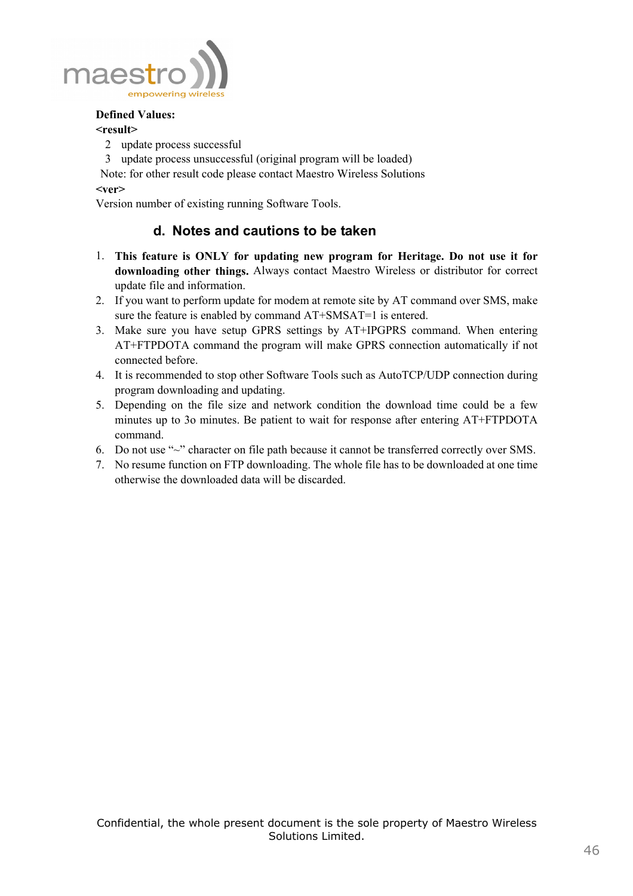

## **Defined Values:**

## **<result>**

- 2 update process successful
- 3 update process unsuccessful (original program will be loaded)

 Note: for other result code please contact Maestro Wireless Solutions **<ver>** 

Version number of existing running Software Tools.

## **d. Notes and cautions to be taken**

- 1. **This feature is ONLY for updating new program for Heritage. Do not use it for downloading other things.** Always contact Maestro Wireless or distributor for correct update file and information.
- 2. If you want to perform update for modem at remote site by AT command over SMS, make sure the feature is enabled by command  $AT+SMSAT=1$  is entered.
- 3. Make sure you have setup GPRS settings by AT+IPGPRS command. When entering AT+FTPDOTA command the program will make GPRS connection automatically if not connected before.
- 4. It is recommended to stop other Software Tools such as AutoTCP/UDP connection during program downloading and updating.
- 5. Depending on the file size and network condition the download time could be a few minutes up to 3o minutes. Be patient to wait for response after entering AT+FTPDOTA command.
- 6. Do not use "~" character on file path because it cannot be transferred correctly over SMS.
- 7. No resume function on FTP downloading. The whole file has to be downloaded at one time otherwise the downloaded data will be discarded.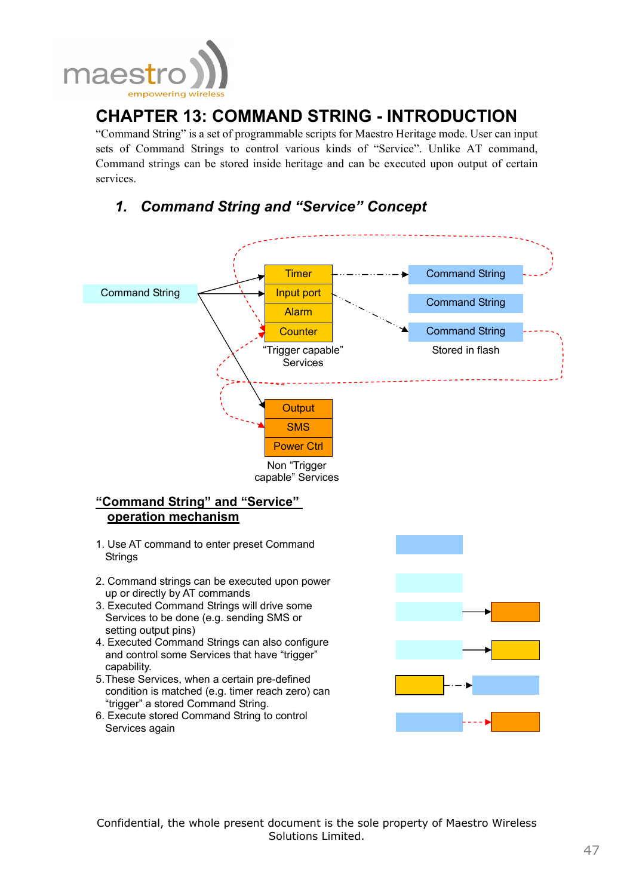

# **CHAPTER 13: COMMAND STRING - INTRODUCTION**

"Command String" is a set of programmable scripts for Maestro Heritage mode. User can input sets of Command Strings to control various kinds of "Service". Unlike AT command, Command strings can be stored inside heritage and can be executed upon output of certain services.

# *1. Command String and "Service" Concept*

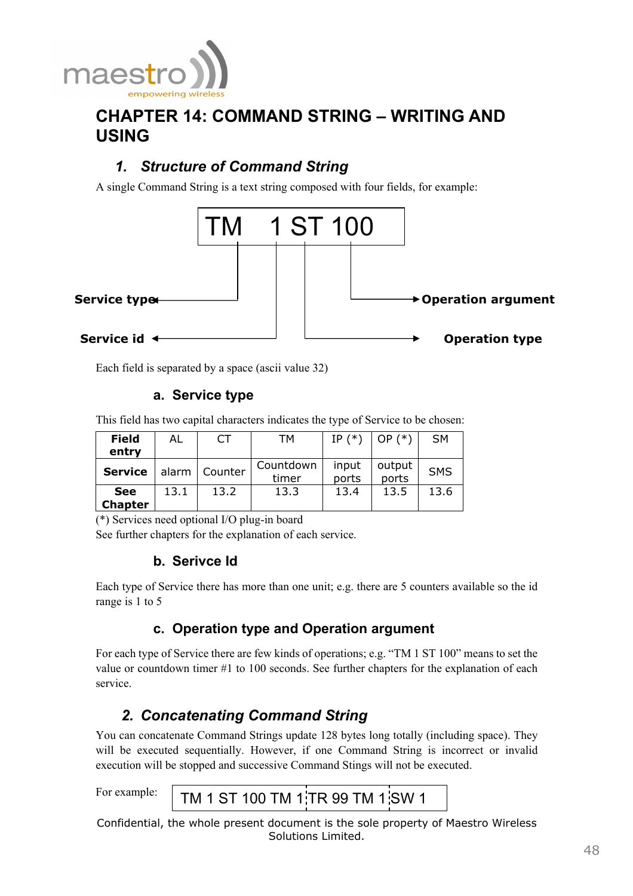![](_page_48_Picture_0.jpeg)

# **CHAPTER 14: COMMAND STRING – WRITING AND USING**

# *1. Structure of Command String*

A single Command String is a text string composed with four fields, for example:

![](_page_48_Figure_4.jpeg)

Each field is separated by a space (ascii value 32)

## **a. Service type**

This field has two capital characters indicates the type of Service to be chosen:

| <b>Field</b>                 | AL    | СT        | TМ                 | IP $(*)$       | $(*)$<br>OP.    | <b>SM</b>  |
|------------------------------|-------|-----------|--------------------|----------------|-----------------|------------|
| entry                        |       |           |                    |                |                 |            |
| <b>Service</b>               | alarm | l Counter | Countdown<br>timer | input<br>ports | output<br>ports | <b>SMS</b> |
| <b>See</b><br><b>Chapter</b> | 13.1  | 13.2      | 13.3               | 13.4           | 13.5            | 13.6       |

(\*) Services need optional I/O plug-in board

See further chapters for the explanation of each service.

## **b. Serivce Id**

Each type of Service there has more than one unit; e.g. there are 5 counters available so the id range is 1 to 5

## **c. Operation type and Operation argument**

For each type of Service there are few kinds of operations; e.g. "TM 1 ST 100" means to set the value or countdown timer #1 to 100 seconds. See further chapters for the explanation of each service.

# *2. Concatenating Command String*

You can concatenate Command Strings update 128 bytes long totally (including space). They will be executed sequentially. However, if one Command String is incorrect or invalid execution will be stopped and successive Command Stings will not be executed.

For example:

TM 1 ST 100 TM 1 TR 99 TM 1 SW 1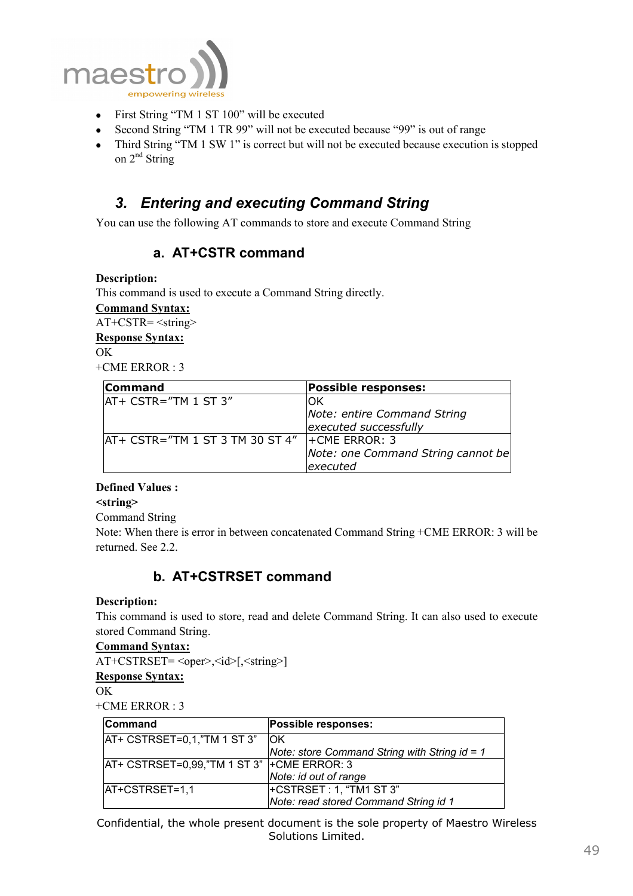![](_page_49_Picture_0.jpeg)

- First String "TM 1 ST 100" will be executed
- Second String "TM 1 TR 99" will not be executed because "99" is out of range
- Third String "TM 1 SW 1" is correct but will not be executed because execution is stopped on  $2^{nd}$  String

# *3. Entering and executing Command String*

You can use the following AT commands to store and execute Command String

## **a. AT+CSTR command**

#### **Description:**

This command is used to execute a Command String directly.

**Command Syntax:**

AT+CSTR= <string>

#### **Response Syntax:**

OK

+CME ERROR : 3

| <b>Command</b>                  | <b>Possible responses:</b>         |
|---------------------------------|------------------------------------|
| AT+ CSTR="TM 1 ST 3"            | OK                                 |
|                                 | Note: entire Command String        |
|                                 | executed successfully              |
| AT+ CSTR="TM 1 ST 3 TM 30 ST 4" | $\vert$ + CME ERROR: 3             |
|                                 | Note: one Command String cannot be |
|                                 | executed                           |

### **Defined Values :**

**<string>** 

Command String

Note: When there is error in between concatenated Command String +CME ERROR: 3 will be returned. See 2.2.

## **b. AT+CSTRSET command**

### **Description:**

This command is used to store, read and delete Command String. It can also used to execute stored Command String.

#### **Command Syntax:**

AT+CSTRSET= <oper>,<id>[,<string>]

**Response Syntax:**

 $\overline{OK}$ 

 $+CME$  ERROR  $\cdot$  3

| Command                                         | Possible responses:                           |
|-------------------------------------------------|-----------------------------------------------|
| $AT+ CSTRSET=0,1$ , "TM 1 ST 3"                 | <b>IOK</b>                                    |
|                                                 | Note: store Command String with String id = 1 |
| $ AT+CSTRSET=0.99,$ "TM 1 ST 3" $+CME$ ERROR: 3 |                                               |
|                                                 | Note: id out of range                         |
| AT+CSTRSET=1,1                                  | +CSTRSET : 1, "TM1 ST 3"                      |
|                                                 | Note: read stored Command String id 1         |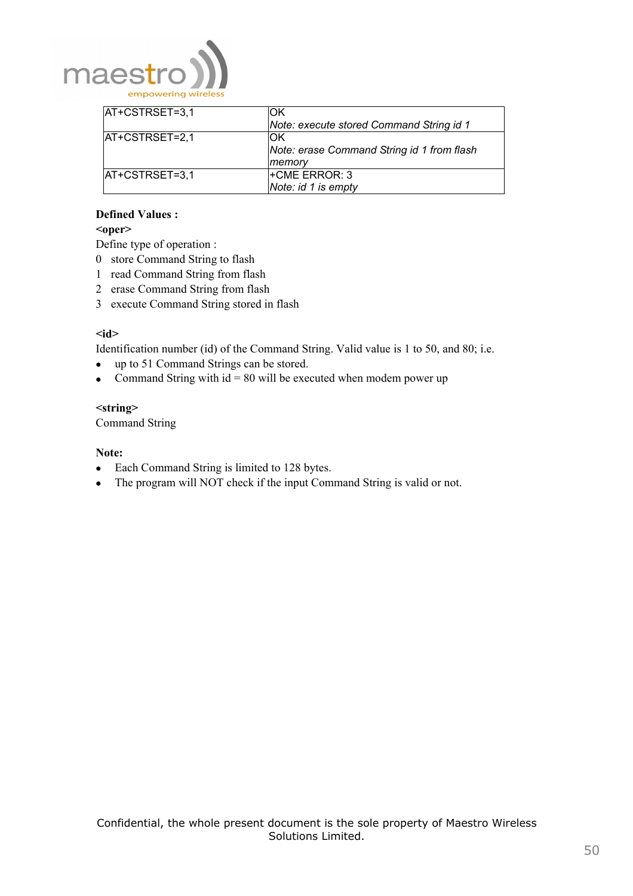![](_page_50_Picture_0.jpeg)

| $ AT+CSTRSET=3,1$ | ΟK                                         |
|-------------------|--------------------------------------------|
|                   | Note: execute stored Command String id 1   |
| AT+CSTRSET=2,1    | ΟK                                         |
|                   | Note: erase Command String id 1 from flash |
|                   | memory                                     |
| AT+CSTRSET=3,1    | <b>+CME ERROR: 3</b>                       |
|                   | Note: id 1 is empty                        |

## **Defined Values :**

## **<oper>**

Define type of operation :

- 0 store Command String to flash
- 1 read Command String from flash
- 2 erase Command String from flash
- 3 execute Command String stored in flash

#### $\leq$ **id**

Identification number (id) of the Command String. Valid value is 1 to 50, and 80; i.e.

- up to 51 Command Strings can be stored.
- Command String with  $id = 80$  will be executed when modem power up

#### **<string>**

Command String

#### **Note:**

- Each Command String is limited to 128 bytes.
- The program will NOT check if the input Command String is valid or not.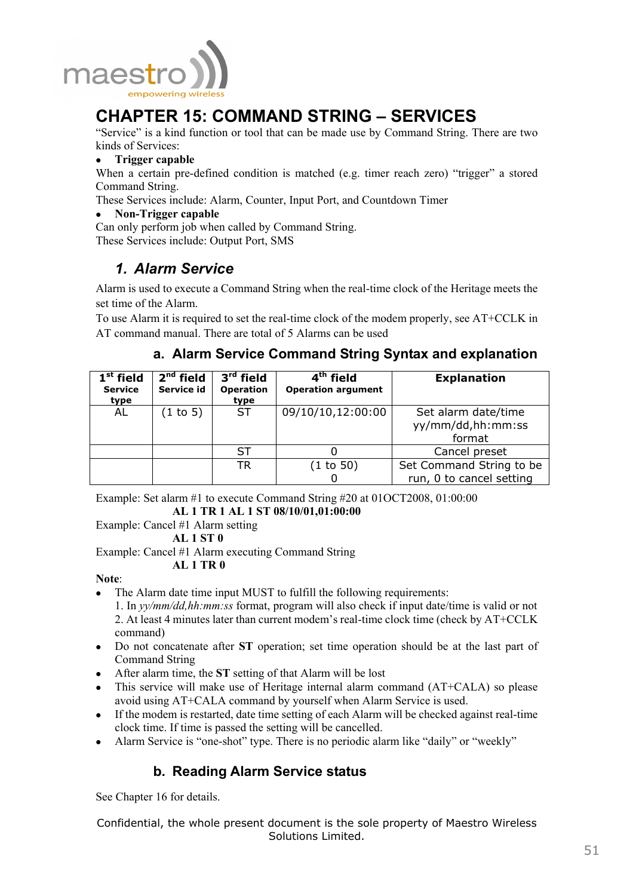![](_page_51_Picture_0.jpeg)

# **CHAPTER 15: COMMAND STRING – SERVICES**

"Service" is a kind function or tool that can be made use by Command String. There are two kinds of Services:

• **Trigger capable** 

When a certain pre-defined condition is matched (e.g. timer reach zero) "trigger" a stored Command String.

These Services include: Alarm, Counter, Input Port, and Countdown Timer

• **Non-Trigger capable** 

Can only perform job when called by Command String. These Services include: Output Port, SMS

*1. Alarm Service* 

Alarm is used to execute a Command String when the real-time clock of the Heritage meets the set time of the Alarm.

To use Alarm it is required to set the real-time clock of the modem properly, see AT+CCLK in AT command manual. There are total of 5 Alarms can be used

## **a. Alarm Service Command String Syntax and explanation**

| $1st$ field<br><b>Service</b><br>type | $2nd$ field<br>Service id | 3 <sup>rd</sup> field<br><b>Operation</b><br>type | 4 <sup>th</sup> field<br><b>Operation argument</b> | <b>Explanation</b>                                   |
|---------------------------------------|---------------------------|---------------------------------------------------|----------------------------------------------------|------------------------------------------------------|
| AL                                    | (1 to 5)                  | ST                                                | 09/10/10,12:00:00                                  | Set alarm date/time<br>yy/mm/dd,hh:mm:ss<br>format   |
|                                       |                           | ST                                                |                                                    | Cancel preset                                        |
|                                       |                           | TR                                                | (1 to 50)                                          | Set Command String to be<br>run, 0 to cancel setting |

Example: Set alarm #1 to execute Command String #20 at 01OCT2008, 01:00:00

**AL 1 TR 1 AL 1 ST 08/10/01,01:00:00** 

Example: Cancel #1 Alarm setting

**AL 1 ST 0** 

Example: Cancel #1 Alarm executing Command String

#### **AL 1 TR 0**

**Note**:

- The Alarm date time input MUST to fulfill the following requirements:
	- 1. In *yy/mm/dd,hh:mm:ss* format, program will also check if input date/time is valid or not 2. At least 4 minutes later than current modem's real-time clock time (check by AT+CCLK command)
- Do not concatenate after **ST** operation; set time operation should be at the last part of Command String
- After alarm time, the **ST** setting of that Alarm will be lost
- This service will make use of Heritage internal alarm command (AT+CALA) so please avoid using AT+CALA command by yourself when Alarm Service is used.
- If the modem is restarted, date time setting of each Alarm will be checked against real-time clock time. If time is passed the setting will be cancelled.
- Alarm Service is "one-shot" type. There is no periodic alarm like "daily" or "weekly"

## **b. Reading Alarm Service status**

See Chapter 16 for details.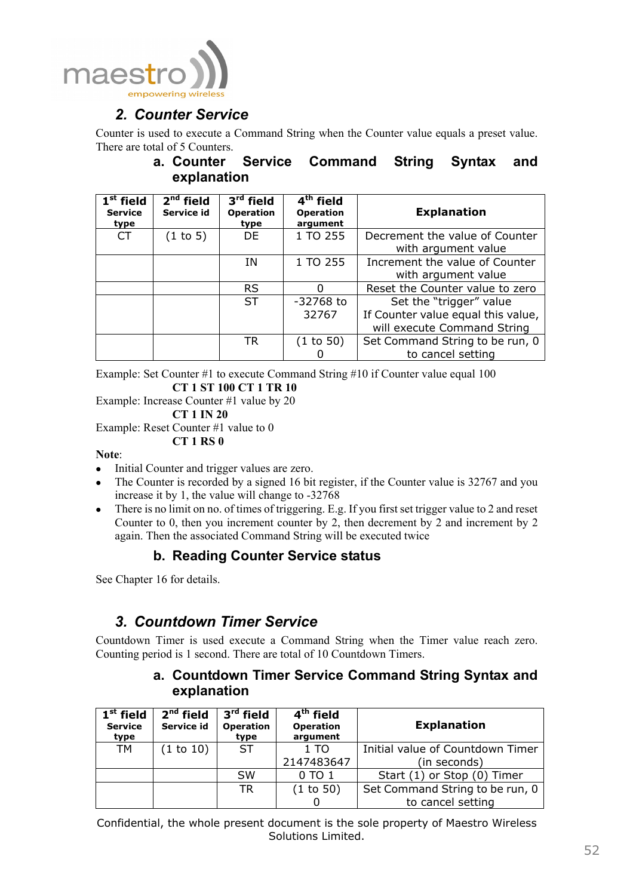![](_page_52_Picture_0.jpeg)

# *2. Counter Service*

Counter is used to execute a Command String when the Counter value equals a preset value. There are total of 5 Counters.

## **a. Counter Service Command String Syntax and explanation**

| $1st$ field<br><b>Service</b><br>type | $2nd$ field<br>Service id | $3rd$ field<br><b>Operation</b><br>type | $4th$ field<br><b>Operation</b><br>argument | <b>Explanation</b>                 |
|---------------------------------------|---------------------------|-----------------------------------------|---------------------------------------------|------------------------------------|
| CT                                    | (1 to 5)                  | DE.                                     | 1 TO 255                                    | Decrement the value of Counter     |
|                                       |                           |                                         |                                             | with argument value                |
|                                       |                           | ΙN                                      | 1 TO 255                                    | Increment the value of Counter     |
|                                       |                           |                                         |                                             | with argument value                |
|                                       |                           | <b>RS</b>                               |                                             | Reset the Counter value to zero    |
|                                       |                           | <b>ST</b>                               | $-32768$ to                                 | Set the "trigger" value            |
|                                       |                           |                                         | 32767                                       | If Counter value equal this value, |
|                                       |                           |                                         |                                             | will execute Command String        |
|                                       |                           | <b>TR</b>                               | (1 to 50)                                   | Set Command String to be run, 0    |
|                                       |                           |                                         |                                             | to cancel setting                  |

Example: Set Counter #1 to execute Command String #10 if Counter value equal 100 **CT 1 ST 100 CT 1 TR 10** 

Example: Increase Counter #1 value by 20 **CT 1 IN 20** 

Example: Reset Counter #1 value to 0

**CT 1 RS 0**

### **Note**:

- Initial Counter and trigger values are zero.
- The Counter is recorded by a signed 16 bit register, if the Counter value is 32767 and you increase it by 1, the value will change to -32768
- There is no limit on no. of times of triggering. E.g. If you first set trigger value to 2 and reset Counter to 0, then you increment counter by 2, then decrement by 2 and increment by 2 again. Then the associated Command String will be executed twice

## **b. Reading Counter Service status**

See Chapter 16 for details.

# *3. Countdown Timer Service*

Countdown Timer is used execute a Command String when the Timer value reach zero. Counting period is 1 second. There are total of 10 Countdown Timers.

## **a. Countdown Timer Service Command String Syntax and explanation**

| $1st$ field<br><b>Service</b><br>type | $2nd$ field<br>Service id | 3 <sup>rd</sup> field<br><b>Operation</b><br>type | 4 <sup>th</sup> field<br><b>Operation</b><br>argument | <b>Explanation</b>               |
|---------------------------------------|---------------------------|---------------------------------------------------|-------------------------------------------------------|----------------------------------|
| <b>TM</b>                             | (1 to 10)                 | <b>ST</b>                                         | 1T <sub>O</sub>                                       | Initial value of Countdown Timer |
|                                       |                           |                                                   | 2147483647                                            | (in seconds)                     |
|                                       |                           | <b>SW</b>                                         | 0 TO 1                                                | Start (1) or Stop (0) Timer      |
|                                       |                           | <b>TR</b>                                         | (1 to 50)                                             | Set Command String to be run, 0  |
|                                       |                           |                                                   |                                                       | to cancel setting                |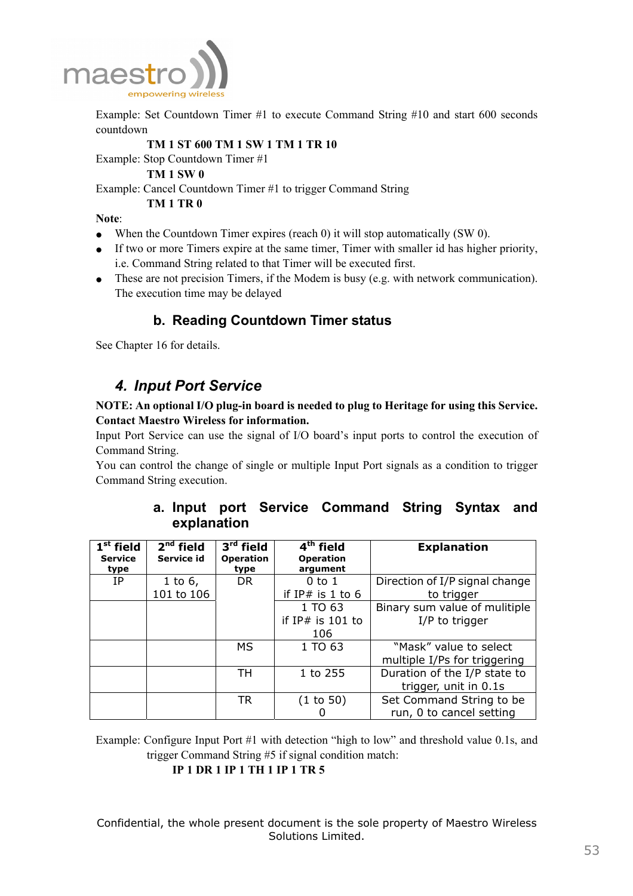![](_page_53_Picture_0.jpeg)

Example: Set Countdown Timer #1 to execute Command String #10 and start 600 seconds countdown

#### **TM 1 ST 600 TM 1 SW 1 TM 1 TR 10**

Example: Stop Countdown Timer #1

**TM 1 SW 0** 

Example: Cancel Countdown Timer #1 to trigger Command String

#### **TM 1 TR 0**

#### **Note**:

- When the Countdown Timer expires (reach 0) it will stop automatically (SW 0).
- If two or more Timers expire at the same timer, Timer with smaller id has higher priority, i.e. Command String related to that Timer will be executed first.
- These are not precision Timers, if the Modem is busy (e.g. with network communication). The execution time may be delayed

## **b. Reading Countdown Timer status**

See Chapter 16 for details.

# *4. Input Port Service*

**NOTE: An optional I/O plug-in board is needed to plug to Heritage for using this Service. Contact Maestro Wireless for information.** 

Input Port Service can use the signal of I/O board's input ports to control the execution of Command String.

You can control the change of single or multiple Input Port signals as a condition to trigger Command String execution.

## **a. Input port Service Command String Syntax and explanation**

| $\overline{\mathbf{1}}^{\text{st}}$ field<br><b>Service</b><br>type | $2nd$ field<br>Service id | 3 <sup>rd</sup> field<br><b>Operation</b><br>type | $\overline{4^{th}}$ field<br><b>Operation</b><br>argument | <b>Explanation</b>             |
|---------------------------------------------------------------------|---------------------------|---------------------------------------------------|-----------------------------------------------------------|--------------------------------|
| IΡ                                                                  | 1 to $6,$                 | DR.                                               | $0$ to $1$                                                | Direction of I/P signal change |
|                                                                     | 101 to 106                |                                                   | if IP# is $1$ to $6$                                      | to trigger                     |
|                                                                     |                           |                                                   | 1 TO 63                                                   | Binary sum value of mulitiple  |
|                                                                     |                           |                                                   | if $IP#$ is 101 to                                        | I/P to trigger                 |
|                                                                     |                           |                                                   | 106                                                       |                                |
|                                                                     |                           | МS                                                | 1 TO 63                                                   | "Mask" value to select         |
|                                                                     |                           |                                                   |                                                           | multiple I/Ps for triggering   |
|                                                                     |                           | TH                                                | 1 to 255                                                  | Duration of the I/P state to   |
|                                                                     |                           |                                                   |                                                           | trigger, unit in 0.1s          |
|                                                                     |                           | <b>TR</b>                                         | (1 to 50)                                                 | Set Command String to be       |
|                                                                     |                           |                                                   |                                                           | run, 0 to cancel setting       |

Example: Configure Input Port #1 with detection "high to low" and threshold value 0.1s, and trigger Command String #5 if signal condition match:

**IP 1 DR 1 IP 1 TH 1 IP 1 TR 5**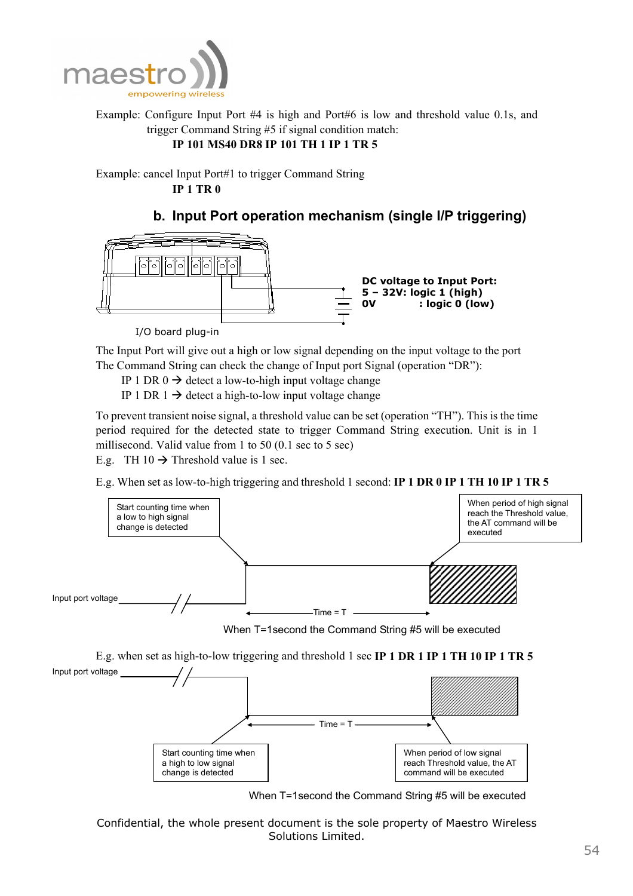![](_page_54_Picture_0.jpeg)

Example: Configure Input Port #4 is high and Port#6 is low and threshold value 0.1s, and trigger Command String #5 if signal condition match:

## **IP 101 MS40 DR8 IP 101 TH 1 IP 1 TR 5**

Example: cancel Input Port#1 to trigger Command String **IP 1 TR 0** 

## **b. Input Port operation mechanism (single I/P triggering)**

![](_page_54_Figure_5.jpeg)

I/O board plug-in

The Input Port will give out a high or low signal depending on the input voltage to the port The Command String can check the change of Input port Signal (operation "DR"):

IP 1 DR  $0 \rightarrow$  detect a low-to-high input voltage change

IP 1 DR 1  $\rightarrow$  detect a high-to-low input voltage change

To prevent transient noise signal, a threshold value can be set (operation "TH"). This is the time period required for the detected state to trigger Command String execution. Unit is in 1 millisecond. Valid value from 1 to 50 (0.1 sec to 5 sec)

E.g. TH 10  $\rightarrow$  Threshold value is 1 sec.

E.g. When set as low-to-high triggering and threshold 1 second: **IP 1 DR 0 IP 1 TH 10 IP 1 TR 5**

![](_page_54_Figure_13.jpeg)

When T=1second the Command String #5 will be executed

E.g. when set as high-to-low triggering and threshold 1 sec **IP 1 DR 1 IP 1 TH 10 IP 1 TR 5**

![](_page_54_Figure_16.jpeg)

When T=1second the Command String #5 will be executed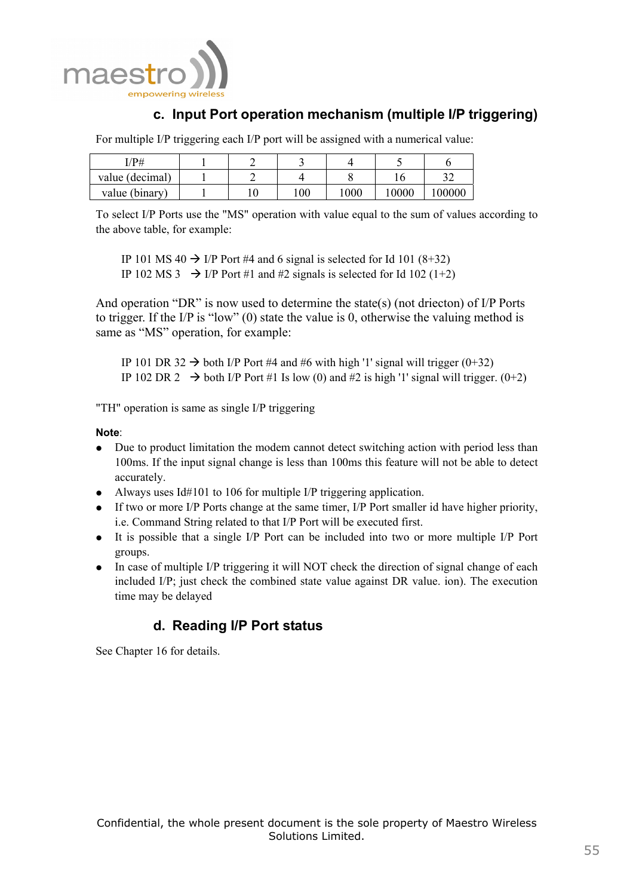![](_page_55_Picture_0.jpeg)

# **c. Input Port operation mechanism (multiple I/P triggering)**

For multiple I/P triggering each I/P port will be assigned with a numerical value:

| I/P#            |  |     |      |       |       |
|-----------------|--|-----|------|-------|-------|
| value (decimal) |  |     |      |       | s s   |
| value (binary)  |  | 100 | 1000 | 10000 | 00000 |

To select I/P Ports use the "MS" operation with value equal to the sum of values according to the above table, for example:

IP 101 MS 40  $\rightarrow$  I/P Port #4 and 6 signal is selected for Id 101 (8+32) IP 102 MS 3  $\rightarrow$  I/P Port #1 and #2 signals is selected for Id 102 (1+2)

And operation "DR" is now used to determine the state(s) (not driecton) of I/P Ports to trigger. If the I/P is "low" (0) state the value is 0, otherwise the valuing method is same as "MS" operation, for example:

IP 101 DR 32  $\rightarrow$  both I/P Port #4 and #6 with high '1' signal will trigger (0+32) IP 102 DR 2  $\rightarrow$  both I/P Port #1 Is low (0) and #2 is high '1' signal will trigger. (0+2)

"TH" operation is same as single I/P triggering

### **Note**:

- Due to product limitation the modem cannot detect switching action with period less than 100ms. If the input signal change is less than 100ms this feature will not be able to detect accurately.
- Always uses  $Id#101$  to 106 for multiple I/P triggering application.
- $\bullet$  If two or more I/P Ports change at the same timer, I/P Port smaller id have higher priority, i.e. Command String related to that I/P Port will be executed first.
- It is possible that a single I/P Port can be included into two or more multiple I/P Port groups.
- In case of multiple I/P triggering it will NOT check the direction of signal change of each included I/P; just check the combined state value against DR value. ion). The execution time may be delayed

# **d. Reading I/P Port status**

See Chapter 16 for details.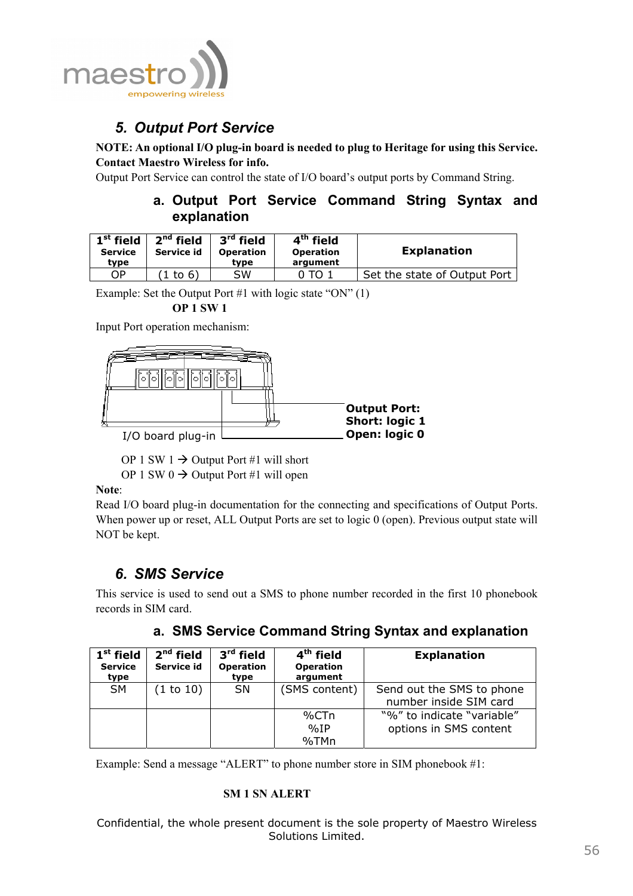![](_page_56_Picture_0.jpeg)

# *5. Output Port Service*

**NOTE: An optional I/O plug-in board is needed to plug to Heritage for using this Service. Contact Maestro Wireless for info.**

Output Port Service can control the state of I/O board's output ports by Command String.

## **a. Output Port Service Command String Syntax and explanation**

| $1st$ field<br><b>Service</b><br>type | $2nd$ field<br>Service id | $3rd$ field<br><b>Operation</b><br>tvpe | $4th$ field<br><b>Operation</b><br>argument | <b>Explanation</b>           |
|---------------------------------------|---------------------------|-----------------------------------------|---------------------------------------------|------------------------------|
| ОP                                    | $1$ to 6)                 | SW                                      | TO.                                         | Set the state of Output Port |

Example: Set the Output Port #1 with logic state "ON" (1)

 **OP 1 SW 1**

Input Port operation mechanism:

![](_page_56_Figure_9.jpeg)

OP 1 SW 1  $\rightarrow$  Output Port #1 will short

OP 1 SW  $0 \rightarrow$  Output Port #1 will open

**Note**:

Read I/O board plug-in documentation for the connecting and specifications of Output Ports. When power up or reset, ALL Output Ports are set to logic 0 (open). Previous output state will NOT be kept.

# *6. SMS Service*

This service is used to send out a SMS to phone number recorded in the first 10 phonebook records in SIM card.

|  | a. SMS Service Command String Syntax and explanation |  |  |  |  |  |
|--|------------------------------------------------------|--|--|--|--|--|
|--|------------------------------------------------------|--|--|--|--|--|

| $1st$ field<br><b>Service</b><br>type | $2nd$ field<br>Service id | $3rd$ field<br><b>Operation</b><br>type | 4 <sup>th</sup> field<br><b>Operation</b><br>argument | <b>Explanation</b>                                   |
|---------------------------------------|---------------------------|-----------------------------------------|-------------------------------------------------------|------------------------------------------------------|
| <b>SM</b>                             | (1 to 10)                 | SN                                      | (SMS content)                                         | Send out the SMS to phone<br>number inside SIM card  |
|                                       |                           |                                         | %CTn<br>%IP                                           | "%" to indicate "variable"<br>options in SMS content |
|                                       |                           |                                         | %TMn                                                  |                                                      |

Example: Send a message "ALERT" to phone number store in SIM phonebook #1:

### **SM 1 SN ALERT**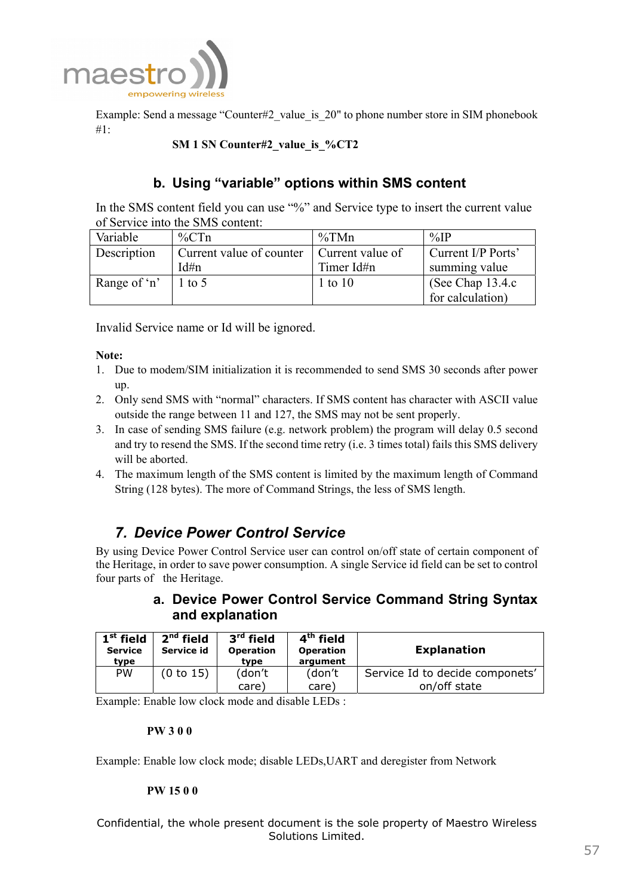![](_page_57_Picture_0.jpeg)

Example: Send a message "Counter#2 value is 20" to phone number store in SIM phonebook #1:

## **SM 1 SN Counter#2\_value\_is\_%CT2**

## **b. Using "variable" options within SMS content**

In the SMS content field you can use "%" and Service type to insert the current value of Service into the SMS content:

| Variable     | $\%$ CTn                 | %TMn             | $\%$ IP              |
|--------------|--------------------------|------------------|----------------------|
| Description  | Current value of counter | Current value of | Current I/P Ports'   |
|              | Id#n                     | Timer Id#n       | summing value        |
| Range of 'n' | $1$ to 5                 | $1$ to $10$      | (See Chap $13.4.c$ ) |
|              |                          |                  | for calculation)     |

Invalid Service name or Id will be ignored.

#### **Note:**

- 1. Due to modem/SIM initialization it is recommended to send SMS 30 seconds after power up.
- 2. Only send SMS with "normal" characters. If SMS content has character with ASCII value outside the range between 11 and 127, the SMS may not be sent properly.
- 3. In case of sending SMS failure (e.g. network problem) the program will delay 0.5 second and try to resend the SMS. If the second time retry (i.e. 3 times total) fails this SMS delivery will be aborted.
- 4. The maximum length of the SMS content is limited by the maximum length of Command String (128 bytes). The more of Command Strings, the less of SMS length.

# *7. Device Power Control Service*

By using Device Power Control Service user can control on/off state of certain component of the Heritage, in order to save power consumption. A single Service id field can be set to control four parts of the Heritage.

## **a. Device Power Control Service Command String Syntax and explanation**

| $1st$ field<br><b>Service</b><br>type | $2nd$ field<br>Service id | $3rd$ field<br><b>Operation</b><br>type | $4th$ field<br><b>Operation</b><br>argument | <b>Explanation</b>                              |
|---------------------------------------|---------------------------|-----------------------------------------|---------------------------------------------|-------------------------------------------------|
| <b>PW</b>                             | (0 to 15)                 | (don't<br>care)                         | (don't<br>care)                             | Service Id to decide componets'<br>on/off state |

Example: Enable low clock mode and disable LEDs :

#### **PW 3 0 0**

Example: Enable low clock mode; disable LEDs,UART and deregister from Network

#### **PW 15 0 0**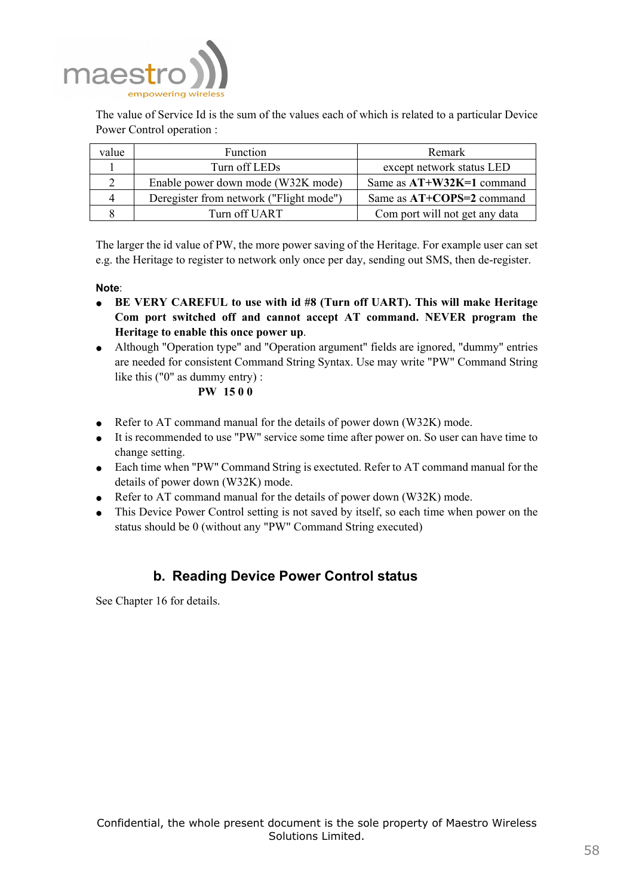![](_page_58_Picture_0.jpeg)

The value of Service Id is the sum of the values each of which is related to a particular Device Power Control operation :

| value | <b>Function</b>                         | Remark                         |
|-------|-----------------------------------------|--------------------------------|
|       | Turn off LEDs                           | except network status LED      |
|       | Enable power down mode (W32K mode)      | Same as $AT+W32K=1$ command    |
| 4     | Deregister from network ("Flight mode") | Same as AT+COPS=2 command      |
|       | Turn off UART                           | Com port will not get any data |

The larger the id value of PW, the more power saving of the Heritage. For example user can set e.g. the Heritage to register to network only once per day, sending out SMS, then de-register.

**Note**:

- **BE VERY CAREFUL to use with id #8 (Turn off UART). This will make Heritage Com port switched off and cannot accept AT command. NEVER program the Heritage to enable this once power up**.
- Although "Operation type" and "Operation argument" fields are ignored, "dummy" entries are needed for consistent Command String Syntax. Use may write "PW" Command String like this ("0" as dummy entry) :

### **PW 15 0 0**

- Refer to AT command manual for the details of power down (W32K) mode.
- It is recommended to use "PW" service some time after power on. So user can have time to change setting.
- Each time when "PW" Command String is exectuted. Refer to AT command manual for the details of power down (W32K) mode.
- Refer to AT command manual for the details of power down (W32K) mode.
- This Device Power Control setting is not saved by itself, so each time when power on the status should be 0 (without any "PW" Command String executed)

## **b. Reading Device Power Control status**

See Chapter 16 for details.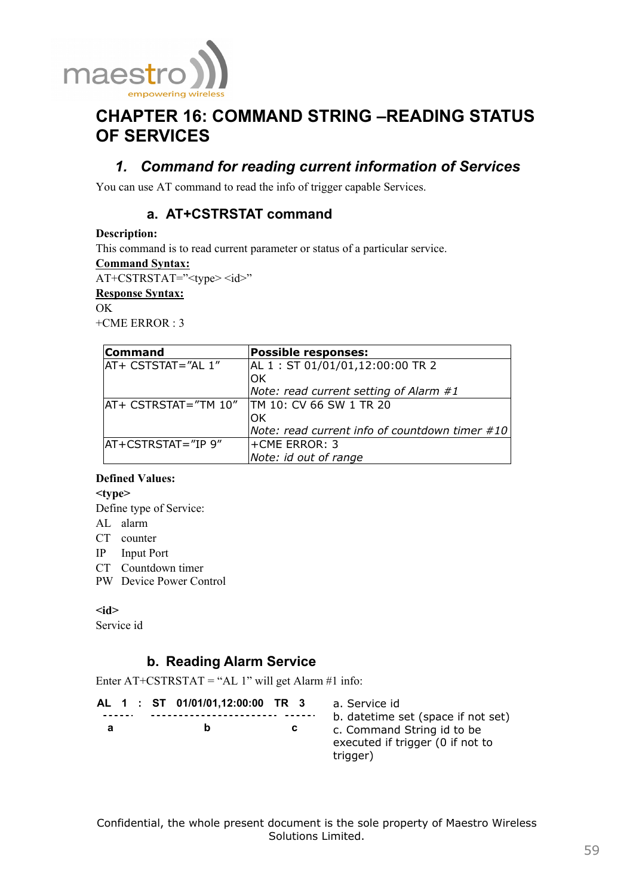![](_page_59_Picture_0.jpeg)

# **CHAPTER 16: COMMAND STRING –READING STATUS OF SERVICES**

# *1. Command for reading current information of Services*

You can use AT command to read the info of trigger capable Services.

## **a. AT+CSTRSTAT command**

#### **Description:**

This command is to read current parameter or status of a particular service.

**Command Syntax:**

AT+CSTRSTAT="<type><id>"

**Response Syntax:**

OK

 $+CME$  ERROR  $\cdot$  3

| <b>Command</b>                                | <b>Possible responses:</b>                        |  |
|-----------------------------------------------|---------------------------------------------------|--|
| AT+ CSTSTAT="AL 1"                            | AL 1 : ST 01/01/01,12:00:00 TR 2                  |  |
|                                               | OK                                                |  |
|                                               | Note: read current setting of Alarm #1            |  |
| AT+ CSTRSTAT="TM 10"  TM 10: CV 66 SW 1 TR 20 |                                                   |  |
|                                               | OK                                                |  |
|                                               | Note: read current info of countdown timer $\#10$ |  |
| AT+CSTRSTAT="IP 9"                            | l+CME ERROR: 3                                    |  |
|                                               | Note: id out of range                             |  |

### **Defined Values:**

**<type>** 

Define type of Service:

- AL alarm
- CT counter
- IP Input Port
- CT Countdown timer
- PW Device Power Control

### **<id>**

Service id

## **b. Reading Alarm Service**

Enter  $AT+CSTRSTAT = "AL 1"$  will get Alarm #1 info:

|   |  | AL 1 : ST 01/01/01,12:00:00 TR 3 |    | a. Service id                                                              |
|---|--|----------------------------------|----|----------------------------------------------------------------------------|
|   |  |                                  |    | b. datetime set (space if not set)                                         |
| а |  | b                                | C. | c. Command String id to be<br>executed if trigger (0 if not to<br>trigger) |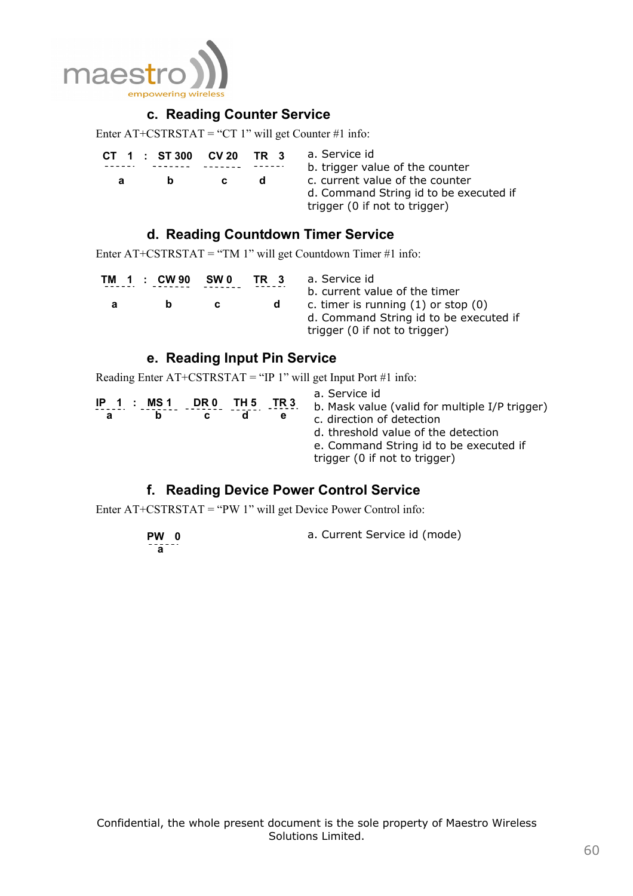![](_page_60_Picture_0.jpeg)

## **c. Reading Counter Service**

Enter  $AT+CSTRSTAT = "CT 1"$  will get Counter #1 info:

| CT 1 : ST 300 | CV 20 | TR 3 | a. Service id<br>b. trigger value of the counter                                                           |
|---------------|-------|------|------------------------------------------------------------------------------------------------------------|
| n             |       | a.   | c. current value of the counter<br>d. Command String id to be executed if<br>trigger (0 if not to trigger) |

## **d. Reading Countdown Timer Service**

Enter  $AT+CSTRSTAT = "TM 1"$  will get Countdown Timer #1 info:

|   | TM 1 : CW90 | SW 0 | TR 3 | a. Service id<br>b. current value of the timer                                                                     |
|---|-------------|------|------|--------------------------------------------------------------------------------------------------------------------|
| a |             | C.   | a    | c. timer is running $(1)$ or stop $(0)$<br>d. Command String id to be executed if<br>trigger (0 if not to trigger) |

## **e. Reading Input Pin Service**

Reading Enter AT+CSTRSTAT = "IP 1" will get Input Port #1 info:

| $IP_1$ : MS1<br>a | TH 5<br>DR 0 | TR 3<br>е | a. Service id<br>b. Mask value (valid for multiple I/P trigger)<br>c. direction of detection<br>d. threshold value of the detection<br>e. Command String id to be executed if<br>trigger (0 if not to trigger) |
|-------------------|--------------|-----------|----------------------------------------------------------------------------------------------------------------------------------------------------------------------------------------------------------------|
|                   |              |           |                                                                                                                                                                                                                |

## **f. Reading Device Power Control Service**

Enter AT+CSTRSTAT = "PW 1" will get Device Power Control info:

 **PW 0 a**  a. Current Service id (mode)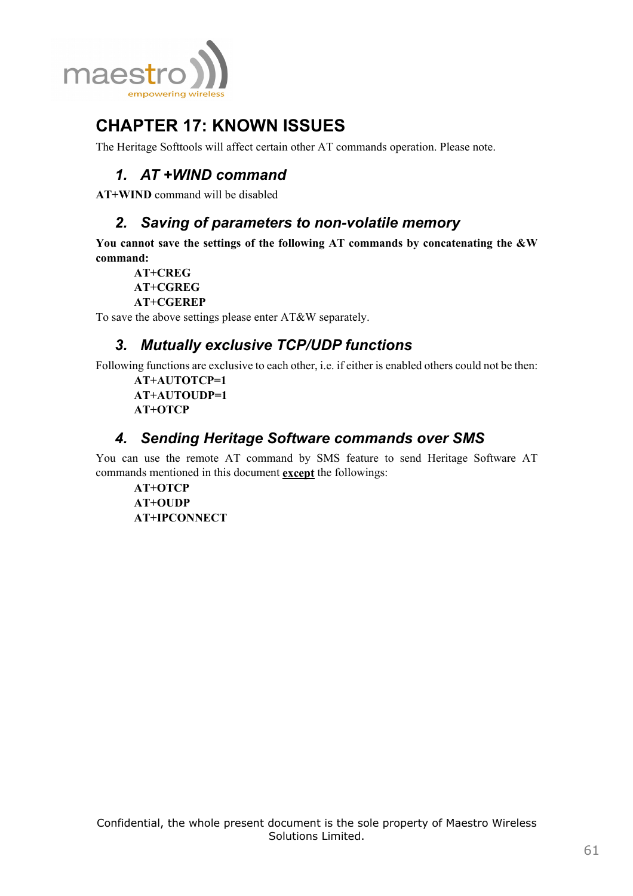![](_page_61_Picture_0.jpeg)

# **CHAPTER 17: KNOWN ISSUES**

The Heritage Softtools will affect certain other AT commands operation. Please note.

# *1. AT +WIND command*

**AT+WIND** command will be disabled

# *2. Saving of parameters to non-volatile memory*

**You cannot save the settings of the following AT commands by concatenating the &W command:** 

**AT+CREG AT+CGREG** 

**AT+CGEREP** 

To save the above settings please enter AT&W separately.

# *3. Mutually exclusive TCP/UDP functions*

Following functions are exclusive to each other, i.e. if either is enabled others could not be then:

**AT+AUTOTCP=1 AT+AUTOUDP=1 AT+OTCP** 

# *4. Sending Heritage Software commands over SMS*

You can use the remote AT command by SMS feature to send Heritage Software AT commands mentioned in this document **except** the followings:

**AT+OTCP AT+OUDP AT+IPCONNECT**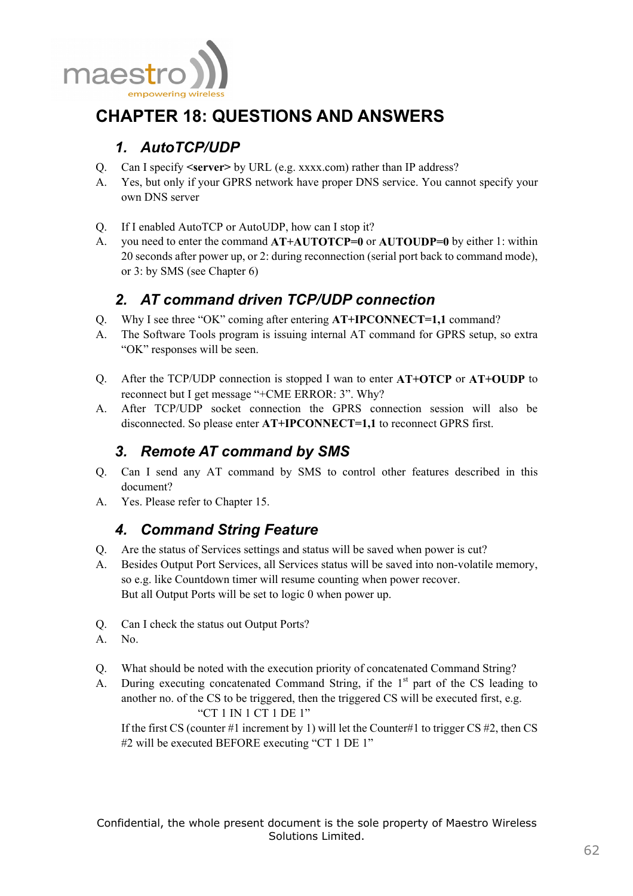![](_page_62_Picture_0.jpeg)

# **CHAPTER 18: QUESTIONS AND ANSWERS**

# *1. AutoTCP/UDP*

- Q. Can I specify **<server>** by URL (e.g. xxxx.com) rather than IP address?
- A. Yes, but only if your GPRS network have proper DNS service. You cannot specify your own DNS server
- Q. If I enabled AutoTCP or AutoUDP, how can I stop it?
- A. you need to enter the command **AT+AUTOTCP=0** or **AUTOUDP=0** by either 1: within 20 seconds after power up, or 2: during reconnection (serial port back to command mode), or 3: by SMS (see Chapter 6)

# *2. AT command driven TCP/UDP connection*

- Q. Why I see three "OK" coming after entering **AT+IPCONNECT=1,1** command?
- A. The Software Tools program is issuing internal AT command for GPRS setup, so extra "OK" responses will be seen.
- Q. After the TCP/UDP connection is stopped I wan to enter **AT+OTCP** or **AT+OUDP** to reconnect but I get message "+CME ERROR: 3". Why?
- A. After TCP/UDP socket connection the GPRS connection session will also be disconnected. So please enter **AT+IPCONNECT=1,1** to reconnect GPRS first.

# *3. Remote AT command by SMS*

- Q. Can I send any AT command by SMS to control other features described in this document?
- A. Yes. Please refer to Chapter 15.

# *4. Command String Feature*

- Q. Are the status of Services settings and status will be saved when power is cut?
- A. Besides Output Port Services, all Services status will be saved into non-volatile memory, so e.g. like Countdown timer will resume counting when power recover. But all Output Ports will be set to logic 0 when power up.
- Q. Can I check the status out Output Ports?
- A. No.
- Q. What should be noted with the execution priority of concatenated Command String?
- A. During executing concatenated Command String, if the 1<sup>st</sup> part of the CS leading to another no. of the CS to be triggered, then the triggered CS will be executed first, e.g. "CT 1 IN 1 CT 1 DE 1"

If the first CS (counter #1 increment by 1) will let the Counter#1 to trigger CS #2, then CS #2 will be executed BEFORE executing "CT 1 DE 1"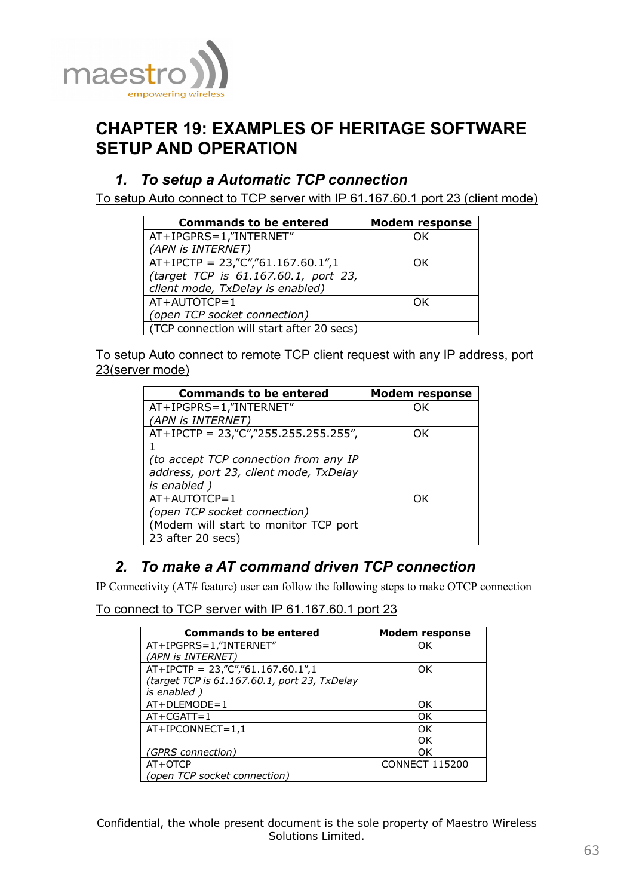![](_page_63_Picture_0.jpeg)

# **CHAPTER 19: EXAMPLES OF HERITAGE SOFTWARE SETUP AND OPERATION**

# *1. To setup a Automatic TCP connection*

To setup Auto connect to TCP server with IP 61.167.60.1 port 23 (client mode)

| <b>Commands to be entered</b>             | <b>Modem response</b> |
|-------------------------------------------|-----------------------|
| AT+IPGPRS=1,"INTERNET"                    | OK                    |
| (APN is INTERNET)                         |                       |
| $AT+IPCTP = 23,"C",761.167.60.1",1$       | OK.                   |
| (target TCP is 61.167.60.1, port 23,      |                       |
| client mode, TxDelay is enabled)          |                       |
| $AT+AUTOTCP=1$                            | ΩK                    |
| (open TCP socket connection)              |                       |
| (TCP connection will start after 20 secs) |                       |

To setup Auto connect to remote TCP client request with any IP address, port 23(server mode)

| <b>Commands to be entered</b>          | <b>Modem response</b> |
|----------------------------------------|-----------------------|
| AT+IPGPRS=1,"INTERNET"                 | ΩK                    |
| (APN is INTERNET)                      |                       |
| $AT+IPCTP = 23,"C", 255.255.255.255",$ | ΩK                    |
|                                        |                       |
| (to accept TCP connection from any IP  |                       |
| address, port 23, client mode, TxDelay |                       |
| is enabled                             |                       |
| $AT+AUTOTCP=1$                         | ΩK                    |
| (open TCP socket connection)           |                       |
| (Modem will start to monitor TCP port  |                       |
| 23 after 20 secs)                      |                       |

# *2. To make a AT command driven TCP connection*

IP Connectivity (AT# feature) user can follow the following steps to make OTCP connection

To connect to TCP server with IP 61.167.60.1 port 23

| <b>Commands to be entered</b>                | <b>Modem response</b> |
|----------------------------------------------|-----------------------|
| AT+IPGPRS=1,"INTERNET"                       | OK                    |
| (APN is INTERNET)                            |                       |
| $AT+IPCTP = 23, "C", "61.167.60.1", 1$       | OK                    |
| (target TCP is 61.167.60.1, port 23, TxDelay |                       |
| <i>is</i> enabled                            |                       |
| $AT+DLEMODE=1$                               | OK                    |
| $AT+CGATT=1$                                 | OK                    |
| $AT+IPCONNECT=1,1$                           | OK                    |
|                                              | OK                    |
| (GPRS connection)                            | OK                    |
| AT+OTCP                                      | <b>CONNECT 115200</b> |
| (open TCP socket connection)                 |                       |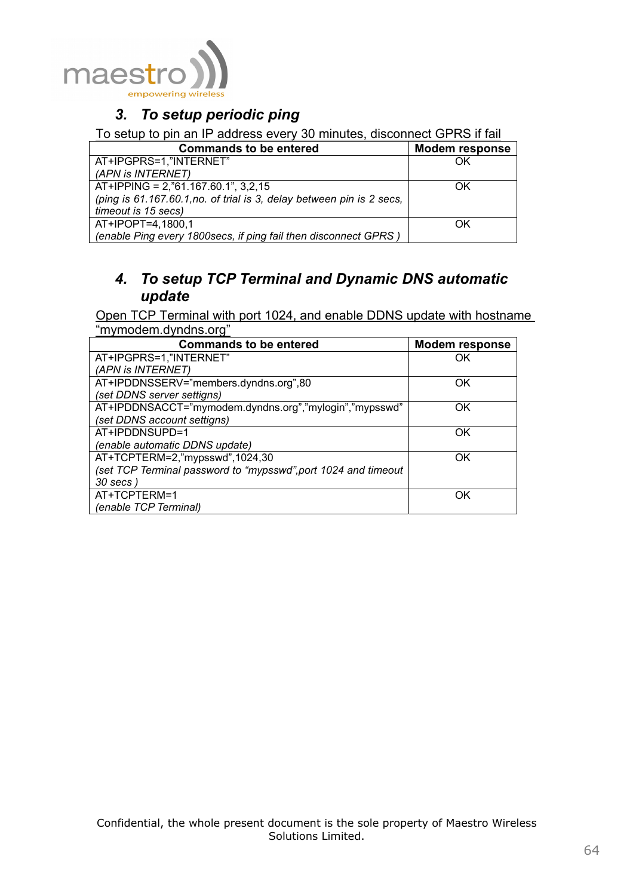![](_page_64_Picture_0.jpeg)

# *3. To setup periodic ping*

## To setup to pin an IP address every 30 minutes, disconnect GPRS if fail

| <b>Commands to be entered</b>                                         | <b>Modem response</b> |
|-----------------------------------------------------------------------|-----------------------|
| AT+IPGPRS=1,"INTERNET"                                                | OK                    |
| (APN is INTERNET)                                                     |                       |
| AT+IPPING = 2, "61.167.60.1", 3,2,15                                  | OK                    |
| (ping is 61.167.60.1, no. of trial is 3, delay between pin is 2 secs, |                       |
| timeout is 15 secs)                                                   |                       |
| AT+IPOPT=4,1800,1                                                     | ΩK                    |
| (enable Ping every 1800secs, if ping fail then disconnect GPRS)       |                       |

# *4. To setup TCP Terminal and Dynamic DNS automatic update*

Open TCP Terminal with port 1024, and enable DDNS update with hostname "mymodem.dyndns.org"

| <b>Commands to be entered</b>                                  | <b>Modem response</b> |
|----------------------------------------------------------------|-----------------------|
| AT+IPGPRS=1,"INTERNET"                                         | OK                    |
| (APN is INTERNET)                                              |                       |
| AT+IPDDNSSERV="members.dyndns.org",80                          | OK                    |
| (set DDNS server settigns)                                     |                       |
| AT+IPDDNSACCT="mymodem.dyndns.org","mylogin","mypsswd"         | OK                    |
| (set DDNS account settigns)                                    |                       |
| AT+IPDDNSUPD=1                                                 | OK                    |
| (enable automatic DDNS update)                                 |                       |
| AT+TCPTERM=2,"mypsswd",1024,30                                 | OK                    |
| (set TCP Terminal password to "mypsswd", port 1024 and timeout |                       |
| 30 secs)                                                       |                       |
| AT+TCPTERM=1                                                   | OK                    |
| (enable TCP Terminal)                                          |                       |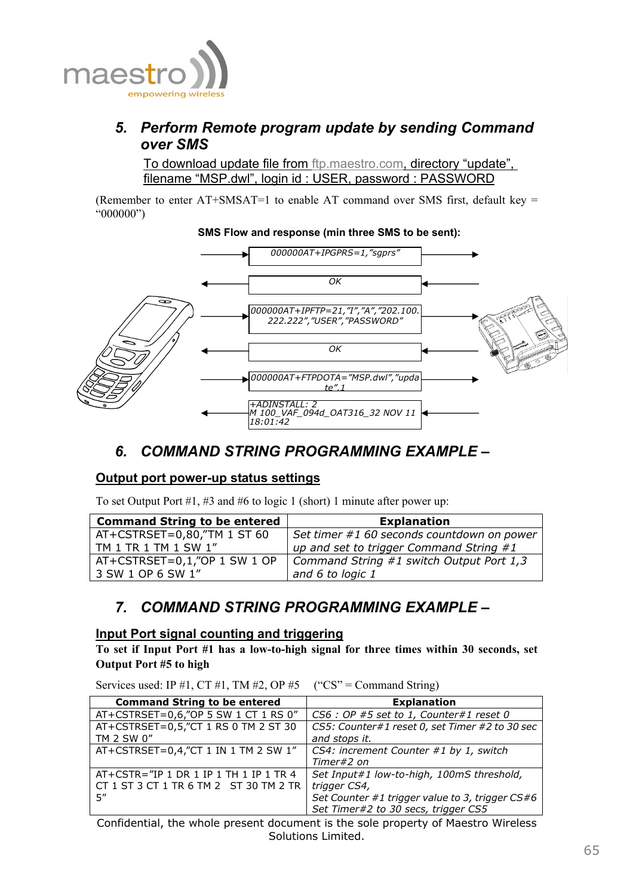![](_page_65_Picture_0.jpeg)

# *5. Perform Remote program update by sending Command over SMS*

To download update file from ftp.maestro.com, directory "update", filename "MSP.dwl", login id : USER, password : PASSWORD

(Remember to enter  $AT+SMSAT=1$  to enable  $AT$  command over SMS first, default key  $=$ "000000")

#### **SMS Flow and response (min three SMS to be sent):**

![](_page_65_Figure_5.jpeg)

# *6. COMMAND STRING PROGRAMMING EXAMPLE –*

## **Output port power-up status settings**

To set Output Port #1, #3 and #6 to logic 1 (short) 1 minute after power up:

| <b>Command String to be entered</b> | <b>Explanation</b>                         |
|-------------------------------------|--------------------------------------------|
| AT+CSTRSET=0,80,"TM 1 ST 60         | Set timer #1 60 seconds countdown on power |
| $1$ TM 1 TR 1 TM 1 SW 1"            | up and set to trigger Command String #1    |
| $AT+CSTRSET=0,1,''OP 1 SW 1 OP$     | Command String #1 switch Output Port $1,3$ |
| 3 SW 1 OP 6 SW 1"                   | and 6 to logic 1                           |

## *7. COMMAND STRING PROGRAMMING EXAMPLE –*

## **Input Port signal counting and triggering**

**To set if Input Port #1 has a low-to-high signal for three times within 30 seconds, set Output Port #5 to high** 

Services used: IP #1, CT #1, TM #2, OP #5 ("CS" = Command String)

| <b>Command String to be entered</b>      | <b>Explanation</b>                              |
|------------------------------------------|-------------------------------------------------|
| AT+CSTRSET=0,6,"OP 5 SW 1 CT 1 RS 0"     | $CS6: OP$ #5 set to 1, Counter#1 reset 0        |
| AT+CSTRSET=0,5,"CT 1 RS 0 TM 2 ST 30     | CS5: Counter#1 reset 0, set Timer #2 to 30 sec  |
| TM 2 SW 0"                               | and stops it.                                   |
| AT+CSTRSET=0,4,"CT 1 IN 1 TM 2 SW 1"     | CS4: increment Counter #1 by 1, switch          |
|                                          | Timer#2 on                                      |
| $AT+CSTR="IP 1 DR 1 IP 1 TH 1 IP 1 TR 4$ | Set Input#1 low-to-high, 100mS threshold,       |
| CT 1 ST 3 CT 1 TR 6 TM 2 ST 30 TM 2 TR   | trigger CS4,                                    |
| 5"                                       | Set Counter #1 trigger value to 3, trigger CS#6 |
|                                          | Set Timer#2 to 30 secs, trigger CS5             |